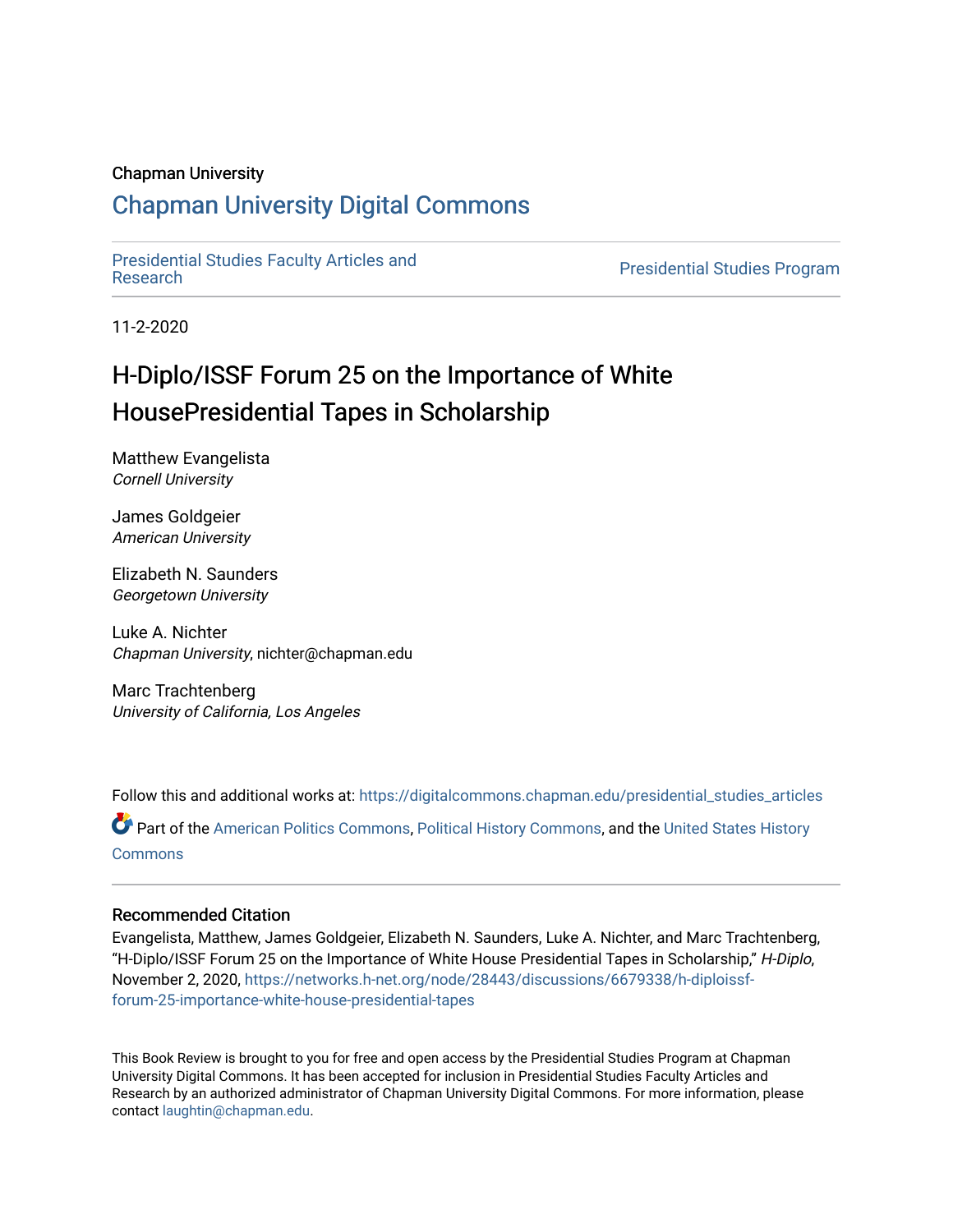#### Chapman University

### [Chapman University Digital Commons](https://digitalcommons.chapman.edu/)

[Presidential Studies Faculty Articles and](https://digitalcommons.chapman.edu/presidential_studies_articles) 

**Presidential Studies Program** 

11-2-2020

## H-Diplo/ISSF Forum 25 on the Importance of White HousePresidential Tapes in Scholarship

Matthew Evangelista Cornell University

James Goldgeier American University

Elizabeth N. Saunders Georgetown University

Luke A. Nichter Chapman University, nichter@chapman.edu

Marc Trachtenberg University of California, Los Angeles

Follow this and additional works at: [https://digitalcommons.chapman.edu/presidential\\_studies\\_articles](https://digitalcommons.chapman.edu/presidential_studies_articles?utm_source=digitalcommons.chapman.edu%2Fpresidential_studies_articles%2F11&utm_medium=PDF&utm_campaign=PDFCoverPages) 

Part of the [American Politics Commons,](http://network.bepress.com/hgg/discipline/387?utm_source=digitalcommons.chapman.edu%2Fpresidential_studies_articles%2F11&utm_medium=PDF&utm_campaign=PDFCoverPages) [Political History Commons,](http://network.bepress.com/hgg/discipline/505?utm_source=digitalcommons.chapman.edu%2Fpresidential_studies_articles%2F11&utm_medium=PDF&utm_campaign=PDFCoverPages) and the [United States History](http://network.bepress.com/hgg/discipline/495?utm_source=digitalcommons.chapman.edu%2Fpresidential_studies_articles%2F11&utm_medium=PDF&utm_campaign=PDFCoverPages) **[Commons](http://network.bepress.com/hgg/discipline/495?utm_source=digitalcommons.chapman.edu%2Fpresidential_studies_articles%2F11&utm_medium=PDF&utm_campaign=PDFCoverPages)** 

#### Recommended Citation

Evangelista, Matthew, James Goldgeier, Elizabeth N. Saunders, Luke A. Nichter, and Marc Trachtenberg, "H-Diplo/ISSF Forum 25 on the Importance of White House Presidential Tapes in Scholarship," H-Diplo, November 2, 2020, [https://networks.h-net.org/node/28443/discussions/6679338/h-diploissf](https://networks.h-net.org/node/28443/discussions/6679338/h-diploissf-forum-25-importance-white-house-presidential-tapes)[forum-25-importance-white-house-presidential-tapes](https://networks.h-net.org/node/28443/discussions/6679338/h-diploissf-forum-25-importance-white-house-presidential-tapes)

This Book Review is brought to you for free and open access by the Presidential Studies Program at Chapman University Digital Commons. It has been accepted for inclusion in Presidential Studies Faculty Articles and Research by an authorized administrator of Chapman University Digital Commons. For more information, please contact [laughtin@chapman.edu](mailto:laughtin@chapman.edu).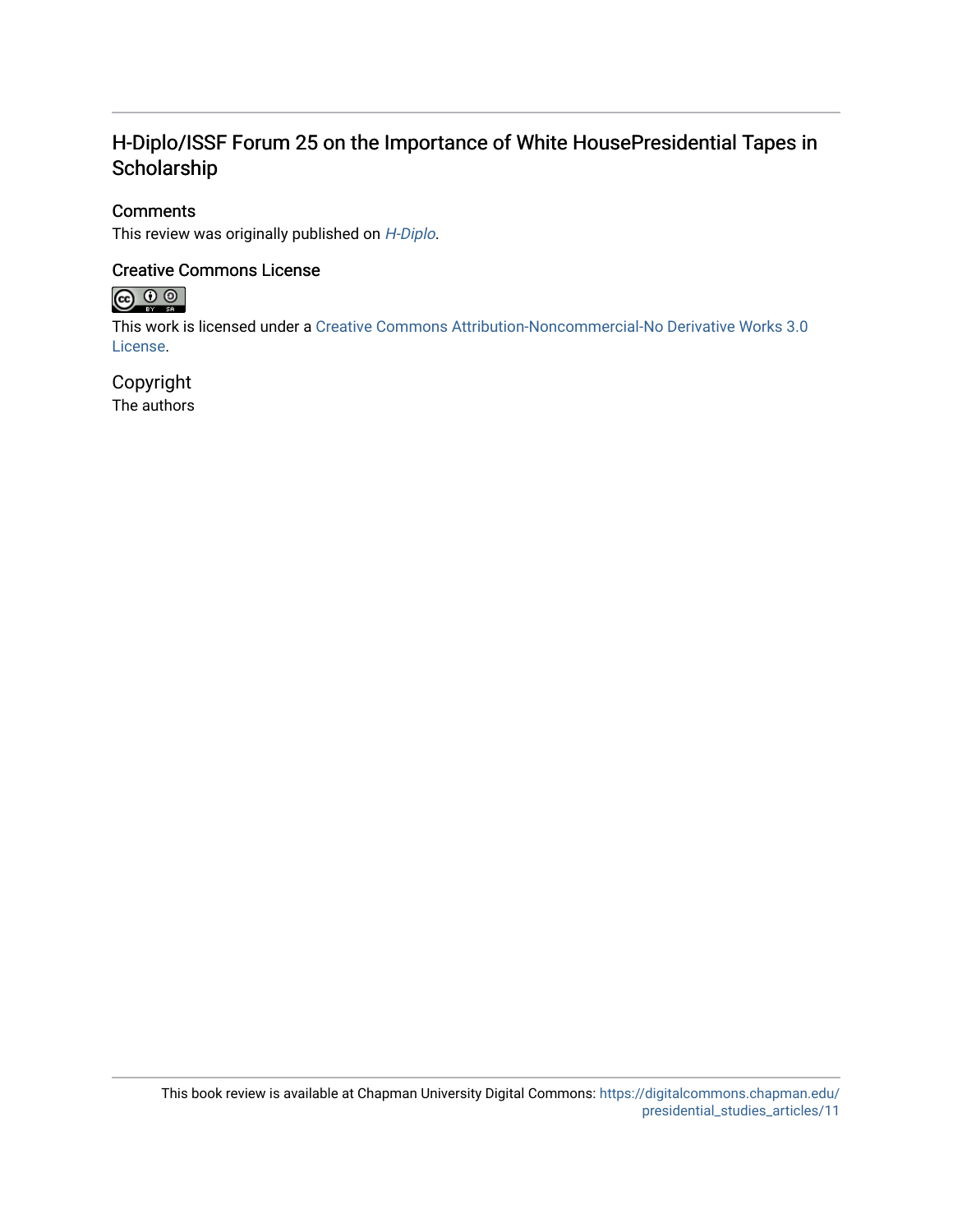### H-Diplo/ISSF Forum 25 on the Importance of White HousePresidential Tapes in **Scholarship**

#### **Comments**

This review was originally published on [H-Diplo](https://networks.h-net.org/node/28443/discussions/6679338/h-diploissf-forum-25-importance-white-house-presidential-tapes).

#### Creative Commons License



This work is licensed under a [Creative Commons Attribution-Noncommercial-No Derivative Works 3.0](https://creativecommons.org/licenses/by-nc-nd/3.0/) [License](https://creativecommons.org/licenses/by-nc-nd/3.0/).

### Copyright

The authors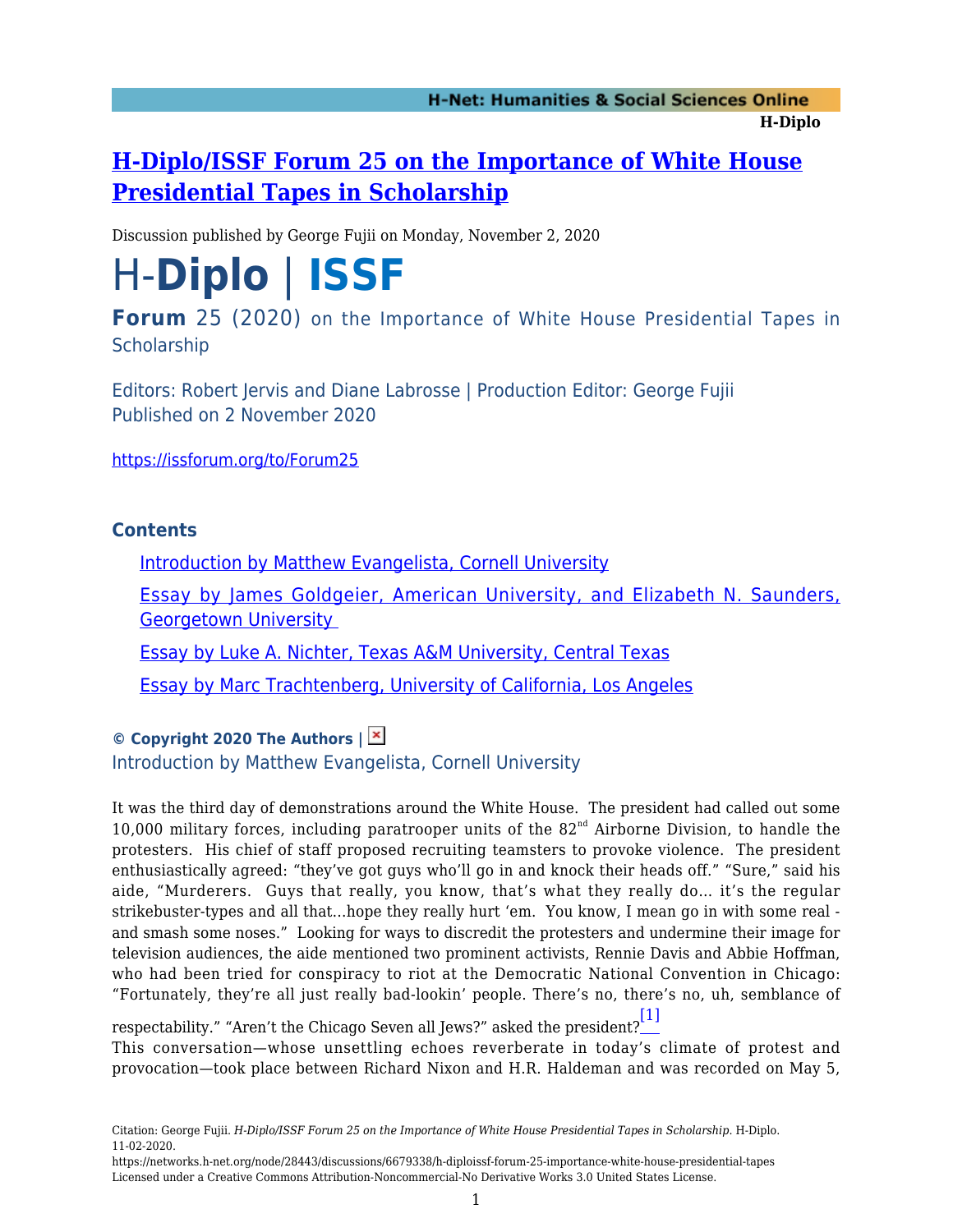### **[H-Diplo/ISSF Forum 25 on the Importance of White House](https://networks.h-net.org/node/28443/discussions/6679338/h-diploissf-forum-25-importance-white-house-presidential-tapes) [Presidential Tapes in Scholarship](https://networks.h-net.org/node/28443/discussions/6679338/h-diploissf-forum-25-importance-white-house-presidential-tapes)**

Discussion published by George Fujii on Monday, November 2, 2020

# H-**Diplo** | **ISSF**

**Forum** 25 (2020) on the Importance of White House Presidential Tapes in **Scholarship** 

Editors: Robert Jervis and Diane Labrosse | Production Editor: George Fujii Published on 2 November 2020

<https://issforum.org/to/Forum25>

### **Contents**

[Introduction by Matthew Evangelista, Cornell University](#page-2-0)

[Essay by James Goldgeier, American University, and Elizabeth N. Saunders,](#page-7-0) [Georgetown University](#page-7-0)

[Essay by Luke A. Nichter, Texas A&M University, Central Texas](#page-14-0)

[Essay by Marc Trachtenberg, University of California, Los Angeles](#page-20-0)

### **© Copyright 2020 The Authors |**

<span id="page-2-0"></span>Introduction by Matthew Evangelista, Cornell University

It was the third day of demonstrations around the White House. The president had called out some 10,000 military forces, including paratrooper units of the  $82<sup>nd</sup>$  Airborne Division, to handle the protesters. His chief of staff proposed recruiting teamsters to provoke violence. The president enthusiastically agreed: "they've got guys who'll go in and knock their heads off." "Sure," said his aide, "Murderers. Guys that really, you know, that's what they really do… it's the regular strikebuster-types and all that…hope they really hurt 'em. You know, I mean go in with some real and smash some noses." Looking for ways to discredit the protesters and undermine their image for television audiences, the aide mentioned two prominent activists, Rennie Davis and Abbie Hoffman, who had been tried for conspiracy to riot at the Democratic National Convention in Chicago: "Fortunately, they're all just really bad-lookin' people. There's no, there's no, uh, semblance of

<span id="page-2-1"></span>respectability." "Aren't the Chicago Seven all Jews?" asked the president? $\overline{\begin{smallmatrix} [1] \ \ldots \end{smallmatrix}}$  $\overline{\begin{smallmatrix} [1] \ \ldots \end{smallmatrix}}$  $\overline{\begin{smallmatrix} [1] \ \ldots \end{smallmatrix}}$ 

This conversation—whose unsettling echoes reverberate in today's climate of protest and provocation—took place between Richard Nixon and H.R. Haldeman and was recorded on May 5,

Citation: George Fujii. *H-Diplo/ISSF Forum 25 on the Importance of White House Presidential Tapes in Scholarship*. H-Diplo. 11-02-2020.

https://networks.h-net.org/node/28443/discussions/6679338/h-diploissf-forum-25-importance-white-house-presidential-tapes Licensed under a Creative Commons Attribution-Noncommercial-No Derivative Works 3.0 United States License.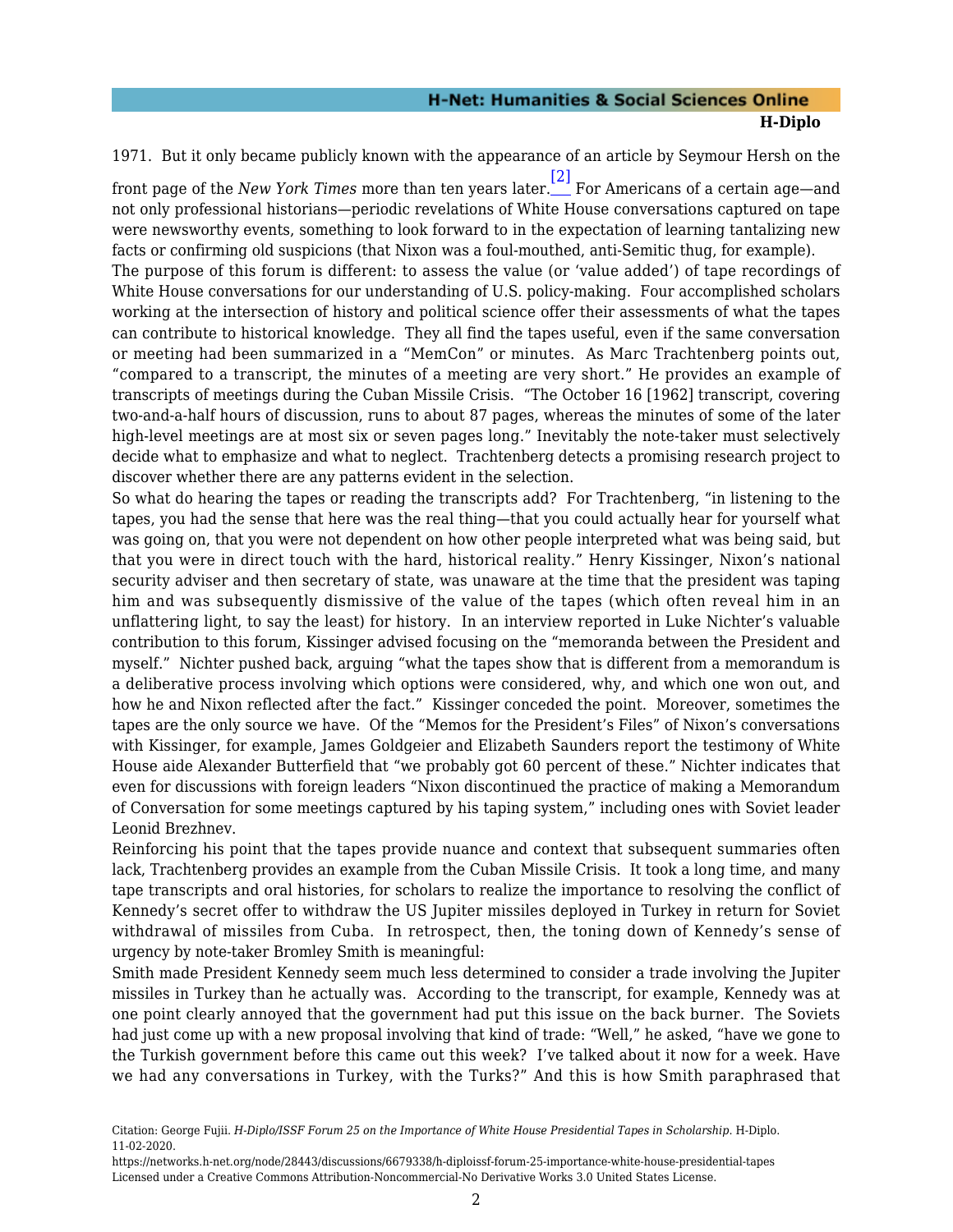1971. But it only became publicly known with the appearance of an article by Seymour Hersh on the

<span id="page-3-0"></span>front page of the *New York Times* more than ten years later. [\[2\]](#page-24-1) For Americans of a certain age—and not only professional historians—periodic revelations of White House conversations captured on tape were newsworthy events, something to look forward to in the expectation of learning tantalizing new facts or confirming old suspicions (that Nixon was a foul-mouthed, anti-Semitic thug, for example). The purpose of this forum is different: to assess the value (or 'value added') of tape recordings of White House conversations for our understanding of U.S. policy-making. Four accomplished scholars

working at the intersection of history and political science offer their assessments of what the tapes can contribute to historical knowledge. They all find the tapes useful, even if the same conversation or meeting had been summarized in a "MemCon" or minutes. As Marc Trachtenberg points out, "compared to a transcript, the minutes of a meeting are very short." He provides an example of transcripts of meetings during the Cuban Missile Crisis. "The October 16 [1962] transcript, covering two-and-a-half hours of discussion, runs to about 87 pages, whereas the minutes of some of the later high-level meetings are at most six or seven pages long." Inevitably the note-taker must selectively decide what to emphasize and what to neglect. Trachtenberg detects a promising research project to discover whether there are any patterns evident in the selection.

So what do hearing the tapes or reading the transcripts add? For Trachtenberg, "in listening to the tapes, you had the sense that here was the real thing—that you could actually hear for yourself what was going on, that you were not dependent on how other people interpreted what was being said, but that you were in direct touch with the hard, historical reality." Henry Kissinger, Nixon's national security adviser and then secretary of state, was unaware at the time that the president was taping him and was subsequently dismissive of the value of the tapes (which often reveal him in an unflattering light, to say the least) for history. In an interview reported in Luke Nichter's valuable contribution to this forum, Kissinger advised focusing on the "memoranda between the President and myself." Nichter pushed back, arguing "what the tapes show that is different from a memorandum is a deliberative process involving which options were considered, why, and which one won out, and how he and Nixon reflected after the fact." Kissinger conceded the point. Moreover, sometimes the tapes are the only source we have. Of the "Memos for the President's Files" of Nixon's conversations with Kissinger, for example, James Goldgeier and Elizabeth Saunders report the testimony of White House aide Alexander Butterfield that "we probably got 60 percent of these." Nichter indicates that even for discussions with foreign leaders "Nixon discontinued the practice of making a Memorandum of Conversation for some meetings captured by his taping system," including ones with Soviet leader Leonid Brezhnev.

Reinforcing his point that the tapes provide nuance and context that subsequent summaries often lack, Trachtenberg provides an example from the Cuban Missile Crisis. It took a long time, and many tape transcripts and oral histories, for scholars to realize the importance to resolving the conflict of Kennedy's secret offer to withdraw the US Jupiter missiles deployed in Turkey in return for Soviet withdrawal of missiles from Cuba. In retrospect, then, the toning down of Kennedy's sense of urgency by note-taker Bromley Smith is meaningful:

Smith made President Kennedy seem much less determined to consider a trade involving the Jupiter missiles in Turkey than he actually was. According to the transcript, for example, Kennedy was at one point clearly annoyed that the government had put this issue on the back burner. The Soviets had just come up with a new proposal involving that kind of trade: "Well," he asked, "have we gone to the Turkish government before this came out this week? I've talked about it now for a week. Have we had any conversations in Turkey, with the Turks?" And this is how Smith paraphrased that

Citation: George Fujii. *H-Diplo/ISSF Forum 25 on the Importance of White House Presidential Tapes in Scholarship*. H-Diplo. 11-02-2020.

https://networks.h-net.org/node/28443/discussions/6679338/h-diploissf-forum-25-importance-white-house-presidential-tapes Licensed under a Creative Commons Attribution-Noncommercial-No Derivative Works 3.0 United States License.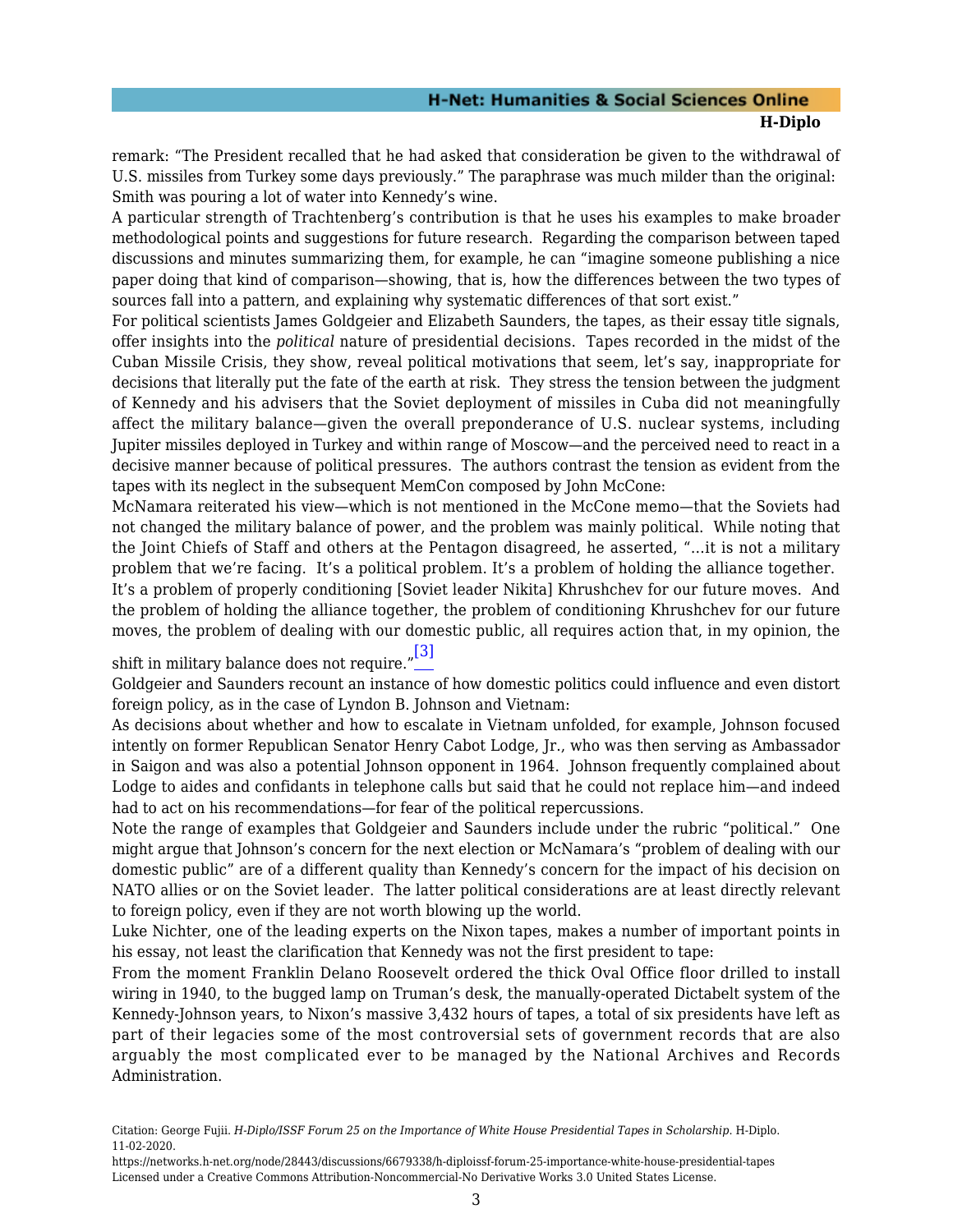remark: "The President recalled that he had asked that consideration be given to the withdrawal of U.S. missiles from Turkey some days previously." The paraphrase was much milder than the original: Smith was pouring a lot of water into Kennedy's wine.

A particular strength of Trachtenberg's contribution is that he uses his examples to make broader methodological points and suggestions for future research. Regarding the comparison between taped discussions and minutes summarizing them, for example, he can "imagine someone publishing a nice paper doing that kind of comparison—showing, that is, how the differences between the two types of sources fall into a pattern, and explaining why systematic differences of that sort exist."

For political scientists James Goldgeier and Elizabeth Saunders, the tapes, as their essay title signals, offer insights into the *political* nature of presidential decisions. Tapes recorded in the midst of the Cuban Missile Crisis, they show, reveal political motivations that seem, let's say, inappropriate for decisions that literally put the fate of the earth at risk. They stress the tension between the judgment of Kennedy and his advisers that the Soviet deployment of missiles in Cuba did not meaningfully affect the military balance—given the overall preponderance of U.S. nuclear systems, including Jupiter missiles deployed in Turkey and within range of Moscow—and the perceived need to react in a decisive manner because of political pressures. The authors contrast the tension as evident from the tapes with its neglect in the subsequent MemCon composed by John McCone:

McNamara reiterated his view—which is not mentioned in the McCone memo—that the Soviets had not changed the military balance of power, and the problem was mainly political. While noting that the Joint Chiefs of Staff and others at the Pentagon disagreed, he asserted, "…it is not a military problem that we're facing. It's a political problem. It's a problem of holding the alliance together.

It's a problem of properly conditioning [Soviet leader Nikita] Khrushchev for our future moves. And the problem of holding the alliance together, the problem of conditioning Khrushchev for our future moves, the problem of dealing with our domestic public, all requires action that, in my opinion, the

<span id="page-4-0"></span>shift in military balance does not require." [\[3\]](#page-24-2)

Goldgeier and Saunders recount an instance of how domestic politics could influence and even distort foreign policy, as in the case of Lyndon B. Johnson and Vietnam:

As decisions about whether and how to escalate in Vietnam unfolded, for example, Johnson focused intently on former Republican Senator Henry Cabot Lodge, Jr., who was then serving as Ambassador in Saigon and was also a potential Johnson opponent in 1964. Johnson frequently complained about Lodge to aides and confidants in telephone calls but said that he could not replace him—and indeed had to act on his recommendations—for fear of the political repercussions.

Note the range of examples that Goldgeier and Saunders include under the rubric "political." One might argue that Johnson's concern for the next election or McNamara's "problem of dealing with our domestic public" are of a different quality than Kennedy's concern for the impact of his decision on NATO allies or on the Soviet leader. The latter political considerations are at least directly relevant to foreign policy, even if they are not worth blowing up the world.

Luke Nichter, one of the leading experts on the Nixon tapes, makes a number of important points in his essay, not least the clarification that Kennedy was not the first president to tape:

From the moment Franklin Delano Roosevelt ordered the thick Oval Office floor drilled to install wiring in 1940, to the bugged lamp on Truman's desk, the manually-operated Dictabelt system of the Kennedy-Johnson years, to Nixon's massive 3,432 hours of tapes, a total of six presidents have left as part of their legacies some of the most controversial sets of government records that are also arguably the most complicated ever to be managed by the National Archives and Records Administration.

Citation: George Fujii. *H-Diplo/ISSF Forum 25 on the Importance of White House Presidential Tapes in Scholarship*. H-Diplo. 11-02-2020.

https://networks.h-net.org/node/28443/discussions/6679338/h-diploissf-forum-25-importance-white-house-presidential-tapes Licensed under a Creative Commons Attribution-Noncommercial-No Derivative Works 3.0 United States License.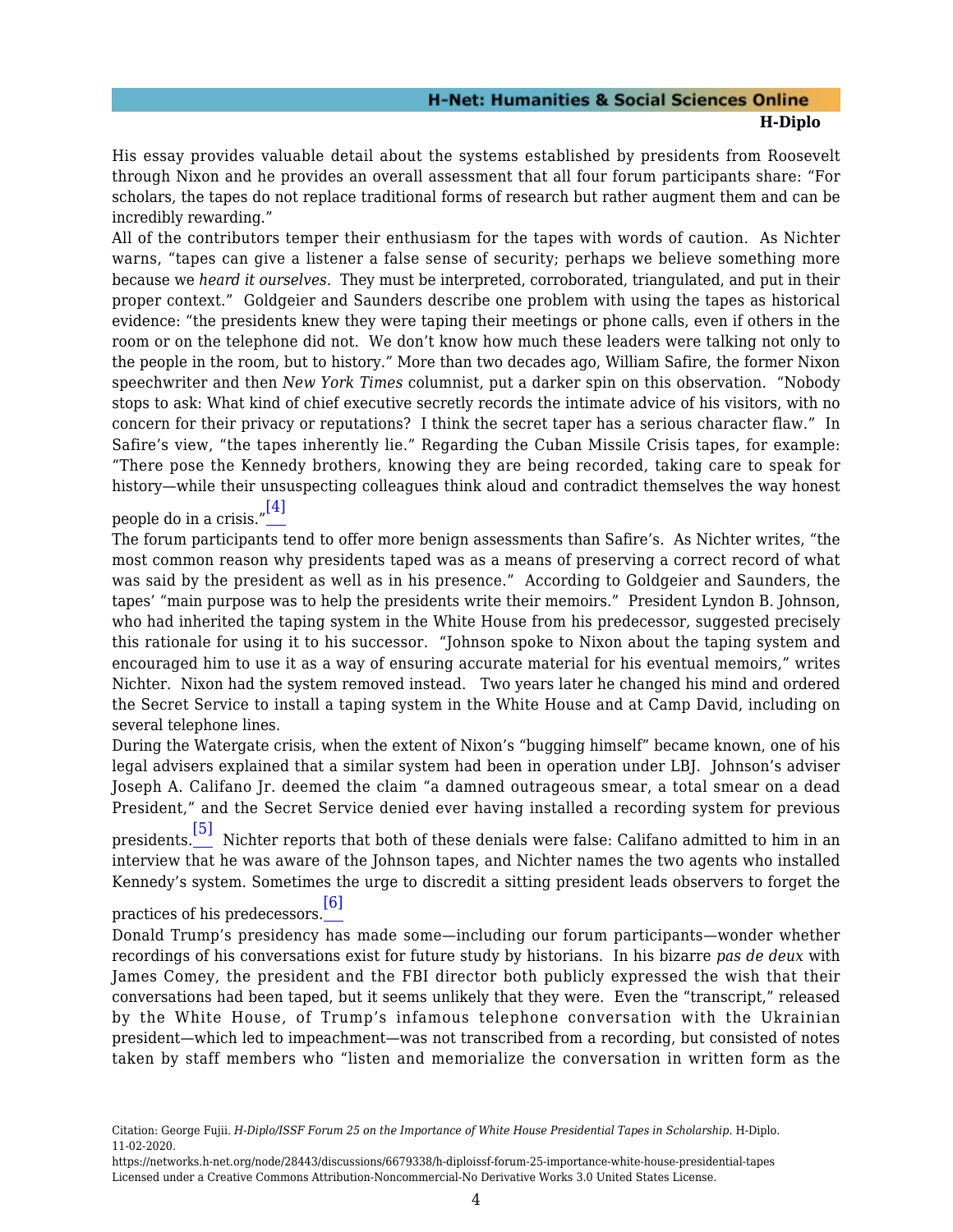His essay provides valuable detail about the systems established by presidents from Roosevelt through Nixon and he provides an overall assessment that all four forum participants share: "For scholars, the tapes do not replace traditional forms of research but rather augment them and can be incredibly rewarding."

All of the contributors temper their enthusiasm for the tapes with words of caution. As Nichter warns, "tapes can give a listener a false sense of security; perhaps we believe something more because we *heard it ourselves*. They must be interpreted, corroborated, triangulated, and put in their proper context." Goldgeier and Saunders describe one problem with using the tapes as historical evidence: "the presidents knew they were taping their meetings or phone calls, even if others in the room or on the telephone did not. We don't know how much these leaders were talking not only to the people in the room, but to history." More than two decades ago, William Safire, the former Nixon speechwriter and then *New York Times* columnist, put a darker spin on this observation. "Nobody stops to ask: What kind of chief executive secretly records the intimate advice of his visitors, with no concern for their privacy or reputations? I think the secret taper has a serious character flaw." In Safire's view, "the tapes inherently lie." Regarding the Cuban Missile Crisis tapes, for example: "There pose the Kennedy brothers, knowing they are being recorded, taking care to speak for history—while their unsuspecting colleagues think aloud and contradict themselves the way honest

### <span id="page-5-0"></span>people do in a crisis."\_\_<mark>[\[4\]](#page-24-3)</mark>

The forum participants tend to offer more benign assessments than Safire's. As Nichter writes, "the most common reason why presidents taped was as a means of preserving a correct record of what was said by the president as well as in his presence." According to Goldgeier and Saunders, the tapes' "main purpose was to help the presidents write their memoirs." President Lyndon B. Johnson, who had inherited the taping system in the White House from his predecessor, suggested precisely this rationale for using it to his successor. "Johnson spoke to Nixon about the taping system and encouraged him to use it as a way of ensuring accurate material for his eventual memoirs," writes Nichter. Nixon had the system removed instead. Two years later he changed his mind and ordered the Secret Service to install a taping system in the White House and at Camp David, including on several telephone lines.

During the Watergate crisis, when the extent of Nixon's "bugging himself" became known, one of his legal advisers explained that a similar system had been in operation under LBJ. Johnson's adviser Joseph A. Califano Jr. deemed the claim "a damned outrageous smear, a total smear on a dead President," and the Secret Service denied ever having installed a recording system for previous

<span id="page-5-1"></span>presidents.\_\_\_ Nichter reports that both of these denials were false: Califano admitted to him in an interview that he was aware of the Johnson tapes, and Nichter names the two agents who installed Kennedy's system. Sometimes the urge to discredit a sitting president leads observers to forget the

### <span id="page-5-2"></span>practices of his predecessors. [\[6\]](#page-24-5)

Donald Trump's presidency has made some—including our forum participants—wonder whether recordings of his conversations exist for future study by historians. In his bizarre *pas de deux* with James Comey, the president and the FBI director both publicly expressed the wish that their conversations had been taped, but it seems unlikely that they were. Even the "transcript," released by the White House, of Trump's infamous telephone conversation with the Ukrainian president—which led to impeachment—was not transcribed from a recording, but consisted of notes taken by staff members who "listen and memorialize the conversation in written form as the

<span id="page-5-3"></span>Citation: George Fujii. *H-Diplo/ISSF Forum 25 on the Importance of White House Presidential Tapes in Scholarship*. H-Diplo. 11-02-2020.

https://networks.h-net.org/node/28443/discussions/6679338/h-diploissf-forum-25-importance-white-house-presidential-tapes Licensed under a Creative Commons Attribution-Noncommercial-No Derivative Works 3.0 United States License.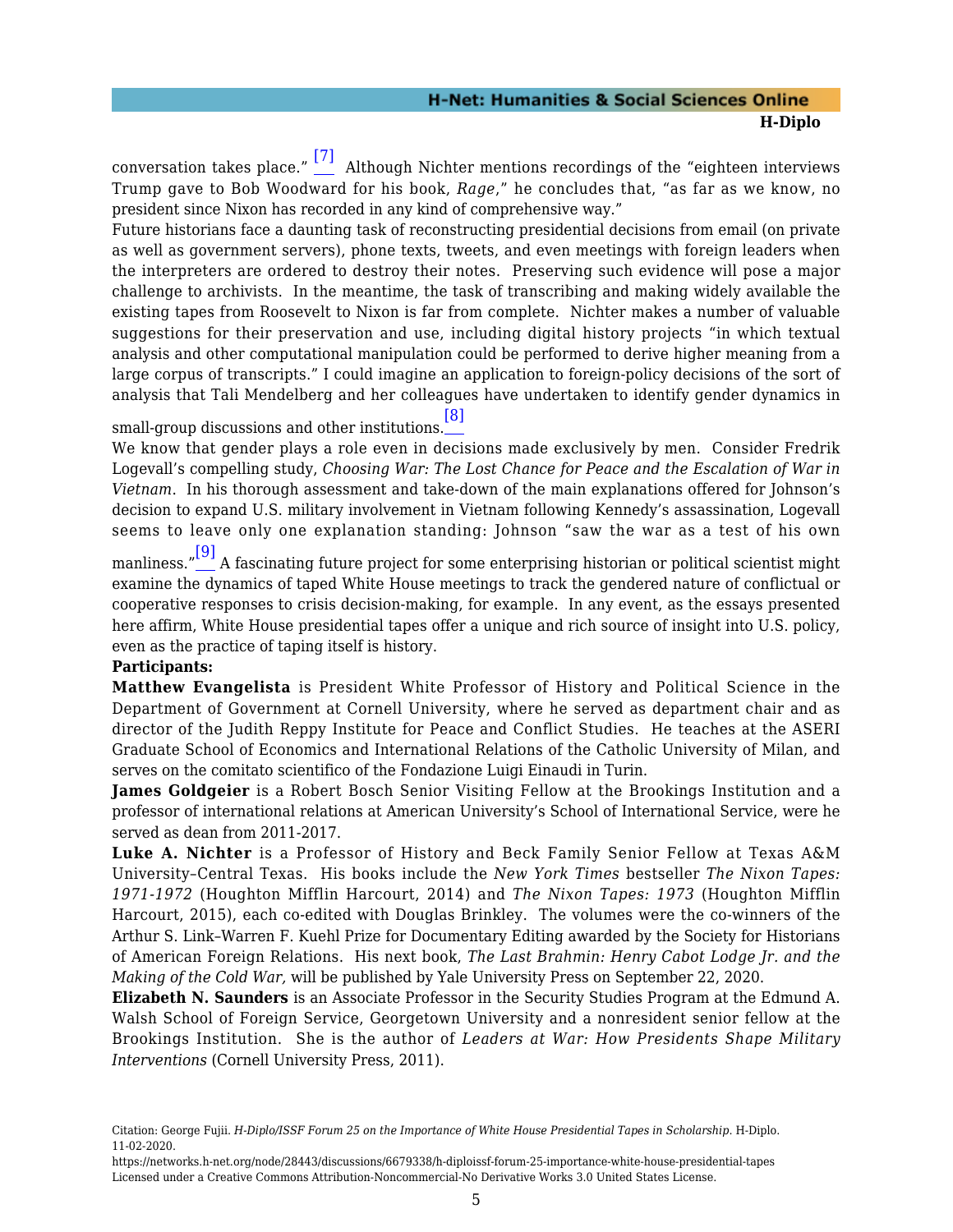conversation takes place."  $\frac{[7]}{4}$  $\frac{[7]}{4}$  $\frac{[7]}{4}$  Although Nichter mentions recordings of the "eighteen interviews Trump gave to Bob Woodward for his book, *Rage*," he concludes that, "as far as we know, no president since Nixon has recorded in any kind of comprehensive way."

Future historians face a daunting task of reconstructing presidential decisions from email (on private as well as government servers), phone texts, tweets, and even meetings with foreign leaders when the interpreters are ordered to destroy their notes. Preserving such evidence will pose a major challenge to archivists. In the meantime, the task of transcribing and making widely available the existing tapes from Roosevelt to Nixon is far from complete. Nichter makes a number of valuable suggestions for their preservation and use, including digital history projects "in which textual analysis and other computational manipulation could be performed to derive higher meaning from a large corpus of transcripts." I could imagine an application to foreign-policy decisions of the sort of analysis that Tali Mendelberg and her colleagues have undertaken to identify gender dynamics in

### <span id="page-6-0"></span>small-group discussions and other institutions. [\[8\]](#page-24-7)

We know that gender plays a role even in decisions made exclusively by men. Consider Fredrik Logevall's compelling study, *Choosing War: The Lost Chance for Peace and the Escalation of War in Vietnam*. In his thorough assessment and take-down of the main explanations offered for Johnson's decision to expand U.S. military involvement in Vietnam following Kennedy's assassination, Logevall seems to leave only one explanation standing: Johnson "saw the war as a test of his own

<span id="page-6-1"></span>manliness."\_\_\_A fascinating future project for some enterprising historian or political scientist might examine the dynamics of taped White House meetings to track the gendered nature of conflictual or cooperative responses to crisis decision-making, for example. In any event, as the essays presented here affirm, White House presidential tapes offer a unique and rich source of insight into U.S. policy, even as the practice of taping itself is history.

#### **Participants:**

**Matthew Evangelista** is President White Professor of History and Political Science in the Department of Government at Cornell University, where he served as department chair and as director of the Judith Reppy Institute for Peace and Conflict Studies. He teaches at the ASERI Graduate School of Economics and International Relations of the Catholic University of Milan, and serves on the comitato scientifico of the Fondazione Luigi Einaudi in Turin.

**James Goldgeier** is a Robert Bosch Senior Visiting Fellow at the Brookings Institution and a professor of international relations at American University's School of International Service, were he served as dean from 2011-2017.

**Luke A. Nichter** is a Professor of History and Beck Family Senior Fellow at Texas A&M University–Central Texas. His books include the *New York Times* bestseller *The Nixon Tapes: 1971-1972* (Houghton Mifflin Harcourt, 2014) and *The Nixon Tapes: 1973* (Houghton Mifflin Harcourt, 2015), each co-edited with Douglas Brinkley. The volumes were the co-winners of the Arthur S. Link–Warren F. Kuehl Prize for Documentary Editing awarded by the Society for Historians of American Foreign Relations. His next book, *The Last Brahmin: Henry Cabot Lodge Jr. and the Making of the Cold War,* will be published by Yale University Press on September 22, 2020.

**Elizabeth N. Saunders** is an Associate Professor in the Security Studies Program at the Edmund A. Walsh School of Foreign Service, Georgetown University and a nonresident senior fellow at the Brookings Institution. She is the author of *Leaders at War: How Presidents Shape Military Interventions* (Cornell University Press, 2011).

Citation: George Fujii. *H-Diplo/ISSF Forum 25 on the Importance of White House Presidential Tapes in Scholarship*. H-Diplo. 11-02-2020.

https://networks.h-net.org/node/28443/discussions/6679338/h-diploissf-forum-25-importance-white-house-presidential-tapes Licensed under a Creative Commons Attribution-Noncommercial-No Derivative Works 3.0 United States License.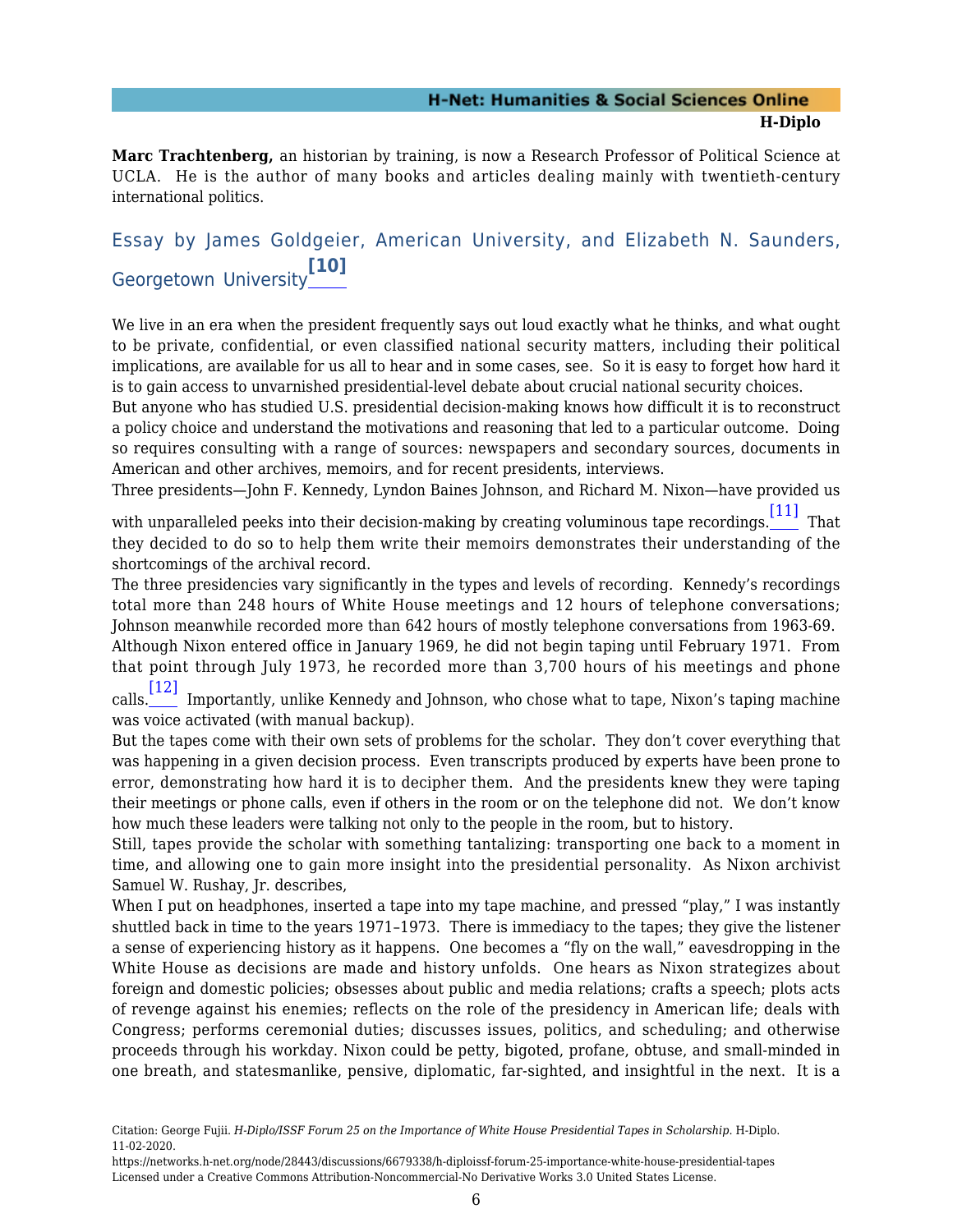**Marc Trachtenberg,** an historian by training, is now a Research Professor of Political Science at UCLA. He is the author of many books and articles dealing mainly with twentieth-century international politics.

#### <span id="page-7-1"></span><span id="page-7-0"></span>Essay by James Goldgeier, American University, and Elizabeth N. Saunders, Georgetown University **[\[10\]](#page-25-0)**

We live in an era when the president frequently says out loud exactly what he thinks, and what ought to be private, confidential, or even classified national security matters, including their political implications, are available for us all to hear and in some cases, see. So it is easy to forget how hard it is to gain access to unvarnished presidential-level debate about crucial national security choices.

But anyone who has studied U.S. presidential decision-making knows how difficult it is to reconstruct a policy choice and understand the motivations and reasoning that led to a particular outcome. Doing so requires consulting with a range of sources: newspapers and secondary sources, documents in American and other archives, memoirs, and for recent presidents, interviews.

Three presidents—John F. Kennedy, Lyndon Baines Johnson, and Richard M. Nixon—have provided us

<span id="page-7-2"></span>with unparalleled peeks into their decision-making by creating voluminous tape recordings. [\[11\]](#page-25-1) That they decided to do so to help them write their memoirs demonstrates their understanding of the shortcomings of the archival record.

The three presidencies vary significantly in the types and levels of recording. Kennedy's recordings total more than 248 hours of White House meetings and 12 hours of telephone conversations; Johnson meanwhile recorded more than 642 hours of mostly telephone conversations from 1963-69.

<span id="page-7-3"></span>Although Nixon entered office in January 1969, he did not begin taping until February 1971. From that point through July 1973, he recorded more than 3,700 hours of his meetings and phone

calls.\_\_\_\_\_ Importantly, unlike Kennedy and Johnson, who chose what to tape, Nixon's taping machine was voice activated (with manual backup).

But the tapes come with their own sets of problems for the scholar. They don't cover everything that was happening in a given decision process. Even transcripts produced by experts have been prone to error, demonstrating how hard it is to decipher them. And the presidents knew they were taping their meetings or phone calls, even if others in the room or on the telephone did not. We don't know how much these leaders were talking not only to the people in the room, but to history.

Still, tapes provide the scholar with something tantalizing: transporting one back to a moment in time, and allowing one to gain more insight into the presidential personality. As Nixon archivist Samuel W. Rushay, Jr. describes,

When I put on headphones, inserted a tape into my tape machine, and pressed "play," I was instantly shuttled back in time to the years 1971–1973. There is immediacy to the tapes; they give the listener a sense of experiencing history as it happens. One becomes a "fly on the wall," eavesdropping in the White House as decisions are made and history unfolds. One hears as Nixon strategizes about foreign and domestic policies; obsesses about public and media relations; crafts a speech; plots acts of revenge against his enemies; reflects on the role of the presidency in American life; deals with Congress; performs ceremonial duties; discusses issues, politics, and scheduling; and otherwise proceeds through his workday. Nixon could be petty, bigoted, profane, obtuse, and small-minded in one breath, and statesmanlike, pensive, diplomatic, far-sighted, and insightful in the next. It is a

Citation: George Fujii. *H-Diplo/ISSF Forum 25 on the Importance of White House Presidential Tapes in Scholarship*. H-Diplo. 11-02-2020.

https://networks.h-net.org/node/28443/discussions/6679338/h-diploissf-forum-25-importance-white-house-presidential-tapes Licensed under a Creative Commons Attribution-Noncommercial-No Derivative Works 3.0 United States License.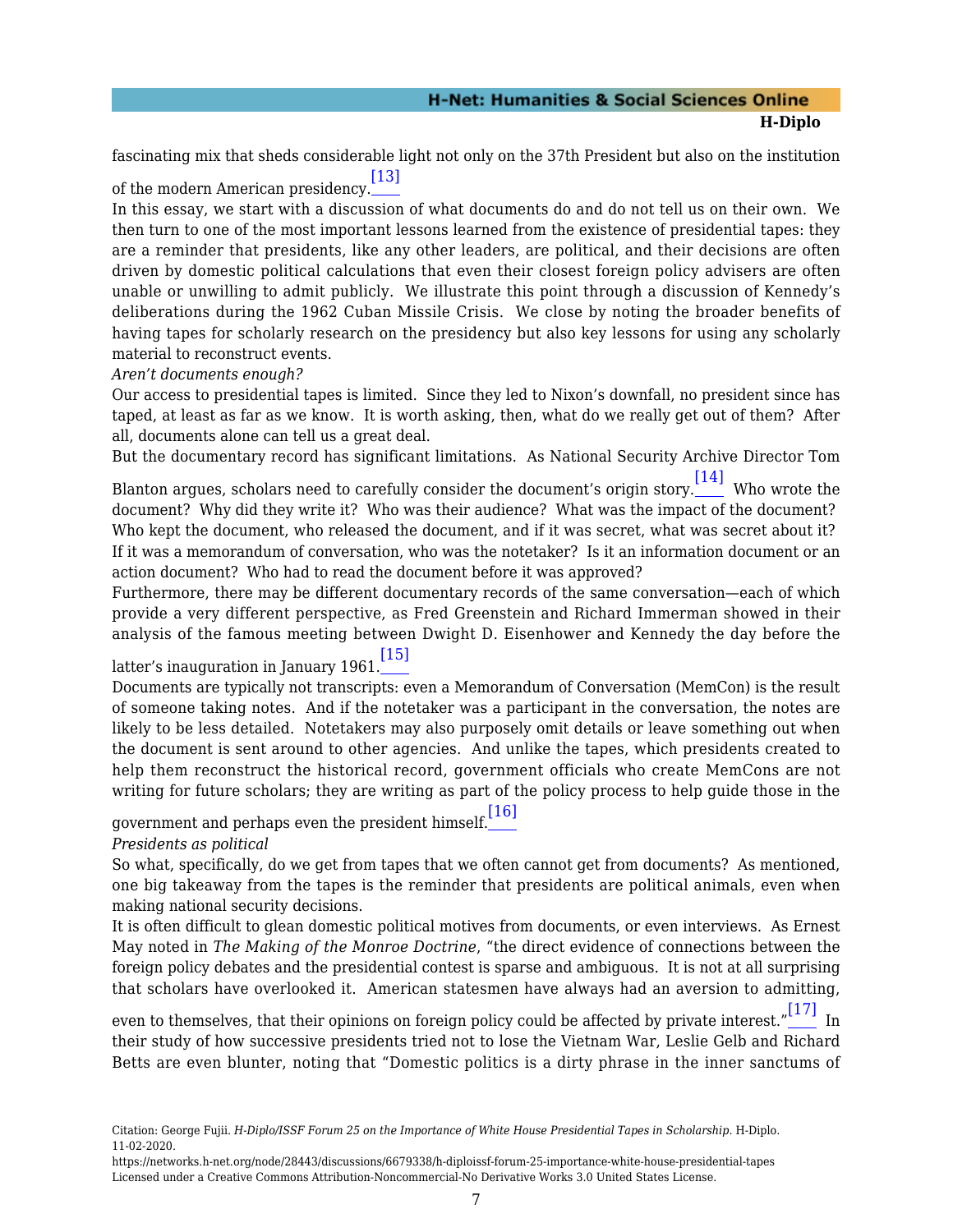fascinating mix that sheds considerable light not only on the 37th President but also on the institution

<span id="page-8-0"></span>of the modern American presidency. [\[13\]](#page-25-3)

In this essay, we start with a discussion of what documents do and do not tell us on their own. We then turn to one of the most important lessons learned from the existence of presidential tapes: they are a reminder that presidents, like any other leaders, are political, and their decisions are often driven by domestic political calculations that even their closest foreign policy advisers are often unable or unwilling to admit publicly. We illustrate this point through a discussion of Kennedy's deliberations during the 1962 Cuban Missile Crisis. We close by noting the broader benefits of having tapes for scholarly research on the presidency but also key lessons for using any scholarly material to reconstruct events.

#### *Aren't documents enough?*

Our access to presidential tapes is limited. Since they led to Nixon's downfall, no president since has taped, at least as far as we know. It is worth asking, then, what do we really get out of them? After all, documents alone can tell us a great deal.

But the documentary record has significant limitations. As National Security Archive Director Tom

<span id="page-8-1"></span>Blanton argues, scholars need to carefully consider the document's origin story. [\[14\]](#page-25-4) Who wrote the document? Why did they write it? Who was their audience? What was the impact of the document? Who kept the document, who released the document, and if it was secret, what was secret about it? If it was a memorandum of conversation, who was the notetaker? Is it an information document or an action document? Who had to read the document before it was approved?

Furthermore, there may be different documentary records of the same conversation—each of which provide a very different perspective, as Fred Greenstein and Richard Immerman showed in their analysis of the famous meeting between Dwight D. Eisenhower and Kennedy the day before the

<span id="page-8-2"></span>latter's inauguration in January 1961. $\overline{\begin{smallmatrix} 1 & 5 \end{smallmatrix}}$ 

Documents are typically not transcripts: even a Memorandum of Conversation (MemCon) is the result of someone taking notes. And if the notetaker was a participant in the conversation, the notes are likely to be less detailed. Notetakers may also purposely omit details or leave something out when the document is sent around to other agencies. And unlike the tapes, which presidents created to help them reconstruct the historical record, government officials who create MemCons are not writing for future scholars; they are writing as part of the policy process to help guide those in the

<span id="page-8-3"></span>government and perhaps even the president himself. [\[16\]](#page-25-6)

*Presidents as political*

So what, specifically, do we get from tapes that we often cannot get from documents? As mentioned, one big takeaway from the tapes is the reminder that presidents are political animals, even when making national security decisions.

It is often difficult to glean domestic political motives from documents, or even interviews. As Ernest May noted in *The Making of the Monroe Doctrine*, "the direct evidence of connections between the foreign policy debates and the presidential contest is sparse and ambiguous. It is not at all surprising that scholars have overlooked it. American statesmen have always had an aversion to admitting,

<span id="page-8-4"></span>even to themselves, that their opinions on foreign policy could be affected by private interest." $\stackrel{[17]}{\ldots}$  $\stackrel{[17]}{\ldots}$  $\stackrel{[17]}{\ldots}$  In their study of how successive presidents tried not to lose the Vietnam War, Leslie Gelb and Richard Betts are even blunter, noting that "Domestic politics is a dirty phrase in the inner sanctums of

Citation: George Fujii. *H-Diplo/ISSF Forum 25 on the Importance of White House Presidential Tapes in Scholarship*. H-Diplo. 11-02-2020.

https://networks.h-net.org/node/28443/discussions/6679338/h-diploissf-forum-25-importance-white-house-presidential-tapes Licensed under a Creative Commons Attribution-Noncommercial-No Derivative Works 3.0 United States License.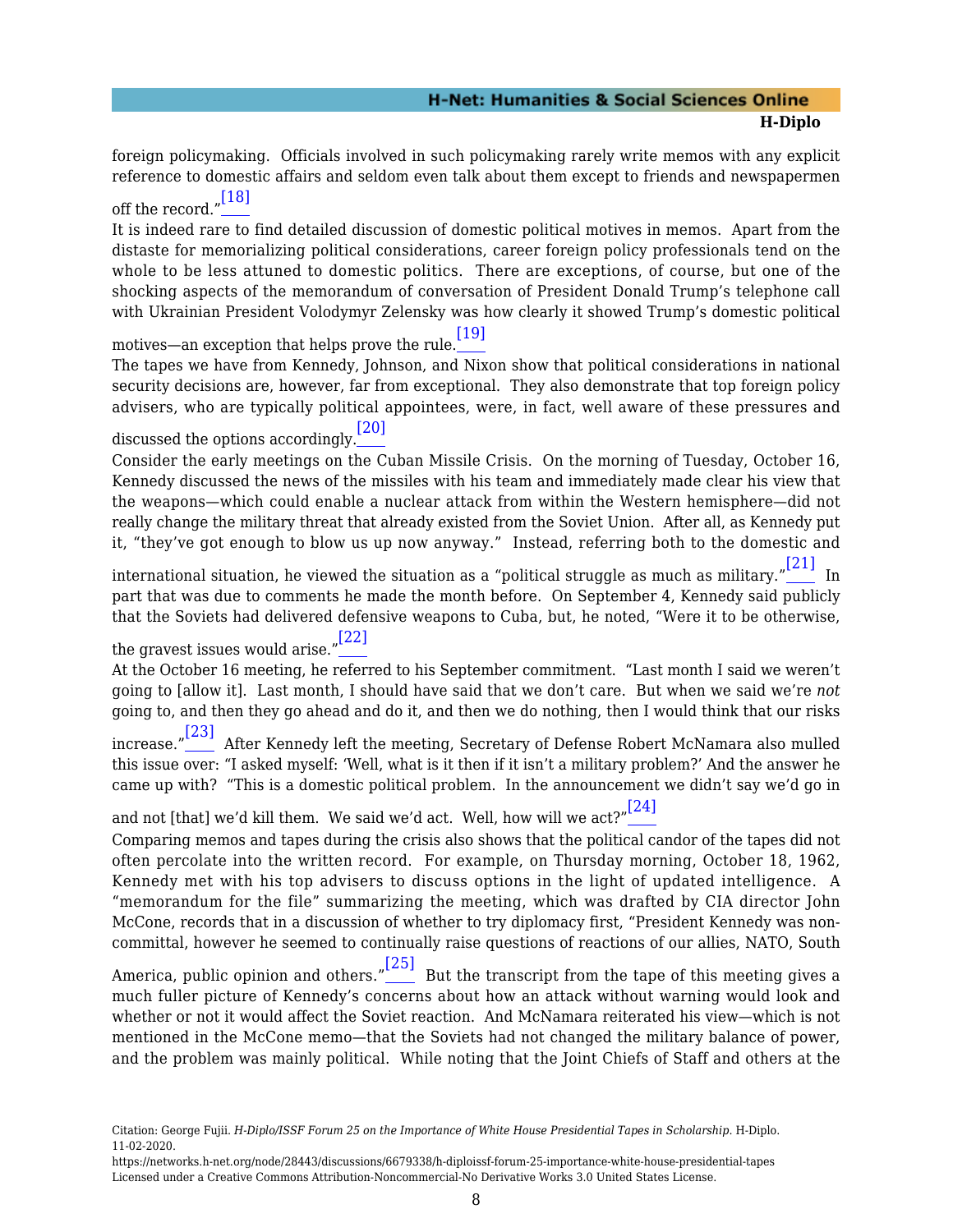foreign policymaking. Officials involved in such policymaking rarely write memos with any explicit reference to domestic affairs and seldom even talk about them except to friends and newspapermen

<span id="page-9-0"></span>off the record." $\frac{[18]}{[18]}$  $\frac{[18]}{[18]}$  $\frac{[18]}{[18]}$ 

It is indeed rare to find detailed discussion of domestic political motives in memos. Apart from the distaste for memorializing political considerations, career foreign policy professionals tend on the whole to be less attuned to domestic politics. There are exceptions, of course, but one of the shocking aspects of the memorandum of conversation of President Donald Trump's telephone call with Ukrainian President Volodymyr Zelensky was how clearly it showed Trump's domestic political

<span id="page-9-1"></span>motives—an exception that helps prove the rule. [\[19\]](#page-25-9)

The tapes we have from Kennedy, Johnson, and Nixon show that political considerations in national security decisions are, however, far from exceptional. They also demonstrate that top foreign policy advisers, who are typically political appointees, were, in fact, well aware of these pressures and

<span id="page-9-2"></span>discussed the options accordingly. [\[20\]](#page-25-10)

Consider the early meetings on the Cuban Missile Crisis. On the morning of Tuesday, October 16, Kennedy discussed the news of the missiles with his team and immediately made clear his view that the weapons—which could enable a nuclear attack from within the Western hemisphere—did not really change the military threat that already existed from the Soviet Union. After all, as Kennedy put it, "they've got enough to blow us up now anyway." Instead, referring both to the domestic and

<span id="page-9-3"></span>international situation, he viewed the situation as a "political struggle as much as military." $\stackrel{[21]}{\ldots}$  $\stackrel{[21]}{\ldots}$  $\stackrel{[21]}{\ldots}$  In part that was due to comments he made the month before. On September 4, Kennedy said publicly that the Soviets had delivered defensive weapons to Cuba, but, he noted, "Were it to be otherwise,

<span id="page-9-4"></span>the gravest issues would arise." $\frac{[22]}{[2]}$  $\frac{[22]}{[2]}$  $\frac{[22]}{[2]}$ 

At the October 16 meeting, he referred to his September commitment. "Last month I said we weren't going to [allow it]. Last month, I should have said that we don't care. But when we said we're *not* going to, and then they go ahead and do it, and then we do nothing, then I would think that our risks

<span id="page-9-5"></span>increase."\_\_\_\_\_ After Kennedy left the meeting, Secretary of Defense Robert McNamara also mulled this issue over: "I asked myself: 'Well, what is it then if it isn't a military problem?' And the answer he came up with? "This is a domestic political problem. In the announcement we didn't say we'd go in

<span id="page-9-6"></span>and not [that] we'd kill them. We said we'd act. Well, how will we act?" $\overline{\phantom{a}}^{[24]}$  $\overline{\phantom{a}}^{[24]}$  $\overline{\phantom{a}}^{[24]}$ 

Comparing memos and tapes during the crisis also shows that the political candor of the tapes did not often percolate into the written record. For example, on Thursday morning, October 18, 1962, Kennedy met with his top advisers to discuss options in the light of updated intelligence. A "memorandum for the file" summarizing the meeting, which was drafted by CIA director John McCone, records that in a discussion of whether to try diplomacy first, "President Kennedy was noncommittal, however he seemed to continually raise questions of reactions of our allies, NATO, South

<span id="page-9-7"></span>America, public opinion and others." $\stackrel{[25]}{\overline{\phantom{a}}}$  $\stackrel{[25]}{\overline{\phantom{a}}}$  $\stackrel{[25]}{\overline{\phantom{a}}}$  But the transcript from the tape of this meeting gives a much fuller picture of Kennedy's concerns about how an attack without warning would look and whether or not it would affect the Soviet reaction. And McNamara reiterated his view—which is not mentioned in the McCone memo—that the Soviets had not changed the military balance of power, and the problem was mainly political. While noting that the Joint Chiefs of Staff and others at the

Citation: George Fujii. *H-Diplo/ISSF Forum 25 on the Importance of White House Presidential Tapes in Scholarship*. H-Diplo. 11-02-2020.

https://networks.h-net.org/node/28443/discussions/6679338/h-diploissf-forum-25-importance-white-house-presidential-tapes Licensed under a Creative Commons Attribution-Noncommercial-No Derivative Works 3.0 United States License.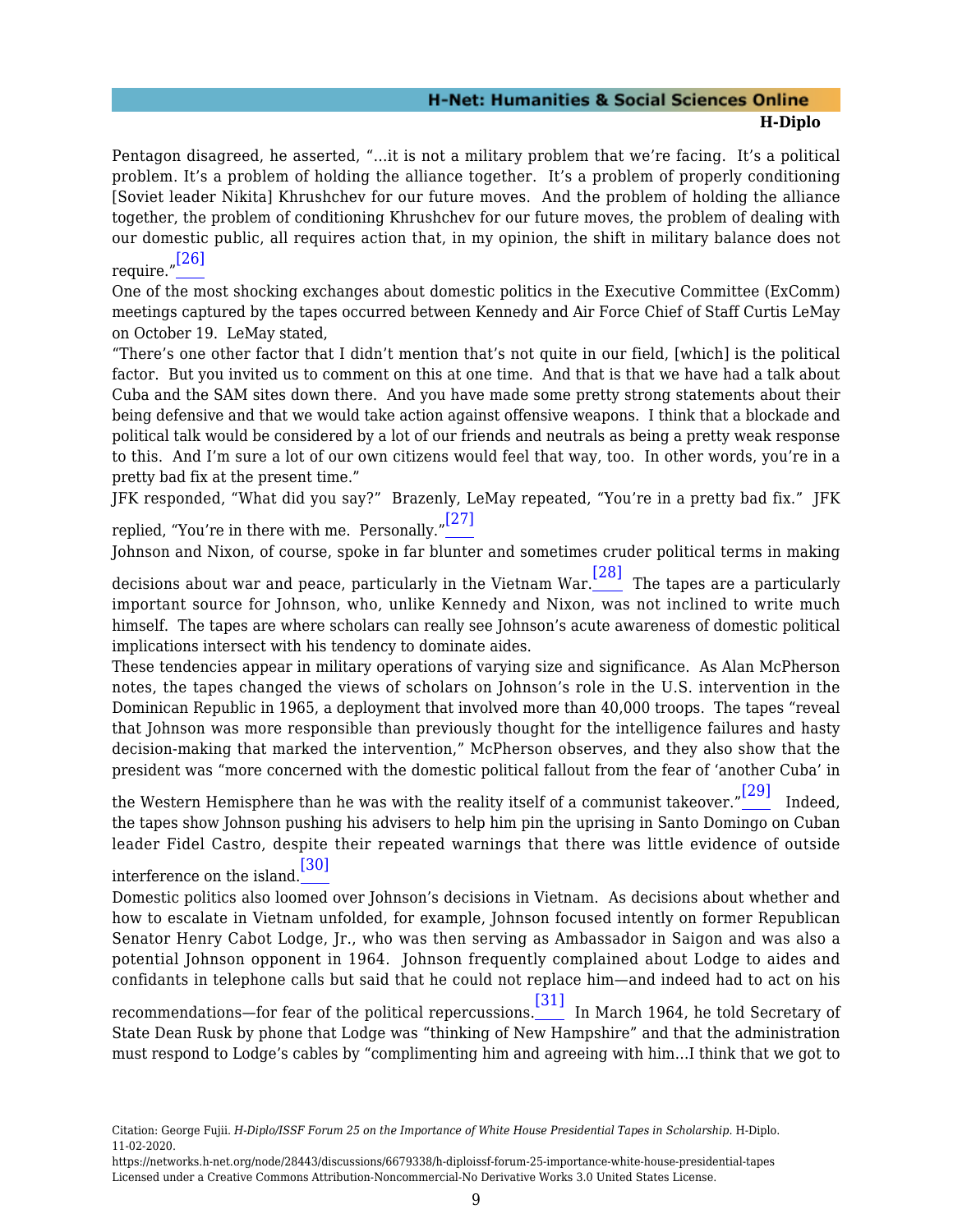Pentagon disagreed, he asserted, "…it is not a military problem that we're facing. It's a political problem. It's a problem of holding the alliance together. It's a problem of properly conditioning [Soviet leader Nikita] Khrushchev for our future moves. And the problem of holding the alliance together, the problem of conditioning Khrushchev for our future moves, the problem of dealing with our domestic public, all requires action that, in my opinion, the shift in military balance does not

<span id="page-10-0"></span>require."<u>[\[26\]](#page-26-2)</u>

One of the most shocking exchanges about domestic politics in the Executive Committee (ExComm) meetings captured by the tapes occurred between Kennedy and Air Force Chief of Staff Curtis LeMay on October 19. LeMay stated,

"There's one other factor that I didn't mention that's not quite in our field, [which] is the political factor. But you invited us to comment on this at one time. And that is that we have had a talk about Cuba and the SAM sites down there. And you have made some pretty strong statements about their being defensive and that we would take action against offensive weapons. I think that a blockade and political talk would be considered by a lot of our friends and neutrals as being a pretty weak response to this. And I'm sure a lot of our own citizens would feel that way, too. In other words, you're in a pretty bad fix at the present time."

JFK responded, "What did you say?" Brazenly, LeMay repeated, "You're in a pretty bad fix." JFK

<span id="page-10-1"></span>replied, "You're in there with me. Personally." <u>[\[27\]](#page-26-3)</u> Johnson and Nixon, of course, spoke in far blunter and sometimes cruder political terms in making

<span id="page-10-2"></span>decisions about war and peace, particularly in the Vietnam War. [\[28\]](#page-26-4) The tapes are a particularly important source for Johnson, who, unlike Kennedy and Nixon, was not inclined to write much himself. The tapes are where scholars can really see Johnson's acute awareness of domestic political implications intersect with his tendency to dominate aides.

These tendencies appear in military operations of varying size and significance. As Alan McPherson notes, the tapes changed the views of scholars on Johnson's role in the U.S. intervention in the Dominican Republic in 1965, a deployment that involved more than 40,000 troops. The tapes "reveal that Johnson was more responsible than previously thought for the intelligence failures and hasty decision-making that marked the intervention," McPherson observes, and they also show that the president was "more concerned with the domestic political fallout from the fear of 'another Cuba' in

<span id="page-10-3"></span>the Western Hemisphere than he was with the reality itself of a communist takeover." [\[29\]](#page-26-5) Indeed, the tapes show Johnson pushing his advisers to help him pin the uprising in Santo Domingo on Cuban leader Fidel Castro, despite their repeated warnings that there was little evidence of outside

<span id="page-10-4"></span>interference on the island. [\[30\]](#page-26-6)

Domestic politics also loomed over Johnson's decisions in Vietnam. As decisions about whether and how to escalate in Vietnam unfolded, for example, Johnson focused intently on former Republican Senator Henry Cabot Lodge, Jr., who was then serving as Ambassador in Saigon and was also a potential Johnson opponent in 1964. Johnson frequently complained about Lodge to aides and confidants in telephone calls but said that he could not replace him—and indeed had to act on his

<span id="page-10-5"></span>recommendations—for fear of the political repercussions. [\[31\]](#page-26-7) In March 1964, he told Secretary of State Dean Rusk by phone that Lodge was "thinking of New Hampshire" and that the administration must respond to Lodge's cables by "complimenting him and agreeing with him…I think that we got to

<span id="page-10-6"></span>Citation: George Fujii. *H-Diplo/ISSF Forum 25 on the Importance of White House Presidential Tapes in Scholarship*. H-Diplo. 11-02-2020.

https://networks.h-net.org/node/28443/discussions/6679338/h-diploissf-forum-25-importance-white-house-presidential-tapes Licensed under a Creative Commons Attribution-Noncommercial-No Derivative Works 3.0 United States License.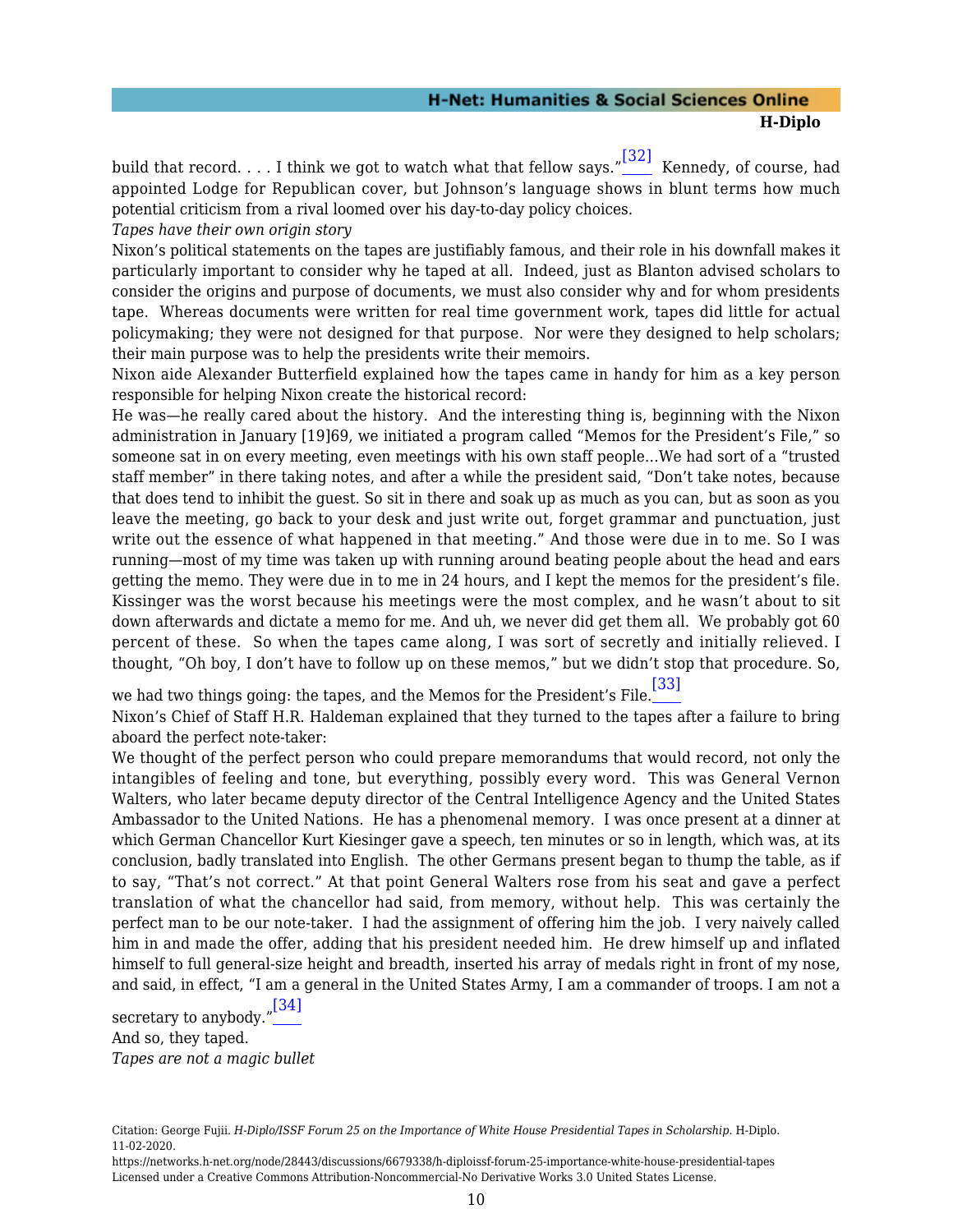build that record. . . . I think we got to watch what that fellow says." $\stackrel{[32]}{\hspace{1em}\frown\hspace{1em}}$  $\stackrel{[32]}{\hspace{1em}\frown\hspace{1em}}$  $\stackrel{[32]}{\hspace{1em}\frown\hspace{1em}}$  Kennedy, of course, had appointed Lodge for Republican cover, but Johnson's language shows in blunt terms how much potential criticism from a rival loomed over his day-to-day policy choices.

*Tapes have their own origin story*

Nixon's political statements on the tapes are justifiably famous, and their role in his downfall makes it particularly important to consider why he taped at all. Indeed, just as Blanton advised scholars to consider the origins and purpose of documents, we must also consider why and for whom presidents tape. Whereas documents were written for real time government work, tapes did little for actual policymaking; they were not designed for that purpose. Nor were they designed to help scholars; their main purpose was to help the presidents write their memoirs.

Nixon aide Alexander Butterfield explained how the tapes came in handy for him as a key person responsible for helping Nixon create the historical record:

He was—he really cared about the history. And the interesting thing is, beginning with the Nixon administration in January [19]69, we initiated a program called "Memos for the President's File," so someone sat in on every meeting, even meetings with his own staff people…We had sort of a "trusted staff member" in there taking notes, and after a while the president said, "Don't take notes, because that does tend to inhibit the guest. So sit in there and soak up as much as you can, but as soon as you leave the meeting, go back to your desk and just write out, forget grammar and punctuation, just write out the essence of what happened in that meeting." And those were due in to me. So I was running—most of my time was taken up with running around beating people about the head and ears getting the memo. They were due in to me in 24 hours, and I kept the memos for the president's file. Kissinger was the worst because his meetings were the most complex, and he wasn't about to sit down afterwards and dictate a memo for me. And uh, we never did get them all. We probably got 60 percent of these. So when the tapes came along, I was sort of secretly and initially relieved. I thought, "Oh boy, I don't have to follow up on these memos," but we didn't stop that procedure. So,

<span id="page-11-0"></span>we had two things going: the tapes, and the Memos for the President's File. [\[33\]](#page-26-9)

Nixon's Chief of Staff H.R. Haldeman explained that they turned to the tapes after a failure to bring aboard the perfect note-taker:

We thought of the perfect person who could prepare memorandums that would record, not only the intangibles of feeling and tone, but everything, possibly every word. This was General Vernon Walters, who later became deputy director of the Central Intelligence Agency and the United States Ambassador to the United Nations. He has a phenomenal memory. I was once present at a dinner at which German Chancellor Kurt Kiesinger gave a speech, ten minutes or so in length, which was, at its conclusion, badly translated into English. The other Germans present began to thump the table, as if to say, "That's not correct." At that point General Walters rose from his seat and gave a perfect translation of what the chancellor had said, from memory, without help. This was certainly the perfect man to be our note-taker. I had the assignment of offering him the job. I very naively called him in and made the offer, adding that his president needed him. He drew himself up and inflated himself to full general-size height and breadth, inserted his array of medals right in front of my nose, and said, in effect, "I am a general in the United States Army, I am a commander of troops. I am not a

<span id="page-11-1"></span>secretary to anybody."<u>[\[34\]](#page-26-10)</u> And so, they taped. *Tapes are not a magic bullet*

Citation: George Fujii. *H-Diplo/ISSF Forum 25 on the Importance of White House Presidential Tapes in Scholarship*. H-Diplo. 11-02-2020.

https://networks.h-net.org/node/28443/discussions/6679338/h-diploissf-forum-25-importance-white-house-presidential-tapes Licensed under a Creative Commons Attribution-Noncommercial-No Derivative Works 3.0 United States License.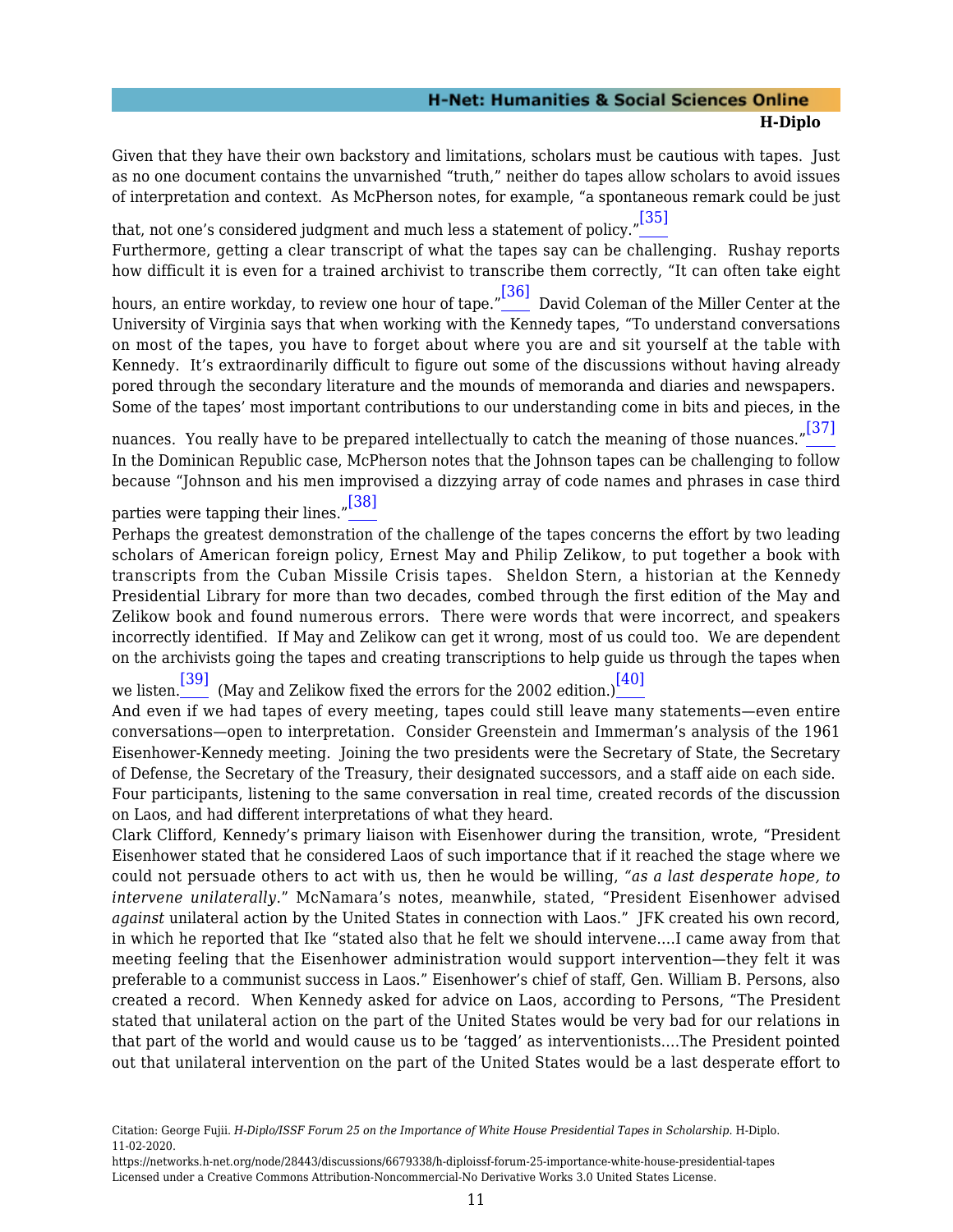Given that they have their own backstory and limitations, scholars must be cautious with tapes. Just as no one document contains the unvarnished "truth," neither do tapes allow scholars to avoid issues of interpretation and context. As McPherson notes, for example, "a spontaneous remark could be just

<span id="page-12-0"></span>that, not one's considered judgment and much less a statement of policy." [\[35\]](#page-26-11) Furthermore, getting a clear transcript of what the tapes say can be challenging. Rushay reports how difficult it is even for a trained archivist to transcribe them correctly, "It can often take eight

<span id="page-12-1"></span>hours, an entire workday, to review one hour of tape." [\[36\]](#page-26-12) David Coleman of the Miller Center at the University of Virginia says that when working with the Kennedy tapes, "To understand conversations on most of the tapes, you have to forget about where you are and sit yourself at the table with Kennedy. It's extraordinarily difficult to figure out some of the discussions without having already pored through the secondary literature and the mounds of memoranda and diaries and newspapers. Some of the tapes' most important contributions to our understanding come in bits and pieces, in the

<span id="page-12-2"></span>nuances. You really have to be prepared intellectually to catch the meaning of those nuances."\_\_\_\_\_ In the Dominican Republic case, McPherson notes that the Johnson tapes can be challenging to follow because "Johnson and his men improvised a dizzying array of code names and phrases in case third

### <span id="page-12-3"></span>parties were tapping their lines."<u>[\[38\]](#page-26-14)</u>

Perhaps the greatest demonstration of the challenge of the tapes concerns the effort by two leading scholars of American foreign policy, Ernest May and Philip Zelikow, to put together a book with transcripts from the Cuban Missile Crisis tapes. Sheldon Stern, a historian at the Kennedy Presidential Library for more than two decades, combed through the first edition of the May and Zelikow book and found numerous errors. There were words that were incorrect, and speakers incorrectly identified. If May and Zelikow can get it wrong, most of us could too. We are dependent on the archivists going the tapes and creating transcriptions to help guide us through the tapes when

<span id="page-12-4"></span>we listen. [\[39\]](#page-26-15) (May and Zelikow fixed the errors for the 2002 edition.)  $\boxed{[40]}$  $\boxed{[40]}$  $\boxed{[40]}$ 

And even if we had tapes of every meeting, tapes could still leave many statements—even entire conversations—open to interpretation. Consider Greenstein and Immerman's analysis of the 1961 Eisenhower-Kennedy meeting. Joining the two presidents were the Secretary of State, the Secretary of Defense, the Secretary of the Treasury, their designated successors, and a staff aide on each side. Four participants, listening to the same conversation in real time, created records of the discussion

on Laos, and had different interpretations of what they heard.

Clark Clifford, Kennedy's primary liaison with Eisenhower during the transition, wrote, "President Eisenhower stated that he considered Laos of such importance that if it reached the stage where we could not persuade others to act with us, then he would be willing, *"as a last desperate hope, to intervene unilaterally*." McNamara's notes, meanwhile, stated, "President Eisenhower advised *against* unilateral action by the United States in connection with Laos." JFK created his own record, in which he reported that Ike "stated also that he felt we should intervene….I came away from that meeting feeling that the Eisenhower administration would support intervention—they felt it was preferable to a communist success in Laos." Eisenhower's chief of staff, Gen. William B. Persons, also created a record. When Kennedy asked for advice on Laos, according to Persons, "The President stated that unilateral action on the part of the United States would be very bad for our relations in that part of the world and would cause us to be 'tagged' as interventionists….The President pointed out that unilateral intervention on the part of the United States would be a last desperate effort to

Citation: George Fujii. *H-Diplo/ISSF Forum 25 on the Importance of White House Presidential Tapes in Scholarship*. H-Diplo. 11-02-2020.

https://networks.h-net.org/node/28443/discussions/6679338/h-diploissf-forum-25-importance-white-house-presidential-tapes Licensed under a Creative Commons Attribution-Noncommercial-No Derivative Works 3.0 United States License.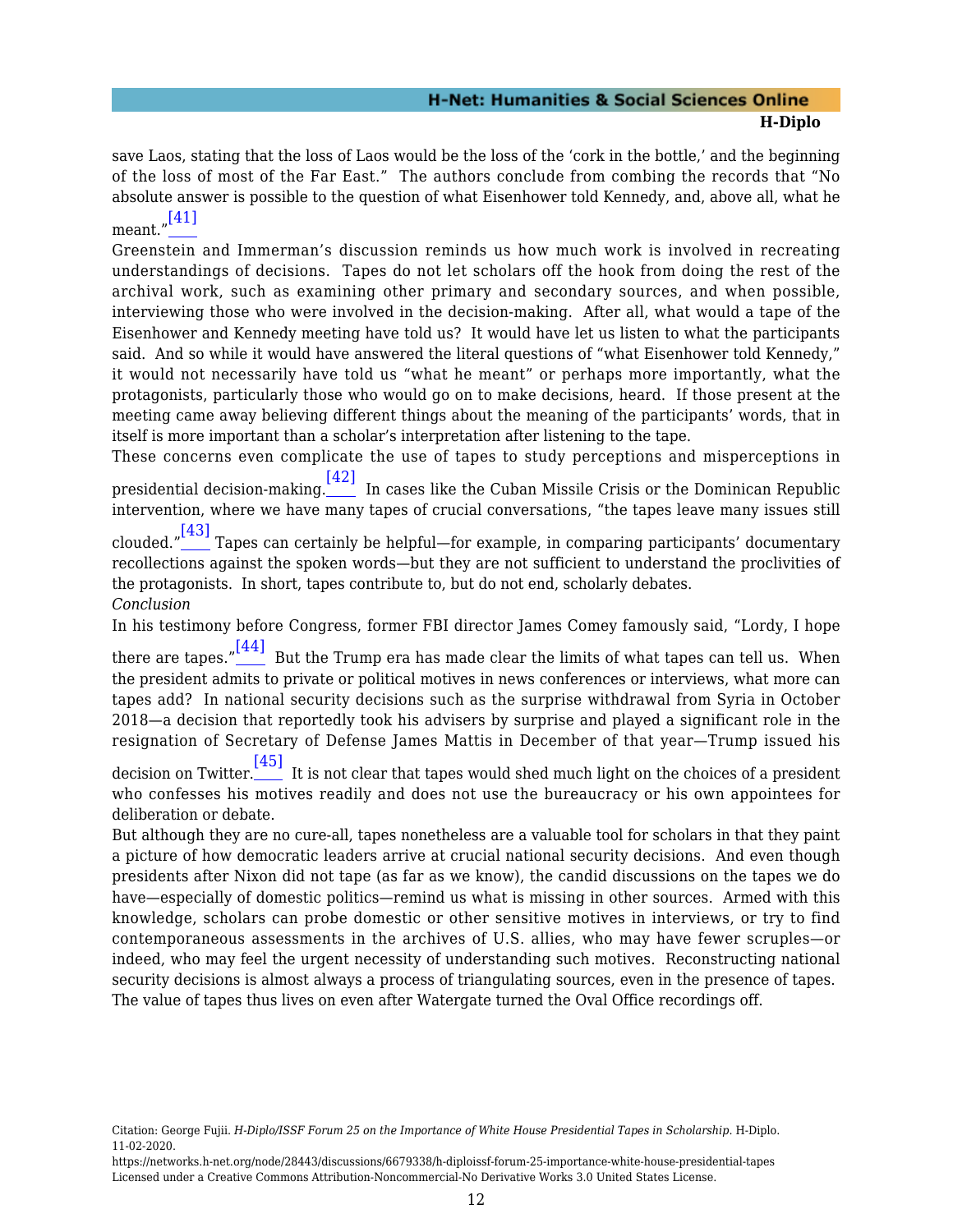save Laos, stating that the loss of Laos would be the loss of the 'cork in the bottle,' and the beginning of the loss of most of the Far East." The authors conclude from combing the records that "No absolute answer is possible to the question of what Eisenhower told Kennedy, and, above all, what he

<span id="page-13-0"></span>meant."<u>[\[41\]](#page-27-1)</u>

Greenstein and Immerman's discussion reminds us how much work is involved in recreating understandings of decisions. Tapes do not let scholars off the hook from doing the rest of the archival work, such as examining other primary and secondary sources, and when possible, interviewing those who were involved in the decision-making. After all, what would a tape of the Eisenhower and Kennedy meeting have told us? It would have let us listen to what the participants said. And so while it would have answered the literal questions of "what Eisenhower told Kennedy," it would not necessarily have told us "what he meant" or perhaps more importantly, what the protagonists, particularly those who would go on to make decisions, heard. If those present at the meeting came away believing different things about the meaning of the participants' words, that in itself is more important than a scholar's interpretation after listening to the tape.

These concerns even complicate the use of tapes to study perceptions and misperceptions in

<span id="page-13-1"></span>presidential decision-making.\_\_\_\_\_\_ In cases like the Cuban Missile Crisis or the Dominican Republic intervention, where we have many tapes of crucial conversations, "the tapes leave many issues still

<span id="page-13-2"></span>clouded."[\[43\]](#page-27-3) Tapes can certainly be helpful—for example, in comparing participants' documentary recollections against the spoken words—but they are not sufficient to understand the proclivities of the protagonists. In short, tapes contribute to, but do not end, scholarly debates. *Conclusion*

In his testimony before Congress, former FBI director James Comey famously said, "Lordy, I hope

<span id="page-13-3"></span>there are tapes." $\frac{[44]}{[48]}$  $\frac{[44]}{[48]}$  $\frac{[44]}{[48]}$  But the Trump era has made clear the limits of what tapes can tell us. When the president admits to private or political motives in news conferences or interviews, what more can tapes add? In national security decisions such as the surprise withdrawal from Syria in October 2018—a decision that reportedly took his advisers by surprise and played a significant role in the resignation of Secretary of Defense James Mattis in December of that year—Trump issued his

<span id="page-13-4"></span>decision on Twitter. [\[45\]](#page-27-5) It is not clear that tapes would shed much light on the choices of a president who confesses his motives readily and does not use the bureaucracy or his own appointees for deliberation or debate.

But although they are no cure-all, tapes nonetheless are a valuable tool for scholars in that they paint a picture of how democratic leaders arrive at crucial national security decisions. And even though presidents after Nixon did not tape (as far as we know), the candid discussions on the tapes we do have—especially of domestic politics—remind us what is missing in other sources. Armed with this knowledge, scholars can probe domestic or other sensitive motives in interviews, or try to find contemporaneous assessments in the archives of U.S. allies, who may have fewer scruples—or indeed, who may feel the urgent necessity of understanding such motives. Reconstructing national security decisions is almost always a process of triangulating sources, even in the presence of tapes. The value of tapes thus lives on even after Watergate turned the Oval Office recordings off.

Citation: George Fujii. *H-Diplo/ISSF Forum 25 on the Importance of White House Presidential Tapes in Scholarship*. H-Diplo. 11-02-2020.

https://networks.h-net.org/node/28443/discussions/6679338/h-diploissf-forum-25-importance-white-house-presidential-tapes Licensed under a Creative Commons Attribution-Noncommercial-No Derivative Works 3.0 United States License.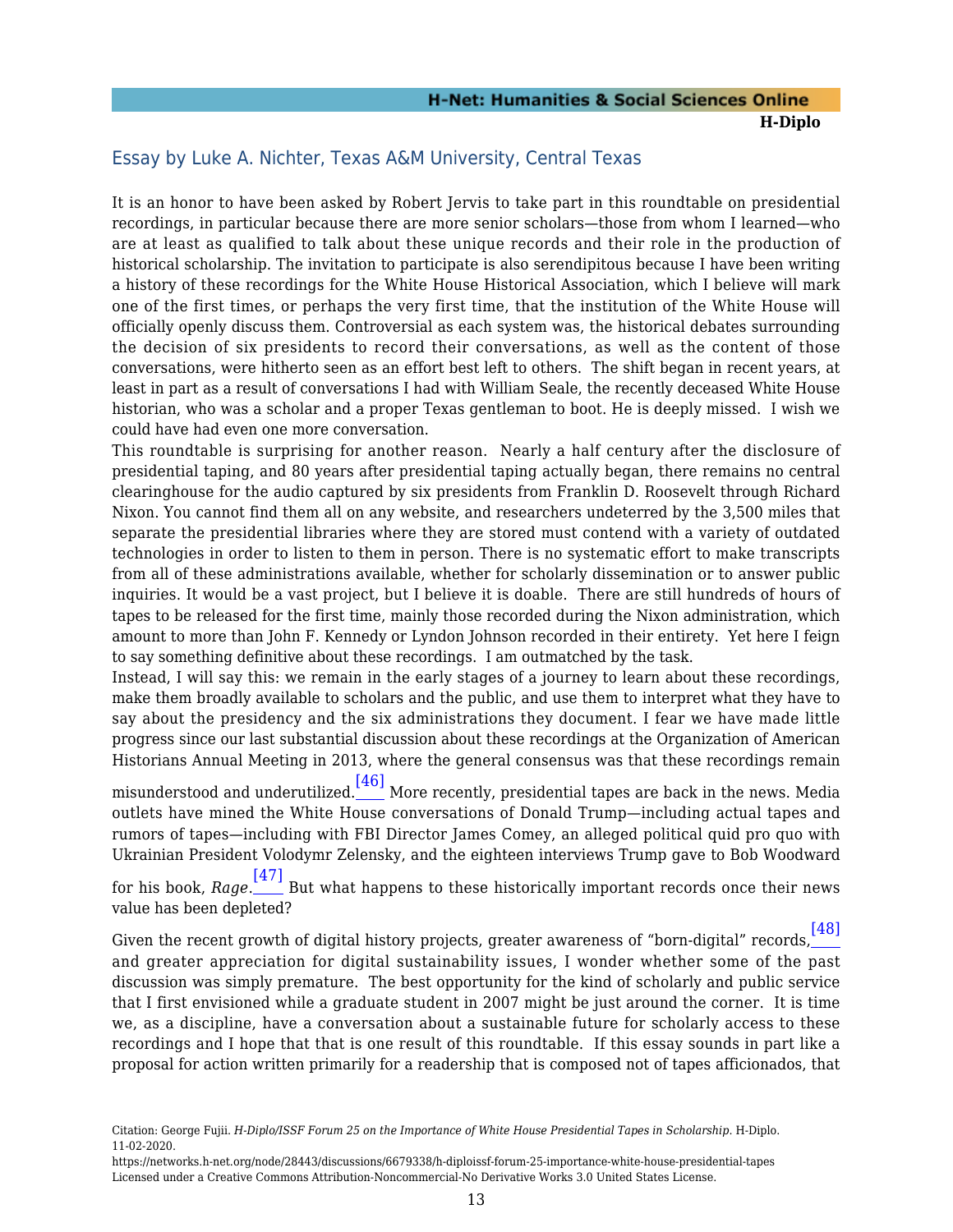#### <span id="page-14-0"></span>Essay by Luke A. Nichter, Texas A&M University, Central Texas

It is an honor to have been asked by Robert Jervis to take part in this roundtable on presidential recordings, in particular because there are more senior scholars—those from whom I learned—who are at least as qualified to talk about these unique records and their role in the production of historical scholarship. The invitation to participate is also serendipitous because I have been writing a history of these recordings for the White House Historical Association, which I believe will mark one of the first times, or perhaps the very first time, that the institution of the White House will officially openly discuss them. Controversial as each system was, the historical debates surrounding the decision of six presidents to record their conversations, as well as the content of those conversations, were hitherto seen as an effort best left to others. The shift began in recent years, at least in part as a result of conversations I had with William Seale, the recently deceased White House historian, who was a scholar and a proper Texas gentleman to boot. He is deeply missed. I wish we could have had even one more conversation.

This roundtable is surprising for another reason. Nearly a half century after the disclosure of presidential taping, and 80 years after presidential taping actually began, there remains no central clearinghouse for the audio captured by six presidents from Franklin D. Roosevelt through Richard Nixon. You cannot find them all on any website, and researchers undeterred by the 3,500 miles that separate the presidential libraries where they are stored must contend with a variety of outdated technologies in order to listen to them in person. There is no systematic effort to make transcripts from all of these administrations available, whether for scholarly dissemination or to answer public inquiries. It would be a vast project, but I believe it is doable. There are still hundreds of hours of tapes to be released for the first time, mainly those recorded during the Nixon administration, which amount to more than John F. Kennedy or Lyndon Johnson recorded in their entirety. Yet here I feign to say something definitive about these recordings. I am outmatched by the task.

Instead, I will say this: we remain in the early stages of a journey to learn about these recordings, make them broadly available to scholars and the public, and use them to interpret what they have to say about the presidency and the six administrations they document. I fear we have made little progress since our last substantial discussion about these recordings at the Organization of American Historians Annual Meeting in 2013, where the general consensus was that these recordings remain

<span id="page-14-1"></span>misunderstood and underutilized. $\frac{[46]}{[46]}$  $\frac{[46]}{[46]}$  $\frac{[46]}{[46]}$  More recently, presidential tapes are back in the news. Media outlets have mined the White House conversations of Donald Trump—including actual tapes and rumors of tapes—including with FBI Director James Comey, an alleged political quid pro quo with Ukrainian President Volodymr Zelensky, and the eighteen interviews Trump gave to Bob Woodward

<span id="page-14-2"></span>for his book, *Rage*. [\[47\]](#page-27-7) But what happens to these historically important records once their news value has been depleted?

<span id="page-14-3"></span>Given the recent growth of digital history projects, greater awareness of "born-digital" records, [\[48\]](#page-27-8) and greater appreciation for digital sustainability issues, I wonder whether some of the past discussion was simply premature. The best opportunity for the kind of scholarly and public service that I first envisioned while a graduate student in 2007 might be just around the corner. It is time we, as a discipline, have a conversation about a sustainable future for scholarly access to these recordings and I hope that that is one result of this roundtable. If this essay sounds in part like a proposal for action written primarily for a readership that is composed not of tapes afficionados, that

https://networks.h-net.org/node/28443/discussions/6679338/h-diploissf-forum-25-importance-white-house-presidential-tapes Licensed under a Creative Commons Attribution-Noncommercial-No Derivative Works 3.0 United States License.

Citation: George Fujii. *H-Diplo/ISSF Forum 25 on the Importance of White House Presidential Tapes in Scholarship*. H-Diplo. 11-02-2020.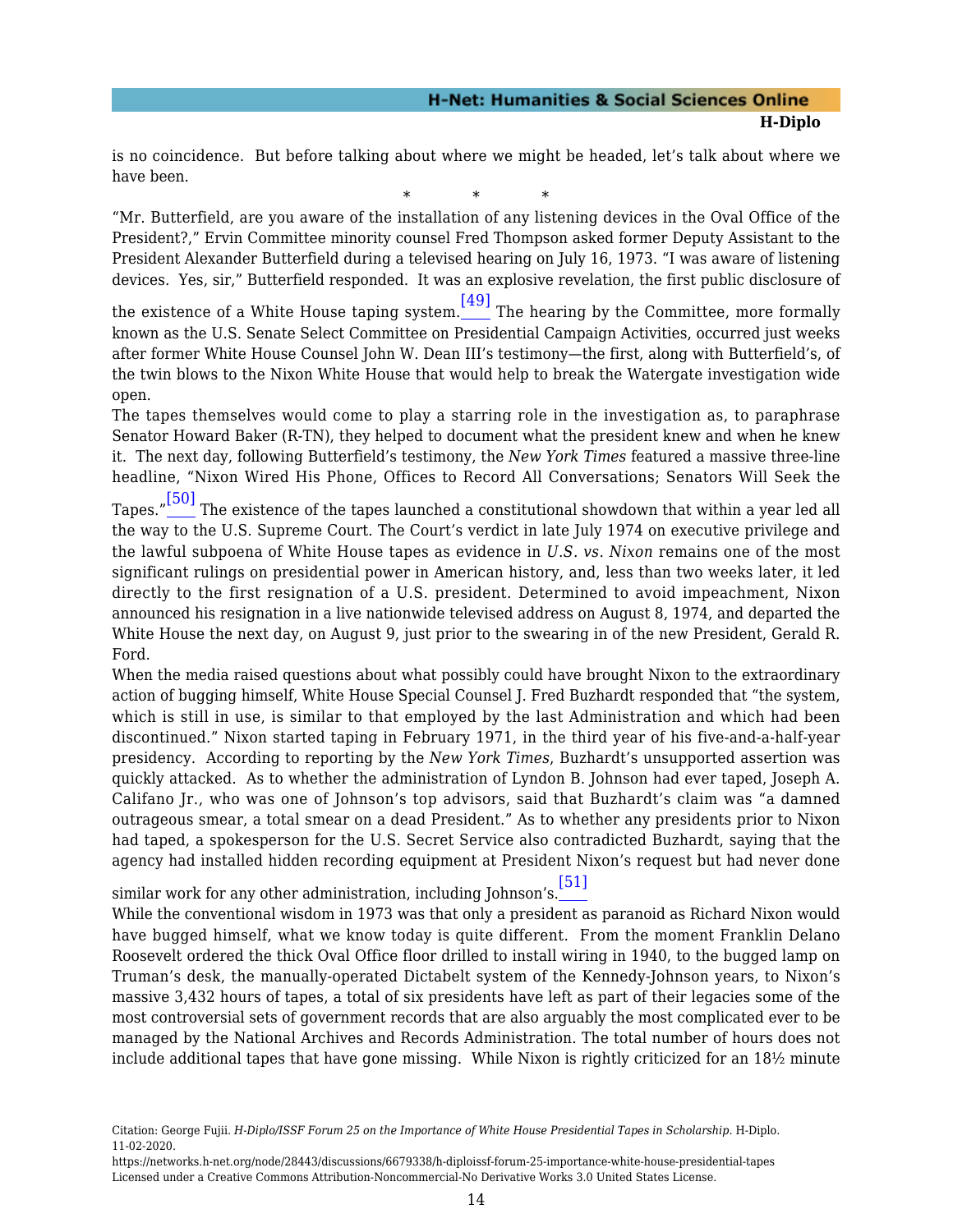is no coincidence. But before talking about where we might be headed, let's talk about where we have been.

\* \* \*

"Mr. Butterfield, are you aware of the installation of any listening devices in the Oval Office of the President?," Ervin Committee minority counsel Fred Thompson asked former Deputy Assistant to the President Alexander Butterfield during a televised hearing on July 16, 1973. "I was aware of listening devices. Yes, sir," Butterfield responded. It was an explosive revelation, the first public disclosure of

<span id="page-15-0"></span>the existence of a White House taping system.\_\_\_\_ The hearing by the Committee, more formally known as the U.S. Senate Select Committee on Presidential Campaign Activities, occurred just weeks after former White House Counsel John W. Dean III's testimony—the first, along with Butterfield's, of the twin blows to the Nixon White House that would help to break the Watergate investigation wide open.

The tapes themselves would come to play a starring role in the investigation as, to paraphrase Senator Howard Baker (R-TN), they helped to document what the president knew and when he knew it. The next day, following Butterfield's testimony, the *New York Times* featured a massive three-line headline, "Nixon Wired His Phone, Offices to Record All Conversations; Senators Will Seek the

<span id="page-15-1"></span>Tapes." [\[50\]](#page-28-0) The existence of the tapes launched a constitutional showdown that within a year led all the way to the U.S. Supreme Court. The Court's verdict in late July 1974 on executive privilege and the lawful subpoena of White House tapes as evidence in *U.S. vs. Nixon* remains one of the most significant rulings on presidential power in American history, and, less than two weeks later, it led directly to the first resignation of a U.S. president. Determined to avoid impeachment, Nixon announced his resignation in a live nationwide televised address on August 8, 1974, and departed the White House the next day, on August 9, just prior to the swearing in of the new President, Gerald R. Ford.

When the media raised questions about what possibly could have brought Nixon to the extraordinary action of bugging himself, White House Special Counsel J. Fred Buzhardt responded that "the system, which is still in use, is similar to that employed by the last Administration and which had been discontinued." Nixon started taping in February 1971, in the third year of his five-and-a-half-year presidency. According to reporting by the *New York Times*, Buzhardt's unsupported assertion was quickly attacked. As to whether the administration of Lyndon B. Johnson had ever taped, Joseph A. Califano Jr., who was one of Johnson's top advisors, said that Buzhardt's claim was "a damned outrageous smear, a total smear on a dead President." As to whether any presidents prior to Nixon had taped, a spokesperson for the U.S. Secret Service also contradicted Buzhardt, saying that the agency had installed hidden recording equipment at President Nixon's request but had never done

<span id="page-15-2"></span>similar work for any other administration, including Johnson's. [\[51\]](#page-28-1)

While the conventional wisdom in 1973 was that only a president as paranoid as Richard Nixon would have bugged himself, what we know today is quite different. From the moment Franklin Delano Roosevelt ordered the thick Oval Office floor drilled to install wiring in 1940, to the bugged lamp on Truman's desk, the manually-operated Dictabelt system of the Kennedy-Johnson years, to Nixon's massive 3,432 hours of tapes, a total of six presidents have left as part of their legacies some of the most controversial sets of government records that are also arguably the most complicated ever to be managed by the National Archives and Records Administration. The total number of hours does not include additional tapes that have gone missing. While Nixon is rightly criticized for an 18½ minute

Citation: George Fujii. *H-Diplo/ISSF Forum 25 on the Importance of White House Presidential Tapes in Scholarship*. H-Diplo. 11-02-2020.

https://networks.h-net.org/node/28443/discussions/6679338/h-diploissf-forum-25-importance-white-house-presidential-tapes Licensed under a Creative Commons Attribution-Noncommercial-No Derivative Works 3.0 United States License.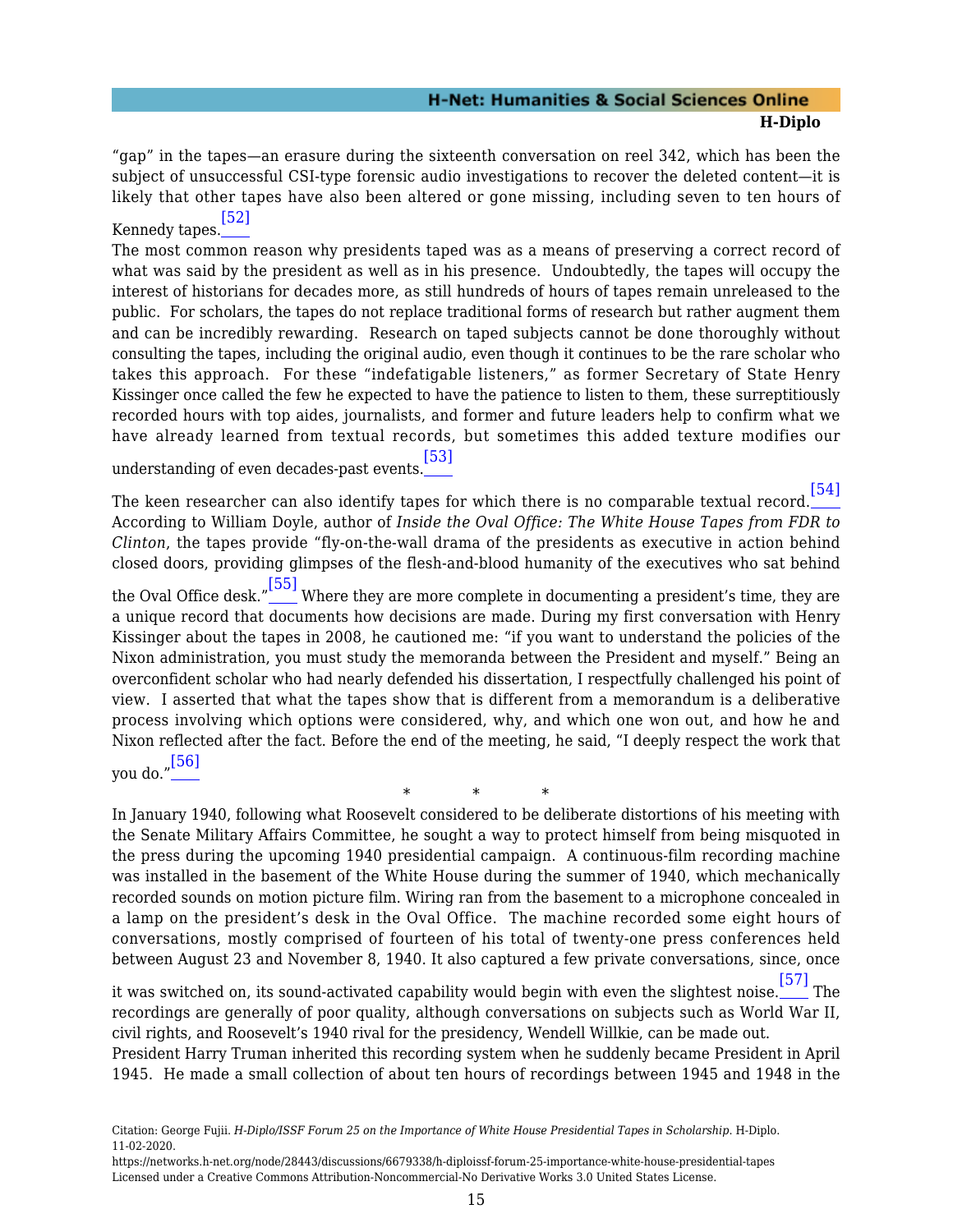"gap" in the tapes—an erasure during the sixteenth conversation on reel 342, which has been the subject of unsuccessful CSI-type forensic audio investigations to recover the deleted content—it is likely that other tapes have also been altered or gone missing, including seven to ten hours of [\[52\]](#page-28-2)

#### <span id="page-16-0"></span>Kennedy tapes.

The most common reason why presidents taped was as a means of preserving a correct record of what was said by the president as well as in his presence. Undoubtedly, the tapes will occupy the interest of historians for decades more, as still hundreds of hours of tapes remain unreleased to the public. For scholars, the tapes do not replace traditional forms of research but rather augment them and can be incredibly rewarding. Research on taped subjects cannot be done thoroughly without consulting the tapes, including the original audio, even though it continues to be the rare scholar who takes this approach. For these "indefatigable listeners," as former Secretary of State Henry Kissinger once called the few he expected to have the patience to listen to them, these surreptitiously recorded hours with top aides, journalists, and former and future leaders help to confirm what we have already learned from textual records, but sometimes this added texture modifies our [\[53\]](#page-28-3)

#### <span id="page-16-1"></span>understanding of even decades-past events.

<span id="page-16-2"></span>The keen researcher can also identify tapes for which there is no comparable textual record. [\[54\]](#page-28-4) According to William Doyle, author of *Inside the Oval Office: The White House Tapes from FDR to Clinton*, the tapes provide "fly-on-the-wall drama of the presidents as executive in action behind closed doors, providing glimpses of the flesh-and-blood humanity of the executives who sat behind the Oval Office desk." $\frac{[55]}{[56]}$  $\frac{[55]}{[56]}$  $\frac{[55]}{[56]}$  Where they are more complete in documenting a president's time, they are

<span id="page-16-3"></span>a unique record that documents how decisions are made. During my first conversation with Henry Kissinger about the tapes in 2008, he cautioned me: "if you want to understand the policies of the Nixon administration, you must study the memoranda between the President and myself." Being an overconfident scholar who had nearly defended his dissertation, I respectfully challenged his point of view. I asserted that what the tapes show that is different from a memorandum is a deliberative process involving which options were considered, why, and which one won out, and how he and Nixon reflected after the fact. Before the end of the meeting, he said, "I deeply respect the work that

<span id="page-16-4"></span>you do."<u>. 56]</u>

In January 1940, following what Roosevelt considered to be deliberate distortions of his meeting with the Senate Military Affairs Committee, he sought a way to protect himself from being misquoted in the press during the upcoming 1940 presidential campaign. A continuous-film recording machine was installed in the basement of the White House during the summer of 1940, which mechanically recorded sounds on motion picture film. Wiring ran from the basement to a microphone concealed in a lamp on the president's desk in the Oval Office. The machine recorded some eight hours of conversations, mostly comprised of fourteen of his total of twenty-one press conferences held between August 23 and November 8, 1940. It also captured a few private conversations, since, once

\* \* \*

<span id="page-16-5"></span>it was switched on, its sound-activated capability would begin with even the slightest noise. [\[57\]](#page-28-7) The recordings are generally of poor quality, although conversations on subjects such as World War II, civil rights, and Roosevelt's 1940 rival for the presidency, Wendell Willkie, can be made out.

President Harry Truman inherited this recording system when he suddenly became President in April 1945. He made a small collection of about ten hours of recordings between 1945 and 1948 in the

Citation: George Fujii. *H-Diplo/ISSF Forum 25 on the Importance of White House Presidential Tapes in Scholarship*. H-Diplo. 11-02-2020.

https://networks.h-net.org/node/28443/discussions/6679338/h-diploissf-forum-25-importance-white-house-presidential-tapes Licensed under a Creative Commons Attribution-Noncommercial-No Derivative Works 3.0 United States License.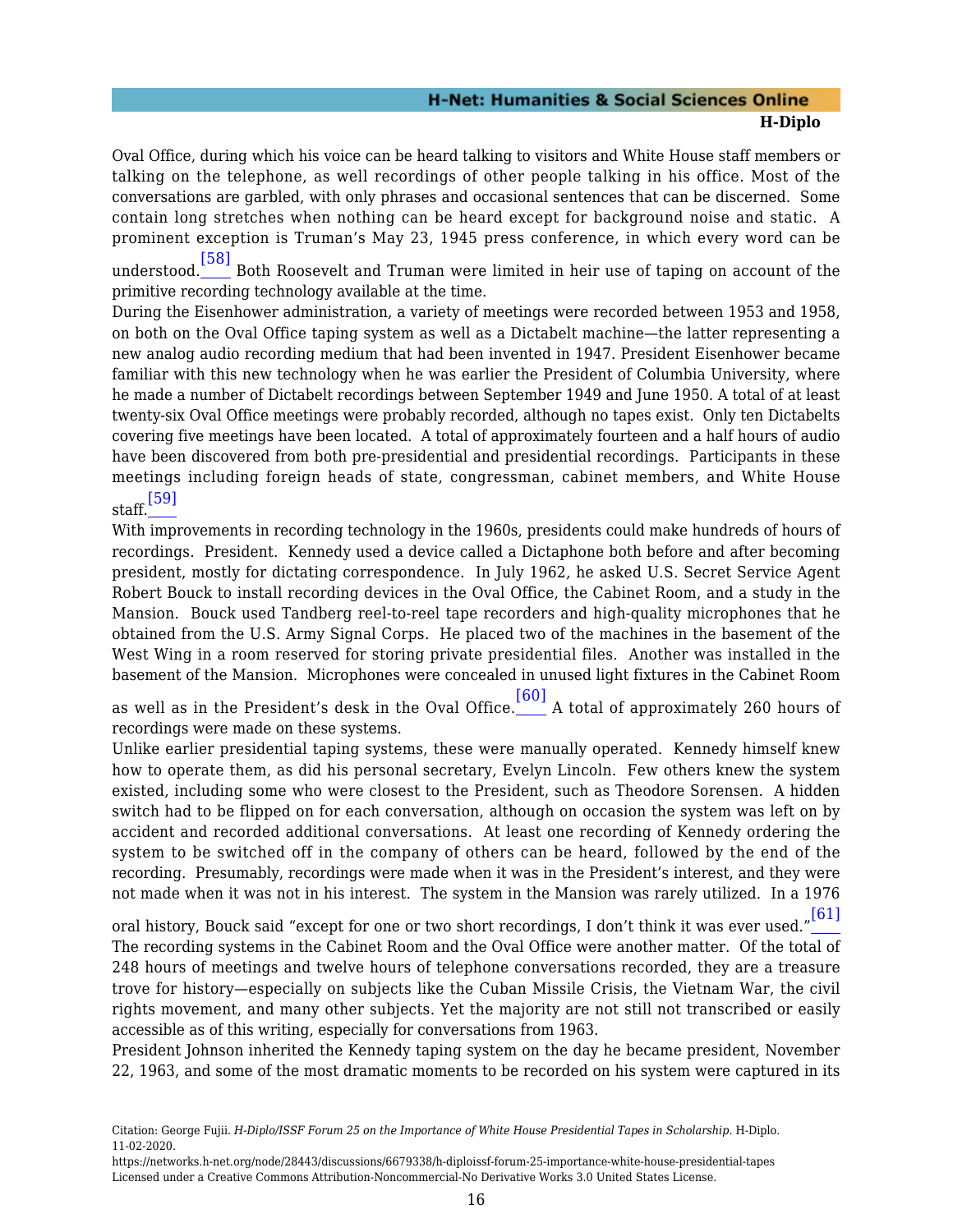Oval Office, during which his voice can be heard talking to visitors and White House staff members or talking on the telephone, as well recordings of other people talking in his office. Most of the conversations are garbled, with only phrases and occasional sentences that can be discerned. Some contain long stretches when nothing can be heard except for background noise and static. A prominent exception is Truman's May 23, 1945 press conference, in which every word can be

<span id="page-17-0"></span>understood.\_\_\_\_ Both Roosevelt and Truman were limited in heir use of taping on account of the primitive recording technology available at the time.

During the Eisenhower administration, a variety of meetings were recorded between 1953 and 1958, on both on the Oval Office taping system as well as a Dictabelt machine—the latter representing a new analog audio recording medium that had been invented in 1947. President Eisenhower became familiar with this new technology when he was earlier the President of Columbia University, where he made a number of Dictabelt recordings between September 1949 and June 1950. A total of at least twenty-six Oval Office meetings were probably recorded, although no tapes exist. Only ten Dictabelts covering five meetings have been located. A total of approximately fourteen and a half hours of audio have been discovered from both pre-presidential and presidential recordings. Participants in these meetings including foreign heads of state, congressman, cabinet members, and White House

### <span id="page-17-1"></span>staff. [\[59\]](#page-29-0)

With improvements in recording technology in the 1960s, presidents could make hundreds of hours of recordings. President. Kennedy used a device called a Dictaphone both before and after becoming president, mostly for dictating correspondence. In July 1962, he asked U.S. Secret Service Agent Robert Bouck to install recording devices in the Oval Office, the Cabinet Room, and a study in the Mansion. Bouck used Tandberg reel-to-reel tape recorders and high-quality microphones that he obtained from the U.S. Army Signal Corps. He placed two of the machines in the basement of the West Wing in a room reserved for storing private presidential files. Another was installed in the basement of the Mansion. Microphones were concealed in unused light fixtures in the Cabinet Room

<span id="page-17-2"></span>as well as in the President's desk in the Oval Office. $\fbox{0} \overline{\phantom{0}}$  A total of approximately 260 hours of recordings were made on these systems.

Unlike earlier presidential taping systems, these were manually operated. Kennedy himself knew how to operate them, as did his personal secretary, Evelyn Lincoln. Few others knew the system existed, including some who were closest to the President, such as Theodore Sorensen. A hidden switch had to be flipped on for each conversation, although on occasion the system was left on by accident and recorded additional conversations. At least one recording of Kennedy ordering the system to be switched off in the company of others can be heard, followed by the end of the recording. Presumably, recordings were made when it was in the President's interest, and they were not made when it was not in his interest. The system in the Mansion was rarely utilized. In a 1976

<span id="page-17-3"></span>oral history, Bouck said "except for one or two short recordings, I don't think it was ever used." [\[61\]](#page-29-2) The recording systems in the Cabinet Room and the Oval Office were another matter. Of the total of 248 hours of meetings and twelve hours of telephone conversations recorded, they are a treasure trove for history—especially on subjects like the Cuban Missile Crisis, the Vietnam War, the civil rights movement, and many other subjects. Yet the majority are not still not transcribed or easily accessible as of this writing, especially for conversations from 1963.

President Johnson inherited the Kennedy taping system on the day he became president, November 22, 1963, and some of the most dramatic moments to be recorded on his system were captured in its

Citation: George Fujii. *H-Diplo/ISSF Forum 25 on the Importance of White House Presidential Tapes in Scholarship*. H-Diplo. 11-02-2020.

https://networks.h-net.org/node/28443/discussions/6679338/h-diploissf-forum-25-importance-white-house-presidential-tapes Licensed under a Creative Commons Attribution-Noncommercial-No Derivative Works 3.0 United States License.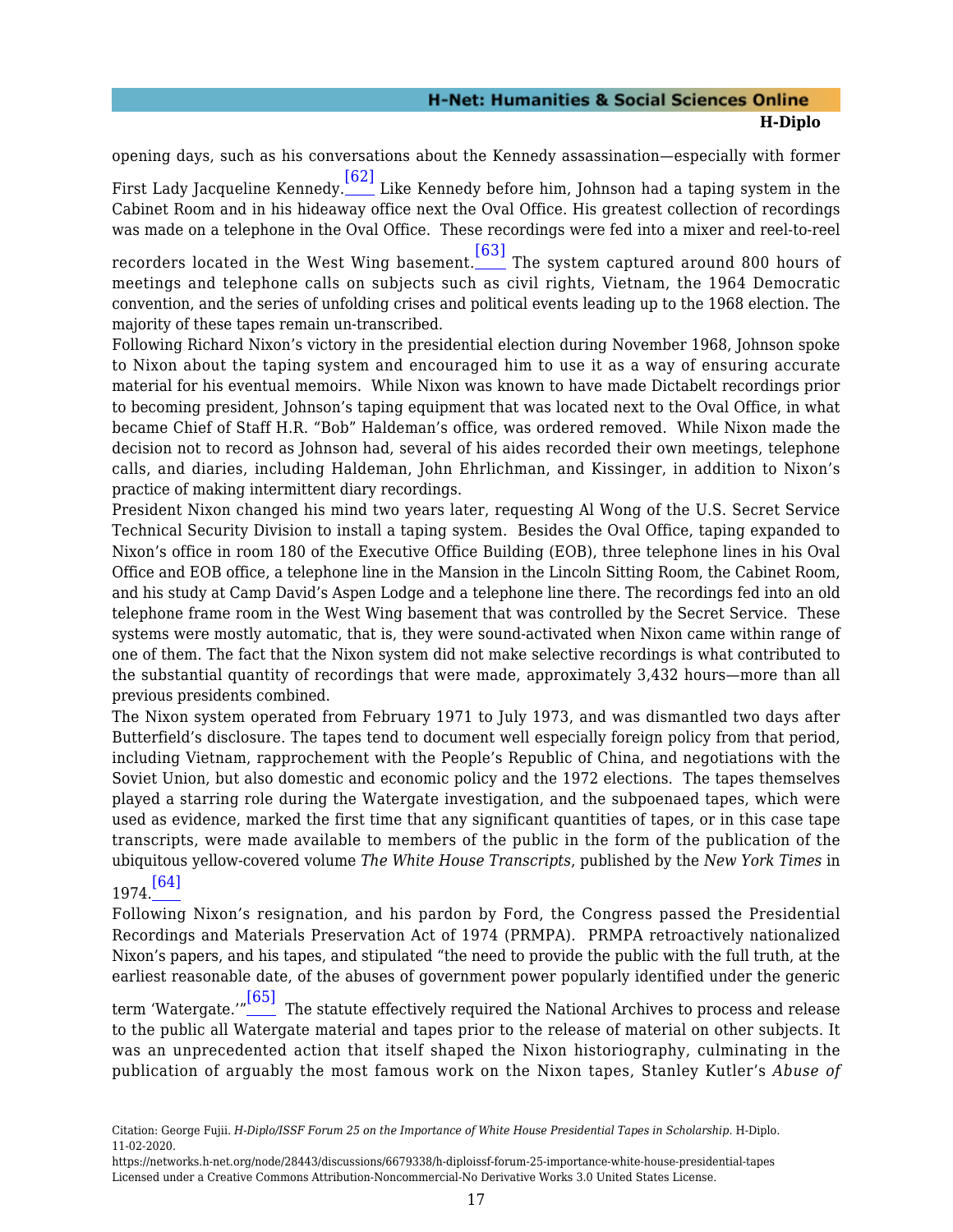opening days, such as his conversations about the Kennedy assassination—especially with former

<span id="page-18-0"></span>First Lady Jacqueline Kennedy. [\[62\]](#page-29-3) Like Kennedy before him, Johnson had a taping system in the Cabinet Room and in his hideaway office next the Oval Office. His greatest collection of recordings was made on a telephone in the Oval Office. These recordings were fed into a mixer and reel-to-reel

<span id="page-18-1"></span>recorders located in the West Wing basement. $\frac{[63]}{[63]}$  $\frac{[63]}{[63]}$  $\frac{[63]}{[63]}$  The system captured around 800 hours of meetings and telephone calls on subjects such as civil rights, Vietnam, the 1964 Democratic convention, and the series of unfolding crises and political events leading up to the 1968 election. The majority of these tapes remain un-transcribed.

Following Richard Nixon's victory in the presidential election during November 1968, Johnson spoke to Nixon about the taping system and encouraged him to use it as a way of ensuring accurate material for his eventual memoirs. While Nixon was known to have made Dictabelt recordings prior to becoming president, Johnson's taping equipment that was located next to the Oval Office, in what became Chief of Staff H.R. "Bob" Haldeman's office, was ordered removed. While Nixon made the decision not to record as Johnson had, several of his aides recorded their own meetings, telephone calls, and diaries, including Haldeman, John Ehrlichman, and Kissinger, in addition to Nixon's practice of making intermittent diary recordings.

President Nixon changed his mind two years later, requesting Al Wong of the U.S. Secret Service Technical Security Division to install a taping system. Besides the Oval Office, taping expanded to Nixon's office in room 180 of the Executive Office Building (EOB), three telephone lines in his Oval Office and EOB office, a telephone line in the Mansion in the Lincoln Sitting Room, the Cabinet Room, and his study at Camp David's Aspen Lodge and a telephone line there. The recordings fed into an old telephone frame room in the West Wing basement that was controlled by the Secret Service. These systems were mostly automatic, that is, they were sound-activated when Nixon came within range of one of them. The fact that the Nixon system did not make selective recordings is what contributed to the substantial quantity of recordings that were made, approximately 3,432 hours—more than all previous presidents combined.

The Nixon system operated from February 1971 to July 1973, and was dismantled two days after Butterfield's disclosure. The tapes tend to document well especially foreign policy from that period, including Vietnam, rapprochement with the People's Republic of China, and negotiations with the Soviet Union, but also domestic and economic policy and the 1972 elections. The tapes themselves played a starring role during the Watergate investigation, and the subpoenaed tapes, which were used as evidence, marked the first time that any significant quantities of tapes, or in this case tape transcripts, were made available to members of the public in the form of the publication of the ubiquitous yellow-covered volume *The White House Transcripts*, published by the *New York Times* in

### <span id="page-18-2"></span>1974. [\[64\]](#page-29-5)

Following Nixon's resignation, and his pardon by Ford, the Congress passed the Presidential Recordings and Materials Preservation Act of 1974 (PRMPA). PRMPA retroactively nationalized Nixon's papers, and his tapes, and stipulated "the need to provide the public with the full truth, at the earliest reasonable date, of the abuses of government power popularly identified under the generic

<span id="page-18-3"></span>term 'Watergate.'" [\[65\]](#page-29-6) The statute effectively required the National Archives to process and release to the public all Watergate material and tapes prior to the release of material on other subjects. It was an unprecedented action that itself shaped the Nixon historiography, culminating in the publication of arguably the most famous work on the Nixon tapes, Stanley Kutler's *Abuse of*

<span id="page-18-4"></span>Citation: George Fujii. *H-Diplo/ISSF Forum 25 on the Importance of White House Presidential Tapes in Scholarship*. H-Diplo. 11-02-2020.

https://networks.h-net.org/node/28443/discussions/6679338/h-diploissf-forum-25-importance-white-house-presidential-tapes Licensed under a Creative Commons Attribution-Noncommercial-No Derivative Works 3.0 United States License.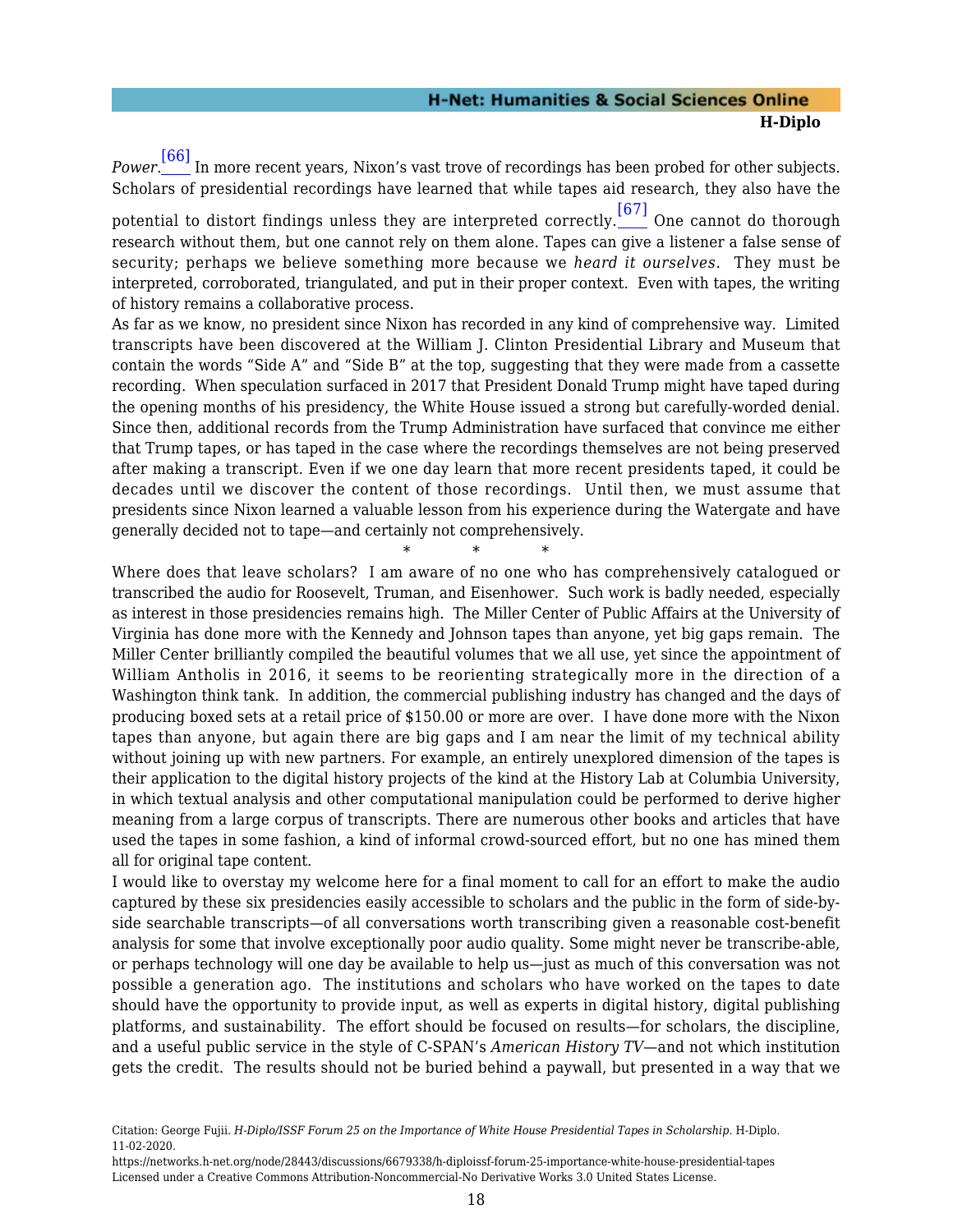*Power*. [\[66\]](#page-29-7) In more recent years, Nixon's vast trove of recordings has been probed for other subjects. Scholars of presidential recordings have learned that while tapes aid research, they also have the

<span id="page-19-0"></span>potential to distort findings unless they are interpreted correctly.\_\_\_\_ One cannot do thorough research without them, but one cannot rely on them alone. Tapes can give a listener a false sense of security; perhaps we believe something more because we *heard it ourselves*. They must be interpreted, corroborated, triangulated, and put in their proper context. Even with tapes, the writing of history remains a collaborative process.

As far as we know, no president since Nixon has recorded in any kind of comprehensive way. Limited transcripts have been discovered at the William J. Clinton Presidential Library and Museum that contain the words "Side A" and "Side B" at the top, suggesting that they were made from a cassette recording. When speculation surfaced in 2017 that President Donald Trump might have taped during the opening months of his presidency, the White House issued a strong but carefully-worded denial. Since then, additional records from the Trump Administration have surfaced that convince me either that Trump tapes, or has taped in the case where the recordings themselves are not being preserved after making a transcript. Even if we one day learn that more recent presidents taped, it could be decades until we discover the content of those recordings. Until then, we must assume that presidents since Nixon learned a valuable lesson from his experience during the Watergate and have generally decided not to tape—and certainly not comprehensively.

\* \* \* Where does that leave scholars? I am aware of no one who has comprehensively catalogued or transcribed the audio for Roosevelt, Truman, and Eisenhower. Such work is badly needed, especially as interest in those presidencies remains high. The Miller Center of Public Affairs at the University of Virginia has done more with the Kennedy and Johnson tapes than anyone, yet big gaps remain. The Miller Center brilliantly compiled the beautiful volumes that we all use, yet since the appointment of William Antholis in 2016, it seems to be reorienting strategically more in the direction of a Washington think tank. In addition, the commercial publishing industry has changed and the days of producing boxed sets at a retail price of \$150.00 or more are over. I have done more with the Nixon tapes than anyone, but again there are big gaps and I am near the limit of my technical ability without joining up with new partners. For example, an entirely unexplored dimension of the tapes is their application to the digital history projects of the kind at the History Lab at Columbia University, in which textual analysis and other computational manipulation could be performed to derive higher meaning from a large corpus of transcripts. There are numerous other books and articles that have used the tapes in some fashion, a kind of informal crowd-sourced effort, but no one has mined them all for original tape content.

I would like to overstay my welcome here for a final moment to call for an effort to make the audio captured by these six presidencies easily accessible to scholars and the public in the form of side-byside searchable transcripts—of all conversations worth transcribing given a reasonable cost-benefit analysis for some that involve exceptionally poor audio quality. Some might never be transcribe-able, or perhaps technology will one day be available to help us—just as much of this conversation was not possible a generation ago. The institutions and scholars who have worked on the tapes to date should have the opportunity to provide input, as well as experts in digital history, digital publishing platforms, and sustainability. The effort should be focused on results—for scholars, the discipline, and a useful public service in the style of C-SPAN's *American History TV*—and not which institution gets the credit. The results should not be buried behind a paywall, but presented in a way that we

Citation: George Fujii. *H-Diplo/ISSF Forum 25 on the Importance of White House Presidential Tapes in Scholarship*. H-Diplo. 11-02-2020.

https://networks.h-net.org/node/28443/discussions/6679338/h-diploissf-forum-25-importance-white-house-presidential-tapes Licensed under a Creative Commons Attribution-Noncommercial-No Derivative Works 3.0 United States License.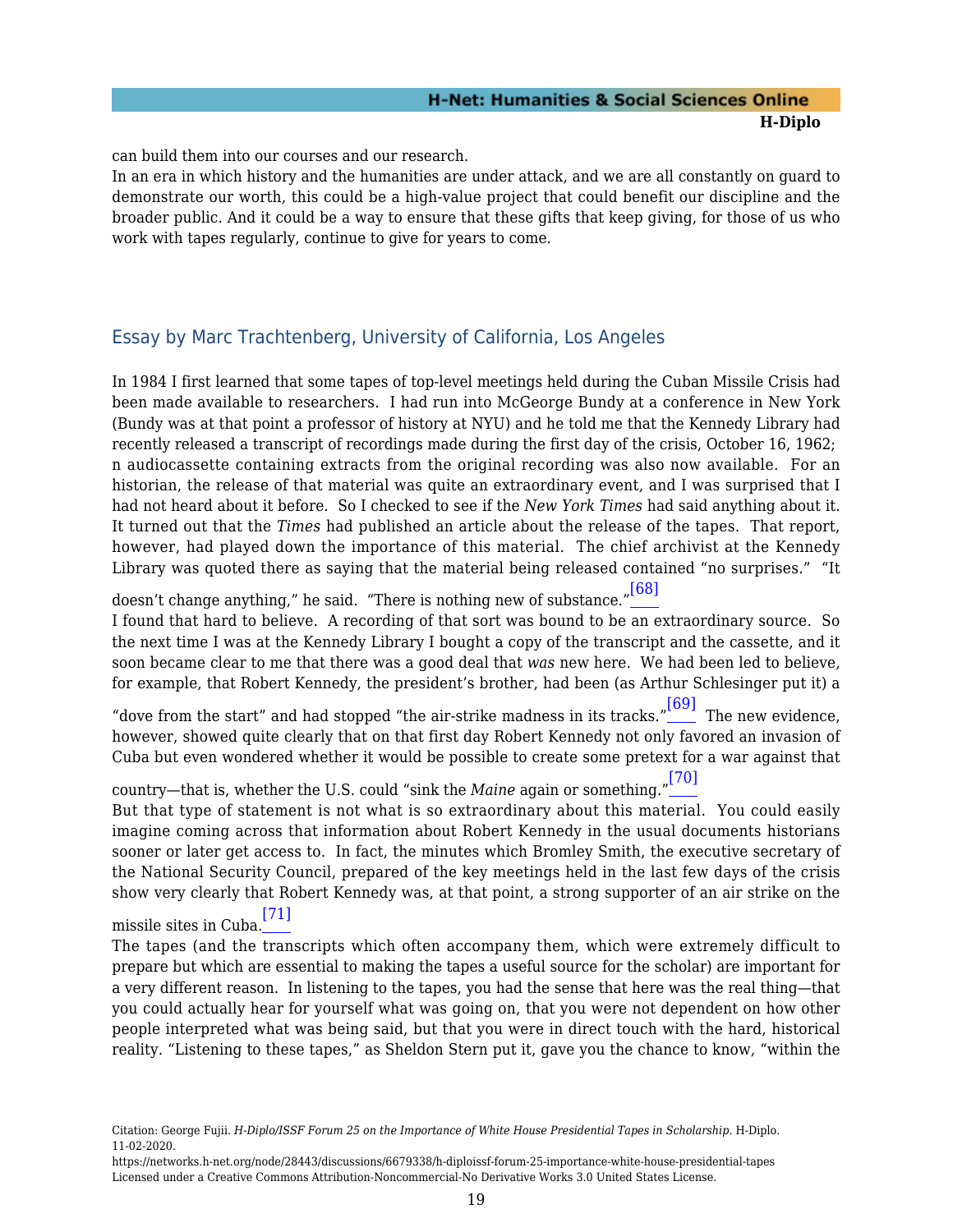can build them into our courses and our research.

In an era in which history and the humanities are under attack, and we are all constantly on guard to demonstrate our worth, this could be a high-value project that could benefit our discipline and the broader public. And it could be a way to ensure that these gifts that keep giving, for those of us who work with tapes regularly, continue to give for years to come.

#### <span id="page-20-0"></span>Essay by Marc Trachtenberg, University of California, Los Angeles

In 1984 I first learned that some tapes of top-level meetings held during the Cuban Missile Crisis had been made available to researchers. I had run into McGeorge Bundy at a conference in New York (Bundy was at that point a professor of history at NYU) and he told me that the Kennedy Library had recently released a transcript of recordings made during the first day of the crisis, October 16, 1962; n audiocassette containing extracts from the original recording was also now available. For an historian, the release of that material was quite an extraordinary event, and I was surprised that I had not heard about it before. So I checked to see if the *New York Times* had said anything about it. It turned out that the *Times* had published an article about the release of the tapes. That report, however, had played down the importance of this material. The chief archivist at the Kennedy Library was quoted there as saying that the material being released contained "no surprises." "It

<span id="page-20-1"></span>doesn't change anything," he said. "There is nothing new of substance." [\[68\]](#page-29-9) I found that hard to believe. A recording of that sort was bound to be an extraordinary source. So the next time I was at the Kennedy Library I bought a copy of the transcript and the cassette, and it soon became clear to me that there was a good deal that *was* new here. We had been led to believe, for example, that Robert Kennedy, the president's brother, had been (as Arthur Schlesinger put it) a

<span id="page-20-2"></span>"dove from the start" and had stopped "the air-strike madness in its tracks." $\underbrace{^{[69]}}$  $\underbrace{^{[69]}}$  $\underbrace{^{[69]}}$  The new evidence, however, showed quite clearly that on that first day Robert Kennedy not only favored an invasion of Cuba but even wondered whether it would be possible to create some pretext for a war against that

<span id="page-20-3"></span>country—that is, whether the U.S. could "sink the *Maine* again or something." [\[70\]](#page-29-11) But that type of statement is not what is so extraordinary about this material. You could easily imagine coming across that information about Robert Kennedy in the usual documents historians sooner or later get access to. In fact, the minutes which Bromley Smith, the executive secretary of the National Security Council, prepared of the key meetings held in the last few days of the crisis show very clearly that Robert Kennedy was, at that point, a strong supporter of an air strike on the [\[71\]](#page-29-12)

#### <span id="page-20-4"></span>missile sites in Cuba.

The tapes (and the transcripts which often accompany them, which were extremely difficult to prepare but which are essential to making the tapes a useful source for the scholar) are important for a very different reason. In listening to the tapes, you had the sense that here was the real thing—that you could actually hear for yourself what was going on, that you were not dependent on how other people interpreted what was being said, but that you were in direct touch with the hard, historical reality. "Listening to these tapes," as Sheldon Stern put it, gave you the chance to know, "within the

<span id="page-20-5"></span>Citation: George Fujii. *H-Diplo/ISSF Forum 25 on the Importance of White House Presidential Tapes in Scholarship*. H-Diplo. 11-02-2020.

https://networks.h-net.org/node/28443/discussions/6679338/h-diploissf-forum-25-importance-white-house-presidential-tapes Licensed under a Creative Commons Attribution-Noncommercial-No Derivative Works 3.0 United States License.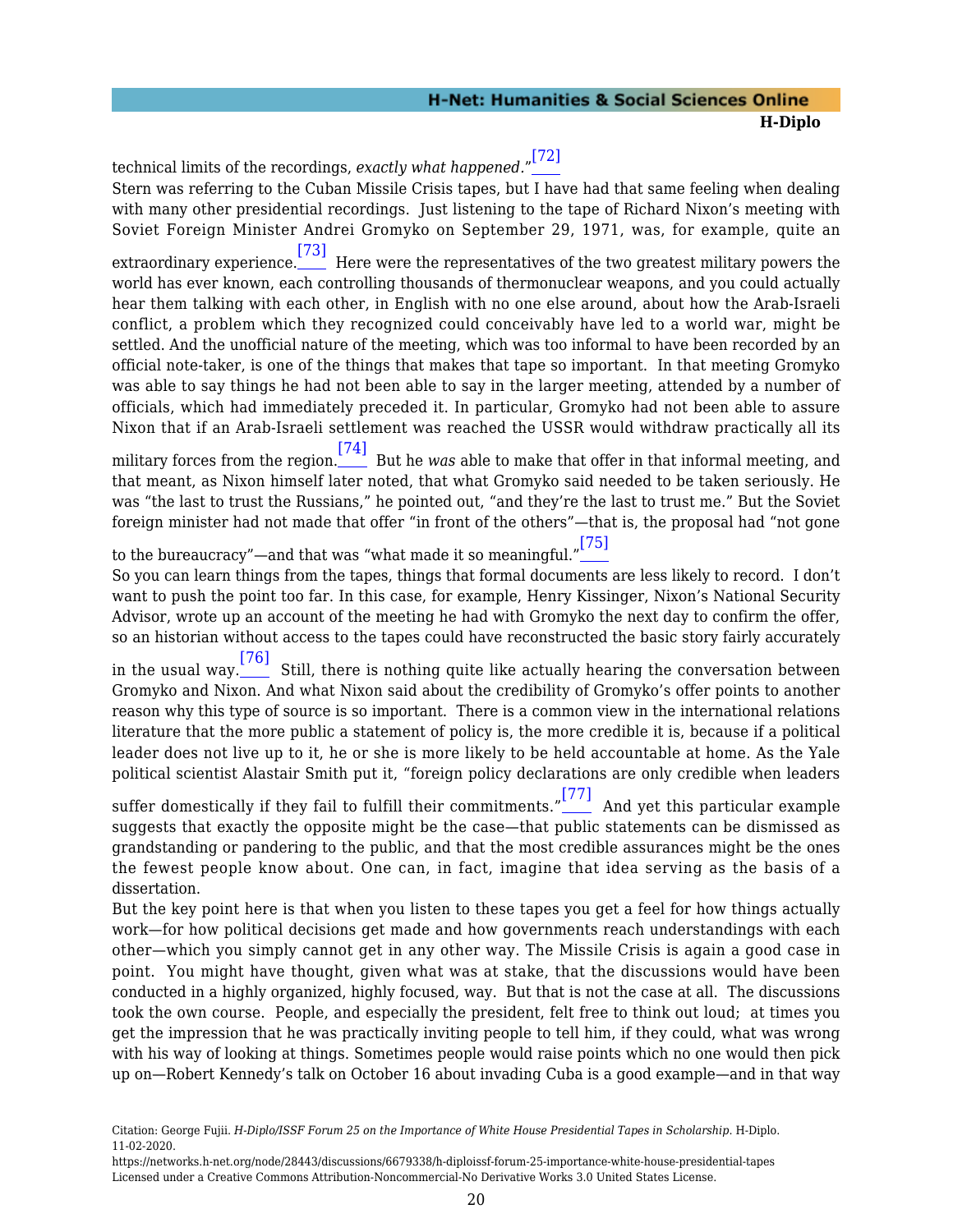technical limits of the recordings, *exactly what happened.*" [\[72\]](#page-29-13) Stern was referring to the Cuban Missile Crisis tapes, but I have had that same feeling when dealing with many other presidential recordings. Just listening to the tape of Richard Nixon's meeting with Soviet Foreign Minister Andrei Gromyko on September 29, 1971, was, for example, quite an

<span id="page-21-0"></span>extraordinary experience.\_\_\_\_\_ Here were the representatives of the two greatest military powers the world has ever known, each controlling thousands of thermonuclear weapons, and you could actually hear them talking with each other, in English with no one else around, about how the Arab-Israeli conflict, a problem which they recognized could conceivably have led to a world war, might be settled. And the unofficial nature of the meeting, which was too informal to have been recorded by an official note-taker, is one of the things that makes that tape so important. In that meeting Gromyko was able to say things he had not been able to say in the larger meeting, attended by a number of officials, which had immediately preceded it. In particular, Gromyko had not been able to assure Nixon that if an Arab-Israeli settlement was reached the USSR would withdraw practically all its

<span id="page-21-1"></span>military forces from the region. [\[74\]](#page-29-15) But he *was* able to make that offer in that informal meeting, and that meant, as Nixon himself later noted, that what Gromyko said needed to be taken seriously. He was "the last to trust the Russians," he pointed out, "and they're the last to trust me." But the Soviet foreign minister had not made that offer "in front of the others"—that is, the proposal had "not gone

<span id="page-21-2"></span>to the bureaucracy"—and that was "what made it so meaningful." [\[75\]](#page-29-16)

So you can learn things from the tapes, things that formal documents are less likely to record. I don't want to push the point too far. In this case, for example, Henry Kissinger, Nixon's National Security Advisor, wrote up an account of the meeting he had with Gromyko the next day to confirm the offer, so an historian without access to the tapes could have reconstructed the basic story fairly accurately in the usual way.  $\boxed{76}$  Still, there is nothing quite like actually hearing the conversation between

<span id="page-21-3"></span>Gromyko and Nixon. And what Nixon said about the credibility of Gromyko's offer points to another reason why this type of source is so important. There is a common view in the international relations literature that the more public a statement of policy is, the more credible it is, because if a political leader does not live up to it, he or she is more likely to be held accountable at home. As the Yale political scientist Alastair Smith put it, "foreign policy declarations are only credible when leaders

<span id="page-21-4"></span>suffer domestically if they fail to fulfill their commitments." $\frac{[77]}{2}$  $\frac{[77]}{2}$  $\frac{[77]}{2}$  And yet this particular example suggests that exactly the opposite might be the case—that public statements can be dismissed as grandstanding or pandering to the public, and that the most credible assurances might be the ones the fewest people know about. One can, in fact, imagine that idea serving as the basis of a dissertation.

But the key point here is that when you listen to these tapes you get a feel for how things actually work—for how political decisions get made and how governments reach understandings with each other—which you simply cannot get in any other way. The Missile Crisis is again a good case in point. You might have thought, given what was at stake, that the discussions would have been conducted in a highly organized, highly focused, way. But that is not the case at all. The discussions took the own course. People, and especially the president, felt free to think out loud; at times you get the impression that he was practically inviting people to tell him, if they could, what was wrong with his way of looking at things. Sometimes people would raise points which no one would then pick up on—Robert Kennedy's talk on October 16 about invading Cuba is a good example—and in that way

Citation: George Fujii. *H-Diplo/ISSF Forum 25 on the Importance of White House Presidential Tapes in Scholarship*. H-Diplo. 11-02-2020.

https://networks.h-net.org/node/28443/discussions/6679338/h-diploissf-forum-25-importance-white-house-presidential-tapes Licensed under a Creative Commons Attribution-Noncommercial-No Derivative Works 3.0 United States License.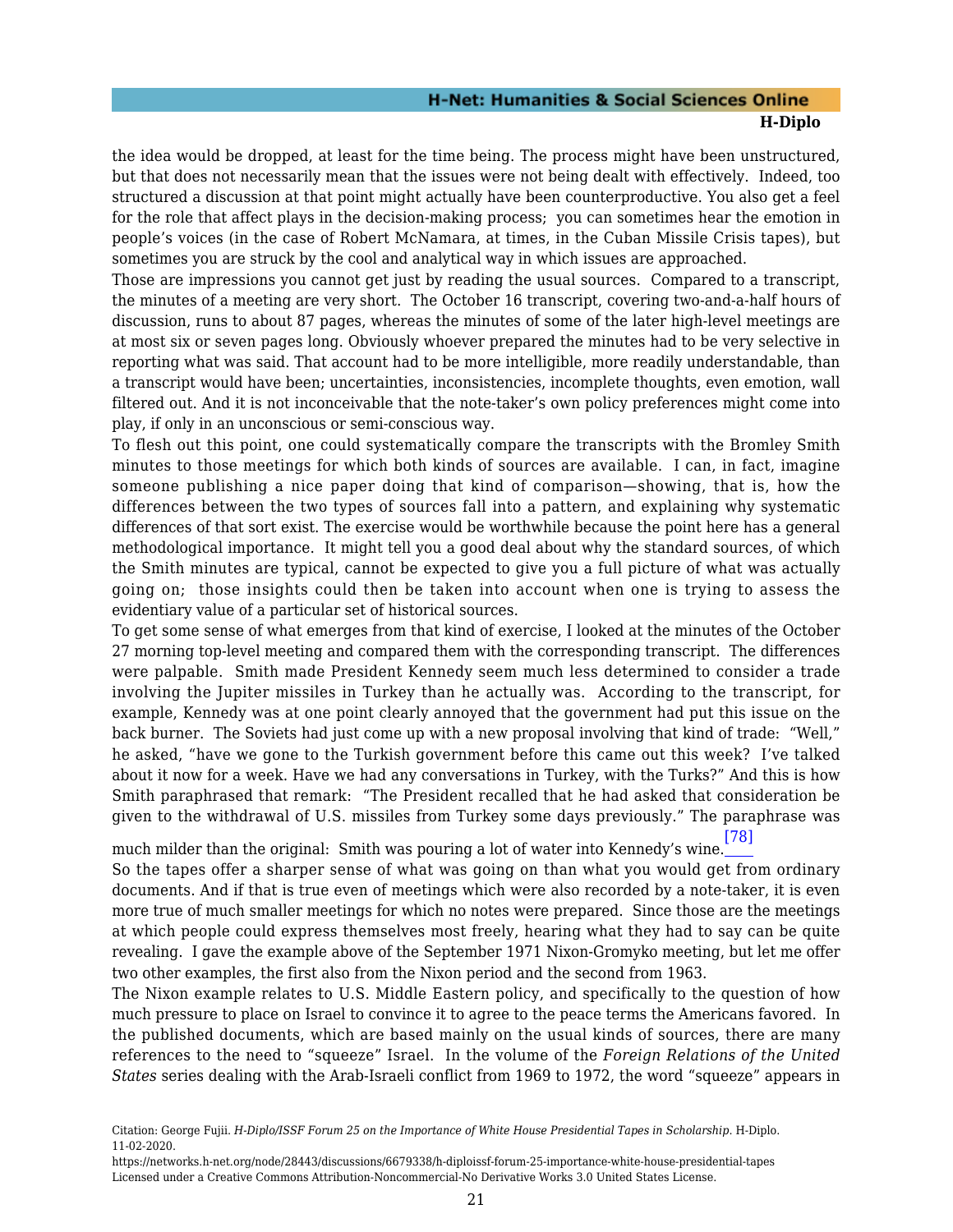the idea would be dropped, at least for the time being. The process might have been unstructured, but that does not necessarily mean that the issues were not being dealt with effectively. Indeed, too structured a discussion at that point might actually have been counterproductive. You also get a feel for the role that affect plays in the decision-making process; you can sometimes hear the emotion in people's voices (in the case of Robert McNamara, at times, in the Cuban Missile Crisis tapes), but sometimes you are struck by the cool and analytical way in which issues are approached.

Those are impressions you cannot get just by reading the usual sources. Compared to a transcript, the minutes of a meeting are very short. The October 16 transcript, covering two-and-a-half hours of discussion, runs to about 87 pages, whereas the minutes of some of the later high-level meetings are at most six or seven pages long. Obviously whoever prepared the minutes had to be very selective in reporting what was said. That account had to be more intelligible, more readily understandable, than a transcript would have been; uncertainties, inconsistencies, incomplete thoughts, even emotion, wall filtered out. And it is not inconceivable that the note-taker's own policy preferences might come into play, if only in an unconscious or semi-conscious way.

To flesh out this point, one could systematically compare the transcripts with the Bromley Smith minutes to those meetings for which both kinds of sources are available. I can, in fact, imagine someone publishing a nice paper doing that kind of comparison—showing, that is, how the differences between the two types of sources fall into a pattern, and explaining why systematic differences of that sort exist. The exercise would be worthwhile because the point here has a general methodological importance. It might tell you a good deal about why the standard sources, of which the Smith minutes are typical, cannot be expected to give you a full picture of what was actually going on; those insights could then be taken into account when one is trying to assess the evidentiary value of a particular set of historical sources.

To get some sense of what emerges from that kind of exercise, I looked at the minutes of the October 27 morning top-level meeting and compared them with the corresponding transcript. The differences were palpable. Smith made President Kennedy seem much less determined to consider a trade involving the Jupiter missiles in Turkey than he actually was. According to the transcript, for example, Kennedy was at one point clearly annoyed that the government had put this issue on the back burner. The Soviets had just come up with a new proposal involving that kind of trade: "Well," he asked, "have we gone to the Turkish government before this came out this week? I've talked about it now for a week. Have we had any conversations in Turkey, with the Turks?" And this is how Smith paraphrased that remark: "The President recalled that he had asked that consideration be given to the withdrawal of U.S. missiles from Turkey some days previously." The paraphrase was

<span id="page-22-0"></span>much milder than the original: Smith was pouring a lot of water into Kennedy's wine. [\[78\]](#page-30-2)

So the tapes offer a sharper sense of what was going on than what you would get from ordinary documents. And if that is true even of meetings which were also recorded by a note-taker, it is even more true of much smaller meetings for which no notes were prepared. Since those are the meetings at which people could express themselves most freely, hearing what they had to say can be quite revealing. I gave the example above of the September 1971 Nixon-Gromyko meeting, but let me offer two other examples, the first also from the Nixon period and the second from 1963.

The Nixon example relates to U.S. Middle Eastern policy, and specifically to the question of how much pressure to place on Israel to convince it to agree to the peace terms the Americans favored. In the published documents, which are based mainly on the usual kinds of sources, there are many references to the need to "squeeze" Israel. In the volume of the *Foreign Relations of the United States* series dealing with the Arab-Israeli conflict from 1969 to 1972, the word "squeeze" appears in

Citation: George Fujii. *H-Diplo/ISSF Forum 25 on the Importance of White House Presidential Tapes in Scholarship*. H-Diplo. 11-02-2020.

https://networks.h-net.org/node/28443/discussions/6679338/h-diploissf-forum-25-importance-white-house-presidential-tapes Licensed under a Creative Commons Attribution-Noncommercial-No Derivative Works 3.0 United States License.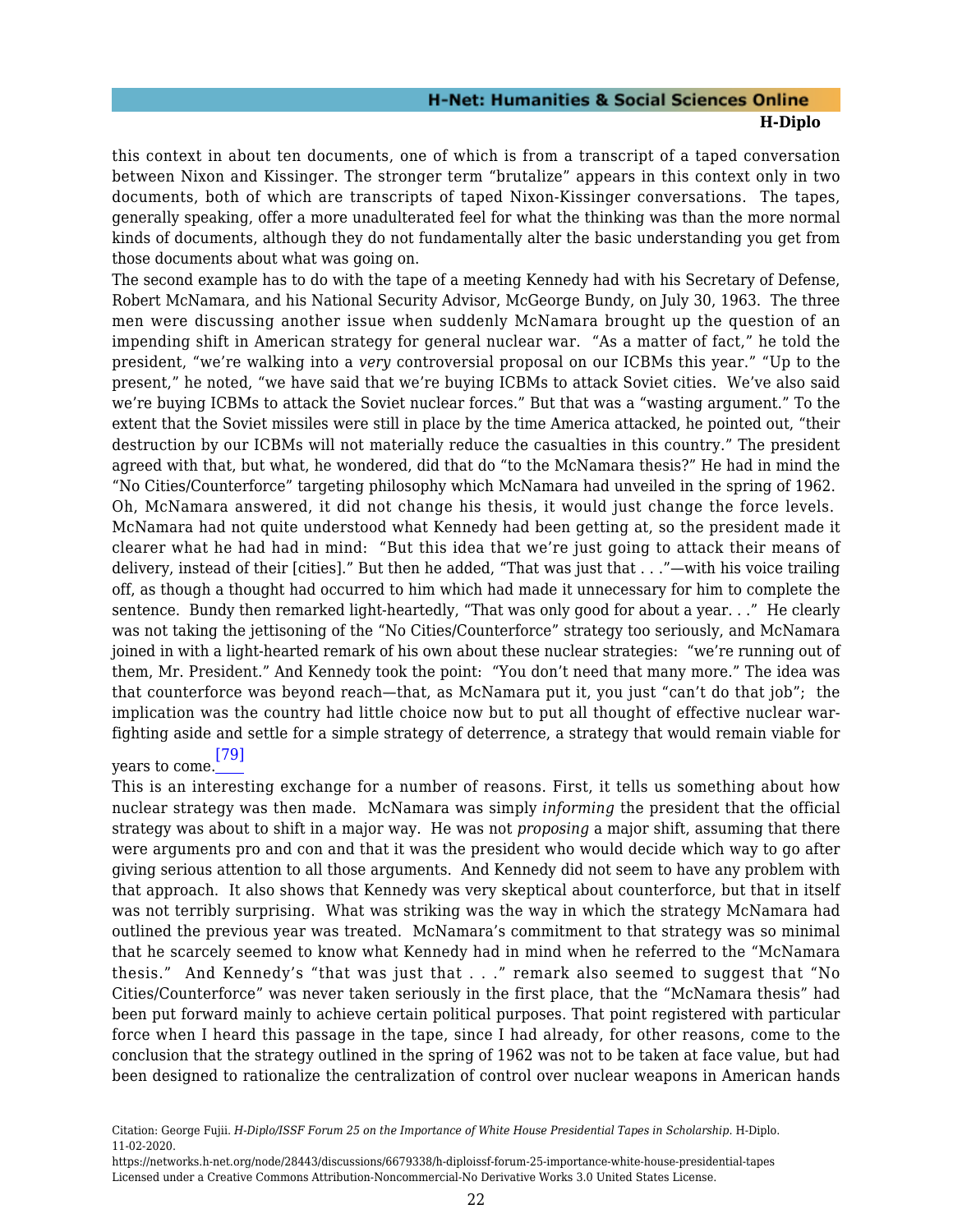this context in about ten documents, one of which is from a transcript of a taped conversation between Nixon and Kissinger. The stronger term "brutalize" appears in this context only in two documents, both of which are transcripts of taped Nixon-Kissinger conversations. The tapes, generally speaking, offer a more unadulterated feel for what the thinking was than the more normal kinds of documents, although they do not fundamentally alter the basic understanding you get from those documents about what was going on.

The second example has to do with the tape of a meeting Kennedy had with his Secretary of Defense, Robert McNamara, and his National Security Advisor, McGeorge Bundy, on July 30, 1963. The three men were discussing another issue when suddenly McNamara brought up the question of an impending shift in American strategy for general nuclear war. "As a matter of fact," he told the president, "we're walking into a *very* controversial proposal on our ICBMs this year." "Up to the present," he noted, "we have said that we're buying ICBMs to attack Soviet cities. We've also said we're buying ICBMs to attack the Soviet nuclear forces." But that was a "wasting argument." To the extent that the Soviet missiles were still in place by the time America attacked, he pointed out, "their destruction by our ICBMs will not materially reduce the casualties in this country." The president agreed with that, but what, he wondered, did that do "to the McNamara thesis?" He had in mind the "No Cities/Counterforce" targeting philosophy which McNamara had unveiled in the spring of 1962. Oh, McNamara answered, it did not change his thesis, it would just change the force levels. McNamara had not quite understood what Kennedy had been getting at, so the president made it clearer what he had had in mind: "But this idea that we're just going to attack their means of delivery, instead of their [cities]." But then he added, "That was just that . . ."—with his voice trailing off, as though a thought had occurred to him which had made it unnecessary for him to complete the sentence. Bundy then remarked light-heartedly, "That was only good for about a year. . ." He clearly was not taking the jettisoning of the "No Cities/Counterforce" strategy too seriously, and McNamara joined in with a light-hearted remark of his own about these nuclear strategies: "we're running out of them, Mr. President." And Kennedy took the point: "You don't need that many more." The idea was that counterforce was beyond reach—that, as McNamara put it, you just "can't do that job"; the implication was the country had little choice now but to put all thought of effective nuclear warfighting aside and settle for a simple strategy of deterrence, a strategy that would remain viable for

#### <span id="page-23-0"></span>years to come. [\[79\]](#page-30-3)

This is an interesting exchange for a number of reasons. First, it tells us something about how nuclear strategy was then made. McNamara was simply *informing* the president that the official strategy was about to shift in a major way. He was not *proposing* a major shift, assuming that there were arguments pro and con and that it was the president who would decide which way to go after giving serious attention to all those arguments. And Kennedy did not seem to have any problem with that approach. It also shows that Kennedy was very skeptical about counterforce, but that in itself was not terribly surprising. What was striking was the way in which the strategy McNamara had outlined the previous year was treated. McNamara's commitment to that strategy was so minimal that he scarcely seemed to know what Kennedy had in mind when he referred to the "McNamara thesis." And Kennedy's "that was just that . . ." remark also seemed to suggest that "No Cities/Counterforce" was never taken seriously in the first place, that the "McNamara thesis" had been put forward mainly to achieve certain political purposes. That point registered with particular force when I heard this passage in the tape, since I had already, for other reasons, come to the conclusion that the strategy outlined in the spring of 1962 was not to be taken at face value, but had been designed to rationalize the centralization of control over nuclear weapons in American hands

Citation: George Fujii. *H-Diplo/ISSF Forum 25 on the Importance of White House Presidential Tapes in Scholarship*. H-Diplo. 11-02-2020.

https://networks.h-net.org/node/28443/discussions/6679338/h-diploissf-forum-25-importance-white-house-presidential-tapes Licensed under a Creative Commons Attribution-Noncommercial-No Derivative Works 3.0 United States License.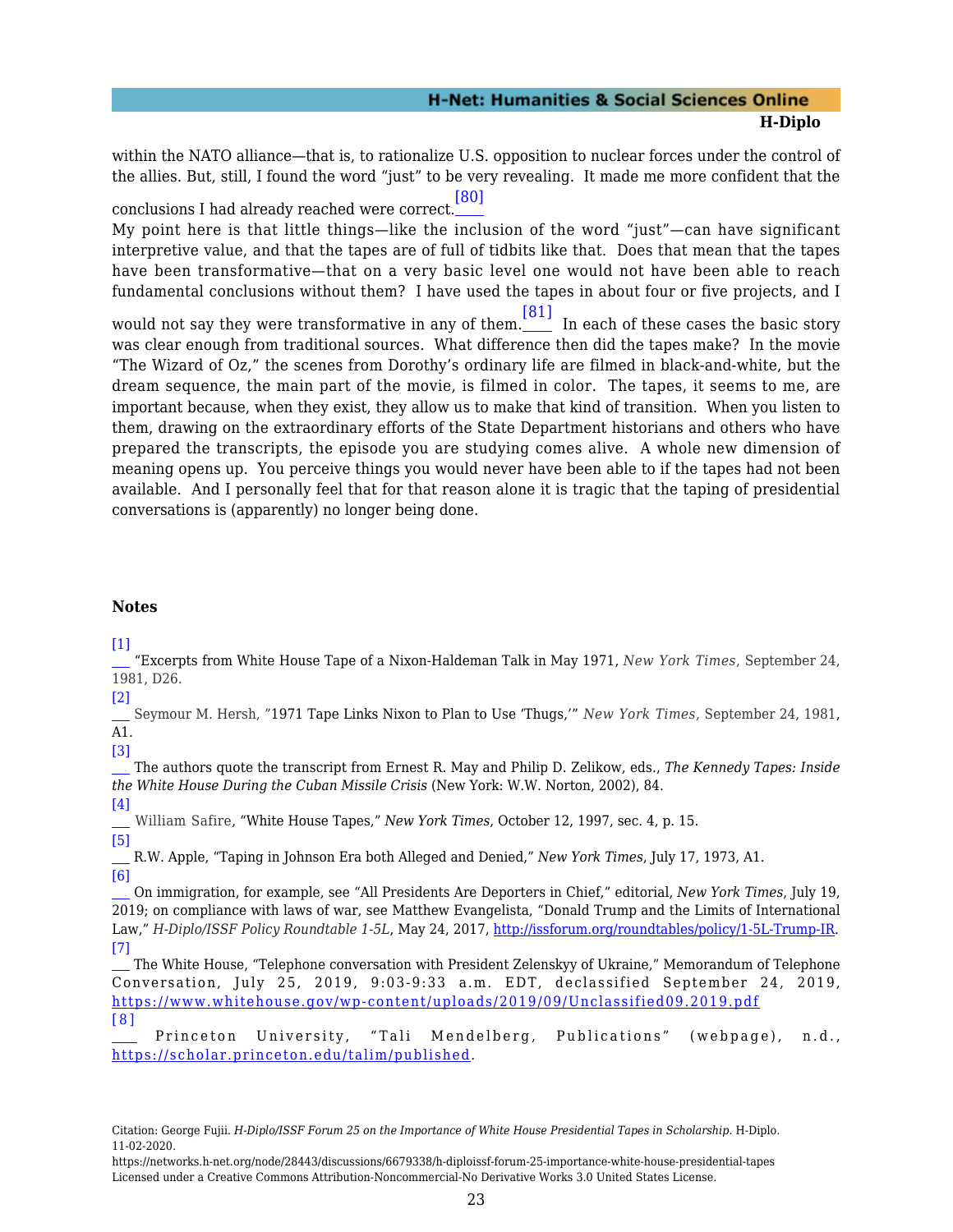within the NATO alliance—that is, to rationalize U.S. opposition to nuclear forces under the control of the allies. But, still, I found the word "just" to be very revealing. It made me more confident that the

<span id="page-24-9"></span>conclusions I had already reached were correct. [\[80\]](#page-30-4)

My point here is that little things—like the inclusion of the word "just"—can have significant interpretive value, and that the tapes are of full of tidbits like that. Does that mean that the tapes have been transformative—that on a very basic level one would not have been able to reach fundamental conclusions without them? I have used the tapes in about four or five projects, and I

<span id="page-24-10"></span>would not say they were transformative in any of them. $\frac{[81]}{[81]}$  $\frac{[81]}{[81]}$  $\frac{[81]}{[81]}$  In each of these cases the basic story was clear enough from traditional sources. What difference then did the tapes make? In the movie "The Wizard of Oz," the scenes from Dorothy's ordinary life are filmed in black-and-white, but the dream sequence, the main part of the movie, is filmed in color. The tapes, it seems to me, are important because, when they exist, they allow us to make that kind of transition. When you listen to them, drawing on the extraordinary efforts of the State Department historians and others who have prepared the transcripts, the episode you are studying comes alive. A whole new dimension of meaning opens up. You perceive things you would never have been able to if the tapes had not been available. And I personally feel that for that reason alone it is tragic that the taping of presidential conversations is (apparently) no longer being done.

#### **Notes**

<span id="page-24-0"></span> $[1]$ 

 "Excerpts from White House Tape of a Nixon-Haldeman Talk in May 1971, *New York Times*, September 24, 1981, D26.

<span id="page-24-1"></span>[\[2\]](#page-3-0)

Seymour M. Hersh, "1971 Tape Links Nixon to Plan to Use 'Thugs,'" *New York Times*, September 24, 1981, A1.

<span id="page-24-2"></span>[\[3\]](#page-4-0)

 The authors quote the transcript from Ernest R. May and Philip D. Zelikow, eds., *The Kennedy Tapes: Inside the White House During the Cuban Missile Crisis* (New York: W.W. Norton, 2002), 84.

<span id="page-24-3"></span>[\[4\]](#page-5-0)

William Safire, "White House Tapes," *New York Times*, October 12, 1997, sec. 4, p. 15.

<span id="page-24-5"></span><span id="page-24-4"></span>[\[5\]](#page-5-1)

 R.W. Apple, "Taping in Johnson Era both Alleged and Denied," *New York Times*, July 17, 1973, A1. [\[6\]](#page-5-2)

 On immigration, for example, see "All Presidents Are Deporters in Chief," editorial, *New York Times*, July 19, 2019; on compliance with laws of war, see Matthew Evangelista, "Donald Trump and the Limits of International Law," *H-Diplo/ISSF Policy Roundtable 1-5L*, May 24, 2017,<http://issforum.org/roundtables/policy/1-5L-Trump-IR>. [\[7\]](#page-5-3)

<span id="page-24-6"></span> The White House, "Telephone conversation with President Zelenskyy of Ukraine," Memorandum of Telephone Conversation, July 25, 2019, 9:03-9:33 a.m. EDT, declassified September 24, 2019, <https://www.whitehouse.gov/wp-content/uploads/2019/09/Unclassified09.2019.pdf> [\[8\]](#page-6-0)

<span id="page-24-8"></span><span id="page-24-7"></span> Princeton University, "Tali Mendelberg, Publications" (webpage), n.d., [https://scholar.princeton.edu/talim/published.](https://scholar.princeton.edu/talim/published)

Citation: George Fujii. *H-Diplo/ISSF Forum 25 on the Importance of White House Presidential Tapes in Scholarship*. H-Diplo. 11-02-2020.

https://networks.h-net.org/node/28443/discussions/6679338/h-diploissf-forum-25-importance-white-house-presidential-tapes Licensed under a Creative Commons Attribution-Noncommercial-No Derivative Works 3.0 United States License.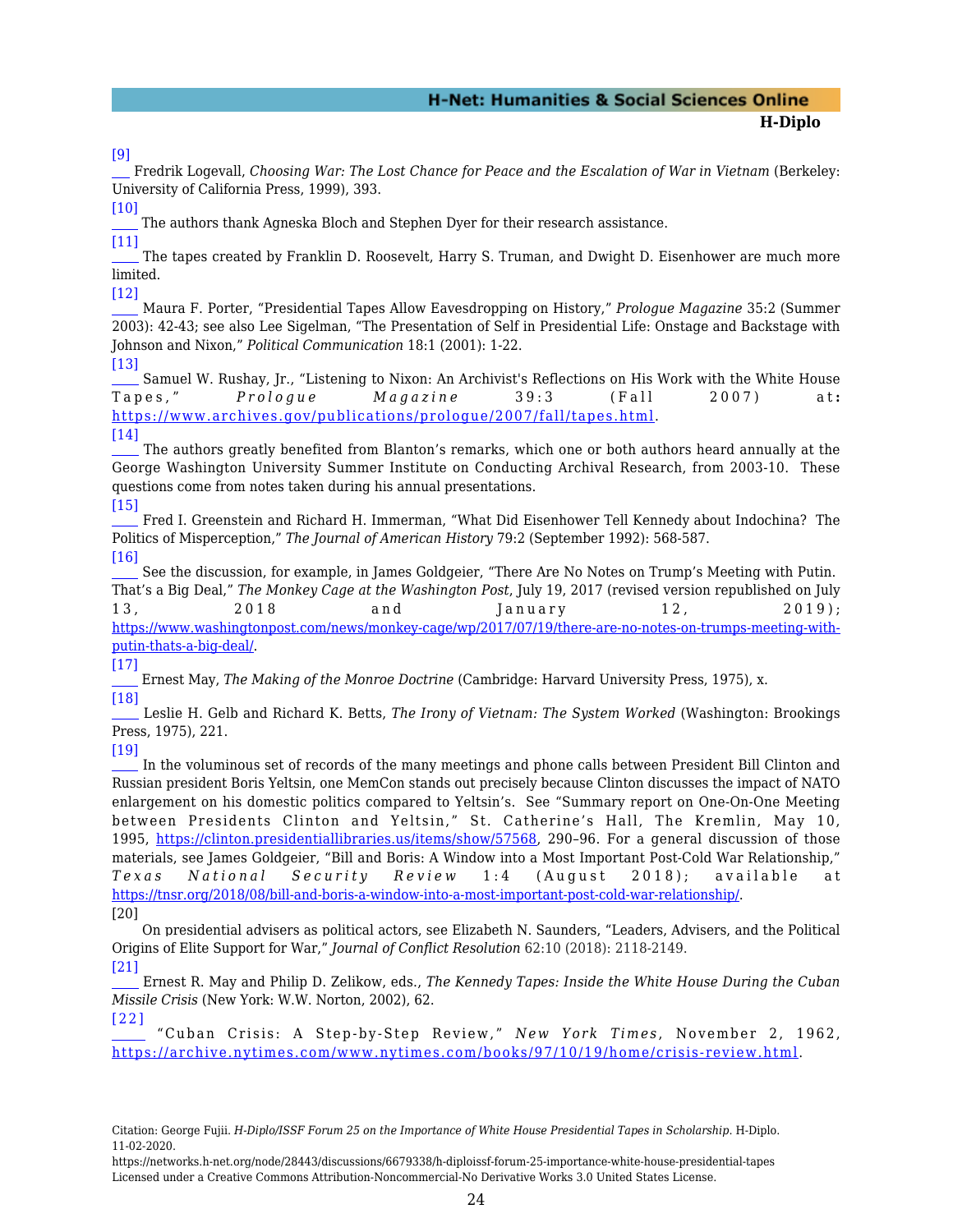[\[9\]](#page-6-1)

 Fredrik Logevall, *Choosing War: The Lost Chance for Peace and the Escalation of War in Vietnam* (Berkeley: University of California Press, 1999), 393.

<span id="page-25-0"></span>[\[10\]](#page-7-1) The authors thank Agneska Bloch and Stephen Dyer for their research assistance.

<span id="page-25-1"></span>[\[11\]](#page-7-2)

 The tapes created by Franklin D. Roosevelt, Harry S. Truman, and Dwight D. Eisenhower are much more limited.

<span id="page-25-2"></span>[\[12\]](#page-7-3)

 Maura F. Porter, "Presidential Tapes Allow Eavesdropping on History," *Prologue Magazine* 35:2 (Summer 2003): 42-43; see also Lee Sigelman, "The Presentation of Self in Presidential Life: Onstage and Backstage with Johnson and Nixon," *Political Communication* 18:1 (2001): 1-22. [\[13\]](#page-8-0)

<span id="page-25-3"></span> Samuel W. Rushay, Jr., "Listening to Nixon: An Archivist's Reflections on His Work with the White House Tapes," *Prologue Magazine* 39:3 (Fall 2007) at **:** [https://www.archives.gov/publications/prologue/2007/fall/tapes.html.](https://www.archives.gov/publications/prologue/2007/fall/tapes.html) [\[14\]](#page-8-1)

<span id="page-25-4"></span> The authors greatly benefited from Blanton's remarks, which one or both authors heard annually at the George Washington University Summer Institute on Conducting Archival Research, from 2003-10. These questions come from notes taken during his annual presentations.

<span id="page-25-5"></span>[\[15\]](#page-8-2) Fred I. Greenstein and Richard H. Immerman, "What Did Eisenhower Tell Kennedy about Indochina? The Politics of Misperception," *The Journal of American History* 79:2 (September 1992): 568-587.

<span id="page-25-6"></span>[\[16\]](#page-8-3) See the discussion, for example, in James Goldgeier, "There Are No Notes on Trump's Meeting with Putin. That's a Big Deal," *The Monkey Cage at the Washington Post*, July 19, 2017 (revised version republished on July 13, 2018 and January 12, 2019); [https://www.washingtonpost.com/news/monkey-cage/wp/2017/07/19/there-are-no-notes-on-trumps-meeting-with](https://www.washingtonpost.com/news/monkey-cage/wp/2017/07/19/there-are-no-notes-on-trumps-meeting-with-putin-thats-a-big-deal/?utm_term=.efb5419bc1cc)[putin-thats-a-big-deal/.](https://www.washingtonpost.com/news/monkey-cage/wp/2017/07/19/there-are-no-notes-on-trumps-meeting-with-putin-thats-a-big-deal/?utm_term=.efb5419bc1cc)

<span id="page-25-7"></span>[\[17\]](#page-8-4)

 Ernest May, *The Making of the Monroe Doctrine* (Cambridge: Harvard University Press, 1975), x. [\[18\]](#page-9-0)

<span id="page-25-8"></span> Leslie H. Gelb and Richard K. Betts, *The Irony of Vietnam: The System Worked* (Washington: Brookings Press, 1975), 221.

<span id="page-25-9"></span>[\[19\]](#page-9-1)

 In the voluminous set of records of the many meetings and phone calls between President Bill Clinton and Russian president Boris Yeltsin, one MemCon stands out precisely because Clinton discusses the impact of NATO enlargement on his domestic politics compared to Yeltsin's. See "Summary report on One-On-One Meeting between Presidents Clinton and Yeltsin," St. Catherine's Hall, The Kremlin, May 10, 1995,<https://clinton.presidentiallibraries.us/items/show/57568>, 290–96. For a general discussion of those materials, see James Goldgeier, "Bill and Boris: A Window into a Most Important Post-Cold War Relationship," *Texas National Security Review* 1:4 (August 2018); available at <https://tnsr.org/2018/08/bill-and-boris-a-window-into-a-most-important-post-cold-war-relationship/>. [\[20\]](#page-9-2)

<span id="page-25-10"></span> On presidential advisers as political actors, see Elizabeth N. Saunders, "Leaders, Advisers, and the Political Origins of Elite Support for War," *Journal of Conflict Resolution* 62:10 (2018): 2118-2149. [\[21\]](#page-9-3)

<span id="page-25-11"></span> Ernest R. May and Philip D. Zelikow, eds., *The Kennedy Tapes: Inside the White House During the Cuban Missile Crisis* (New York: W.W. Norton, 2002), 62.

<span id="page-25-13"></span><span id="page-25-12"></span>[\[22\]](#page-9-4) "Cuban Crisis: A Step-by-Step Review," *New York Times* , November 2, 1962, <https://archive.nytimes.com/www.nytimes.com/books/97/10/19/home/crisis-review.html>.

Citation: George Fujii. *H-Diplo/ISSF Forum 25 on the Importance of White House Presidential Tapes in Scholarship*. H-Diplo. 11-02-2020.

https://networks.h-net.org/node/28443/discussions/6679338/h-diploissf-forum-25-importance-white-house-presidential-tapes Licensed under a Creative Commons Attribution-Noncommercial-No Derivative Works 3.0 United States License.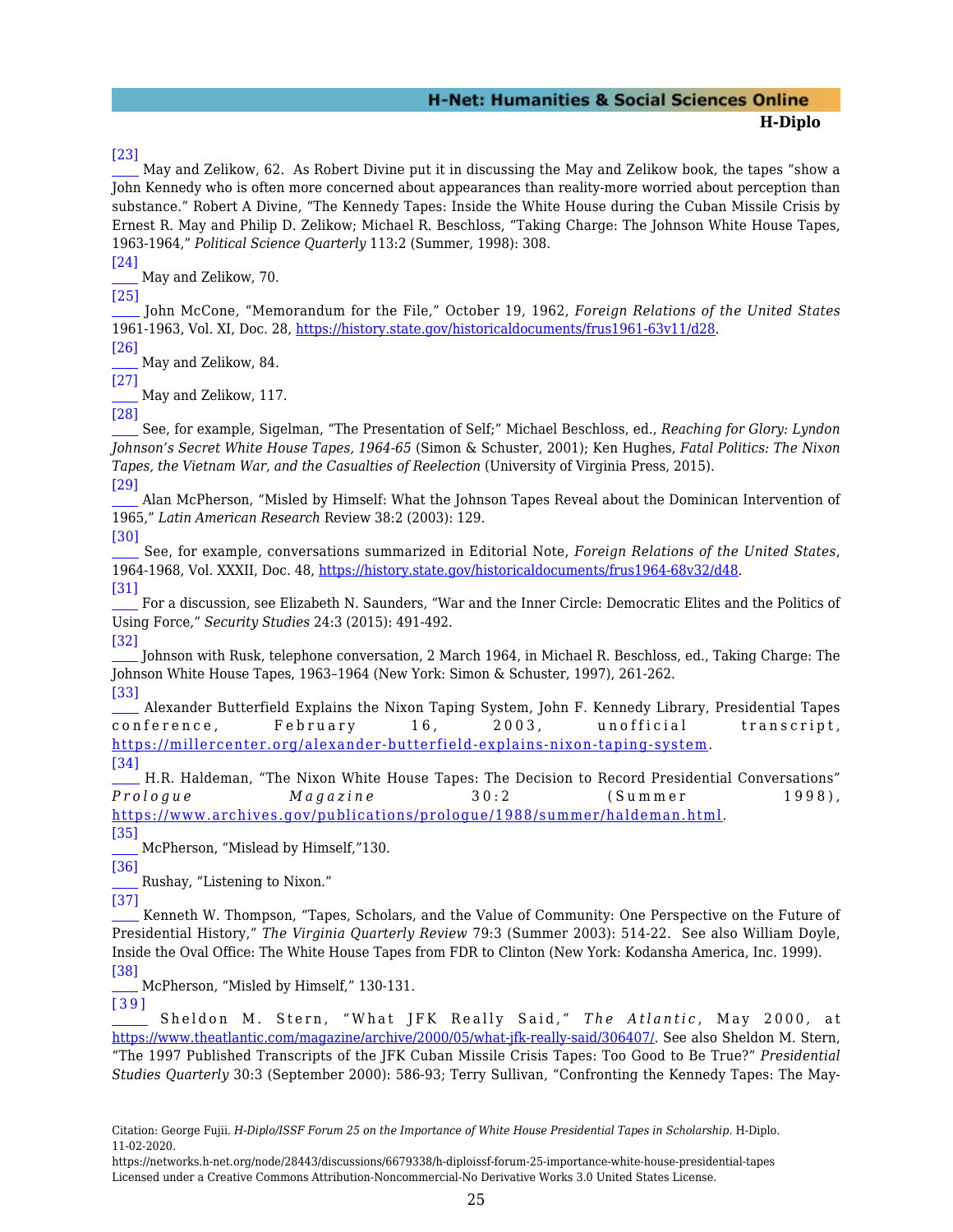[\[23\]](#page-9-5)

 May and Zelikow, 62. As Robert Divine put it in discussing the May and Zelikow book, the tapes "show a John Kennedy who is often more concerned about appearances than reality-more worried about perception than substance." Robert A Divine, "The Kennedy Tapes: Inside the White House during the Cuban Missile Crisis by Ernest R. May and Philip D. Zelikow; Michael R. Beschloss, "Taking Charge: The Johnson White House Tapes, 1963-1964," *Political Science Quarterly* 113:2 (Summer, 1998): 308.

<span id="page-26-0"></span>[\[24\]](#page-9-6) May and Zelikow, 70.

<span id="page-26-1"></span>[\[25\]](#page-9-7)

 John McCone, "Memorandum for the File," October 19, 1962, *Foreign Relations of the United States* 1961-1963, Vol. XI, Doc. 28, [https://history.state.gov/historicaldocuments/frus1961-63v11/d28.](https://history.state.gov/historicaldocuments/frus1961-63v11/d28) [\[26\]](#page-10-0)

May and Zelikow, 84.

<span id="page-26-3"></span><span id="page-26-2"></span>[\[27\]](#page-10-1) May and Zelikow, 117.

<span id="page-26-4"></span>[\[28\]](#page-10-2)

 See, for example, Sigelman, "The Presentation of Self;" Michael Beschloss, ed., *Reaching for Glory: Lyndon Johnson's Secret White House Tapes, 1964-65* (Simon & Schuster, 2001); Ken Hughes, *Fatal Politics: The Nixon Tapes, the Vietnam War, and the Casualties of Reelection* (University of Virginia Press, 2015). [\[29\]](#page-10-3)

<span id="page-26-5"></span> Alan McPherson, "Misled by Himself: What the Johnson Tapes Reveal about the Dominican Intervention of 1965," *Latin American Research* Review 38:2 (2003): 129.

<span id="page-26-6"></span>[\[30\]](#page-10-4)

 See, for example, conversations summarized in Editorial Note, *Foreign Relations of the United States*, 1964-1968, Vol. XXXII, Doc. 48, <https://history.state.gov/historicaldocuments/frus1964-68v32/d48>.

<span id="page-26-7"></span>[\[31\]](#page-10-5)

 For a discussion, see Elizabeth N. Saunders, "War and the Inner Circle: Democratic Elites and the Politics of Using Force," *Security Studies* 24:3 (2015): 491-492.

<span id="page-26-8"></span>[\[32\]](#page-10-6) Johnson with Rusk, telephone conversation, 2 March 1964, in Michael R. Beschloss, ed., Taking Charge: The Johnson White House Tapes, 1963–1964 (New York: Simon & Schuster, 1997), 261-262.

<span id="page-26-9"></span>[\[33\]](#page-11-0) Alexander Butterfield Explains the Nixon Taping System, John F. Kennedy Library, Presidential Tapes conference, February 16, 2003, unofficial transcript, <https://millercenter.org/alexander-butterfield-explains-nixon-taping-system>.

<span id="page-26-10"></span>[\[34\]](#page-11-1)  $\check{\phantom{\phi}}$  H.R. Haldeman, "The Nixon White House Tapes: The Decision to Record Presidential Conversations" *Prologue Magazine* 30:2 (Summer 1998), <https://www.archives.gov/publications/prologue/1988/summer/haldeman.html>.

<span id="page-26-11"></span>[\[35\]](#page-12-0) McPherson, "Mislead by Himself,"130.

<span id="page-26-12"></span>[\[36\]](#page-12-1) Rushay, "Listening to Nixon."

<span id="page-26-13"></span>[\[37\]](#page-12-2)

 Kenneth W. Thompson, "Tapes, Scholars, and the Value of Community: One Perspective on the Future of Presidential History," *The Virginia Quarterly Review* 79:3 (Summer 2003): 514-22. See also William Doyle, Inside the Oval Office: The White House Tapes from FDR to Clinton (New York: Kodansha America, Inc. 1999). [\[38\]](#page-12-3)

<span id="page-26-14"></span>McPherson, "Misled by Himself," 130-131.

<span id="page-26-15"></span>[\[39\]](#page-12-4)

 Sheldon M. Stern, "What JFK Really Said," *The Atlantic* , May 2000, at [https://www.theatlantic.com/magazine/archive/2000/05/what-jfk-really-said/306407/.](https://www.theatlantic.com/magazine/archive/2000/05/what-jfk-really-said/306407/) See also Sheldon M. Stern, "The 1997 Published Transcripts of the JFK Cuban Missile Crisis Tapes: Too Good to Be True?" *Presidential Studies Quarterly* 30:3 (September 2000): 586-93; Terry Sullivan, "Confronting the Kennedy Tapes: The May-

Citation: George Fujii. *H-Diplo/ISSF Forum 25 on the Importance of White House Presidential Tapes in Scholarship*. H-Diplo. 11-02-2020.

https://networks.h-net.org/node/28443/discussions/6679338/h-diploissf-forum-25-importance-white-house-presidential-tapes Licensed under a Creative Commons Attribution-Noncommercial-No Derivative Works 3.0 United States License.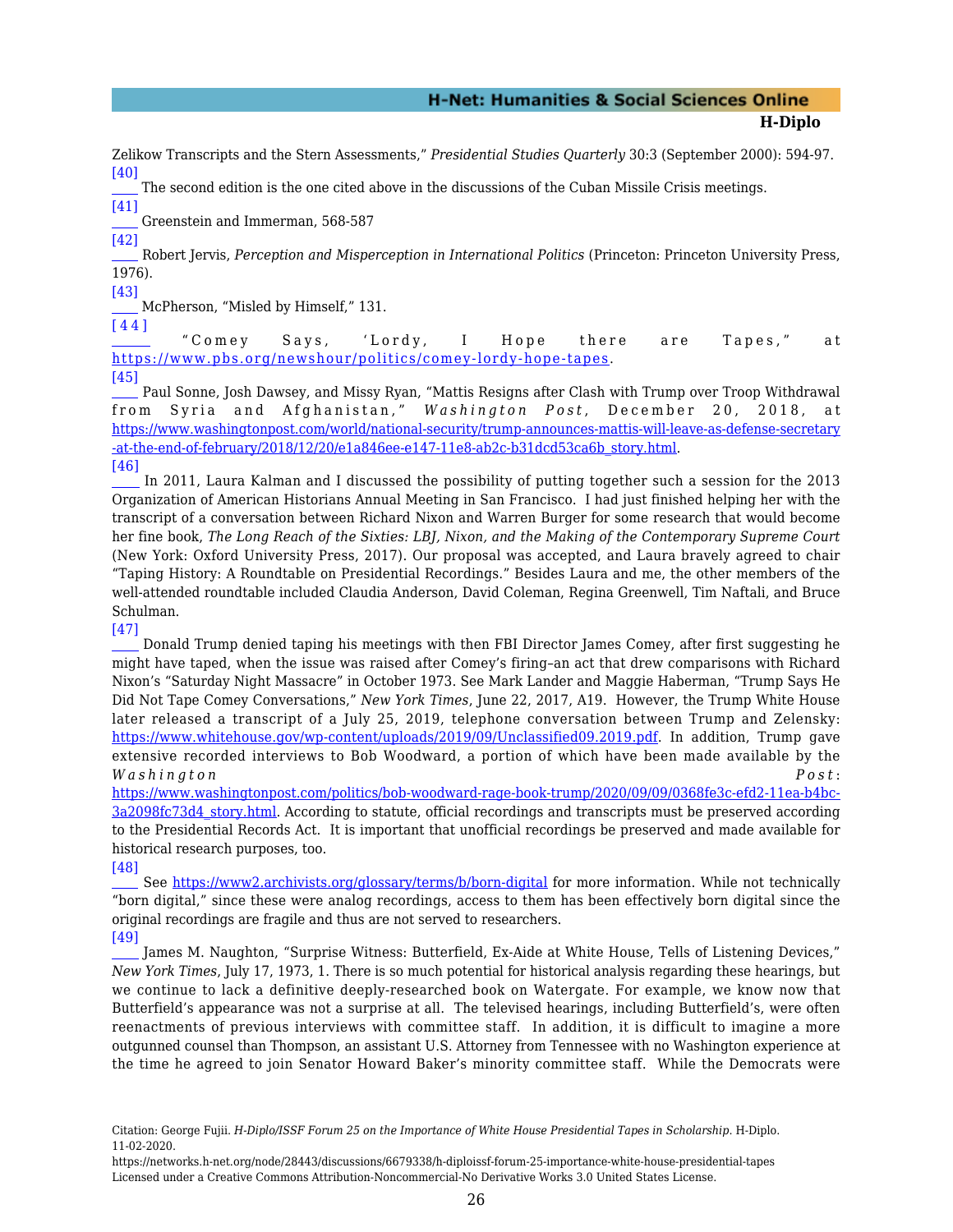**H-Diplo** 

Zelikow Transcripts and the Stern Assessments," *Presidential Studies Quarterly* 30:3 (September 2000): 594-97. [\[40\]](#page-12-4)

<span id="page-27-1"></span><span id="page-27-0"></span> The second edition is the one cited above in the discussions of the Cuban Missile Crisis meetings. [\[41\]](#page-13-0)

Greenstein and Immerman, 568-587

<span id="page-27-2"></span>[\[42\]](#page-13-1)

 Robert Jervis, *Perception and Misperception in International Politics* (Princeton: Princeton University Press, 1976).

<span id="page-27-3"></span>[\[43\]](#page-13-2) McPherson, "Misled by Himself," 131.

<span id="page-27-4"></span>[\[44\]](#page-13-3)

 "Comey Says, 'Lordy, I Hope there are Tapes," at [https://www.pbs.org/newshour/politics/comey-lordy-hope-tapes.](https://www.pbs.org/newshour/politics/comey-lordy-hope-tapes)

<span id="page-27-5"></span>[\[45\]](#page-13-4) Paul Sonne, Josh Dawsey, and Missy Ryan, "Mattis Resigns after Clash with Trump over Troop Withdrawal from Syria and Afghanistan," Washington Post, December 20, 2018, at [https://www.washingtonpost.com/world/national-security/trump-announces-mattis-will-leave-as-defense-secretary](https://www.washingtonpost.com/world/national-security/trump-announces-mattis-will-leave-as-defense-secretary-at-the-end-of-february/2018/12/20/e1a846ee-e147-11e8-ab2c-b31dcd53ca6b_story.html) [-at-the-end-of-february/2018/12/20/e1a846ee-e147-11e8-ab2c-b31dcd53ca6b\\_story.html.](https://www.washingtonpost.com/world/national-security/trump-announces-mattis-will-leave-as-defense-secretary-at-the-end-of-february/2018/12/20/e1a846ee-e147-11e8-ab2c-b31dcd53ca6b_story.html) [\[46\]](#page-14-1)

<span id="page-27-6"></span> In 2011, Laura Kalman and I discussed the possibility of putting together such a session for the 2013 Organization of American Historians Annual Meeting in San Francisco. I had just finished helping her with the transcript of a conversation between Richard Nixon and Warren Burger for some research that would become her fine book, *The Long Reach of the Sixties: LBJ, Nixon, and the Making of the Contemporary Supreme Court* (New York: Oxford University Press, 2017). Our proposal was accepted, and Laura bravely agreed to chair "Taping History: A Roundtable on Presidential Recordings." Besides Laura and me, the other members of the well-attended roundtable included Claudia Anderson, David Coleman, Regina Greenwell, Tim Naftali, and Bruce Schulman.

<span id="page-27-7"></span>[\[47\]](#page-14-2)

 Donald Trump denied taping his meetings with then FBI Director James Comey, after first suggesting he might have taped, when the issue was raised after Comey's firing–an act that drew comparisons with Richard Nixon's "Saturday Night Massacre" in October 1973. See Mark Lander and Maggie Haberman, "Trump Says He Did Not Tape Comey Conversations," *New York Times*, June 22, 2017, A19. However, the Trump White House later released a transcript of a July 25, 2019, telephone conversation between Trump and Zelensky: [https://www.whitehouse.gov/wp-content/uploads/2019/09/Unclassified09.2019.pdf.](https://www.whitehouse.gov/wp-content/uploads/2019/09/Unclassified09.2019.pdf) In addition, Trump gave extensive recorded interviews to Bob Woodward, a portion of which have been made available by the *Washington Post* :

[https://www.washingtonpost.com/politics/bob-woodward-rage-book-trump/2020/09/09/0368fe3c-efd2-11ea-b4bc-](https://www.washingtonpost.com/politics/bob-woodward-rage-book-trump/2020/09/09/0368fe3c-efd2-11ea-b4bc-3a2098fc73d4_story.html)[3a2098fc73d4\\_story.html.](https://www.washingtonpost.com/politics/bob-woodward-rage-book-trump/2020/09/09/0368fe3c-efd2-11ea-b4bc-3a2098fc73d4_story.html) According to statute, official recordings and transcripts must be preserved according to the Presidential Records Act. It is important that unofficial recordings be preserved and made available for historical research purposes, too.

<span id="page-27-8"></span>[\[48\]](#page-14-3) See <https://www2.archivists.org/glossary/terms/b/born-digital> for more information. While not technically "born digital," since these were analog recordings, access to them has been effectively born digital since the original recordings are fragile and thus are not served to researchers.

<span id="page-27-9"></span>[\[49\]](#page-15-0)

 James M. Naughton, "Surprise Witness: Butterfield, Ex-Aide at White House, Tells of Listening Devices," *New York Times*, July 17, 1973, 1. There is so much potential for historical analysis regarding these hearings, but we continue to lack a definitive deeply-researched book on Watergate. For example, we know now that Butterfield's appearance was not a surprise at all. The televised hearings, including Butterfield's, were often reenactments of previous interviews with committee staff. In addition, it is difficult to imagine a more outgunned counsel than Thompson, an assistant U.S. Attorney from Tennessee with no Washington experience at the time he agreed to join Senator Howard Baker's minority committee staff. While the Democrats were

Citation: George Fujii. *H-Diplo/ISSF Forum 25 on the Importance of White House Presidential Tapes in Scholarship*. H-Diplo. 11-02-2020.

https://networks.h-net.org/node/28443/discussions/6679338/h-diploissf-forum-25-importance-white-house-presidential-tapes Licensed under a Creative Commons Attribution-Noncommercial-No Derivative Works 3.0 United States License.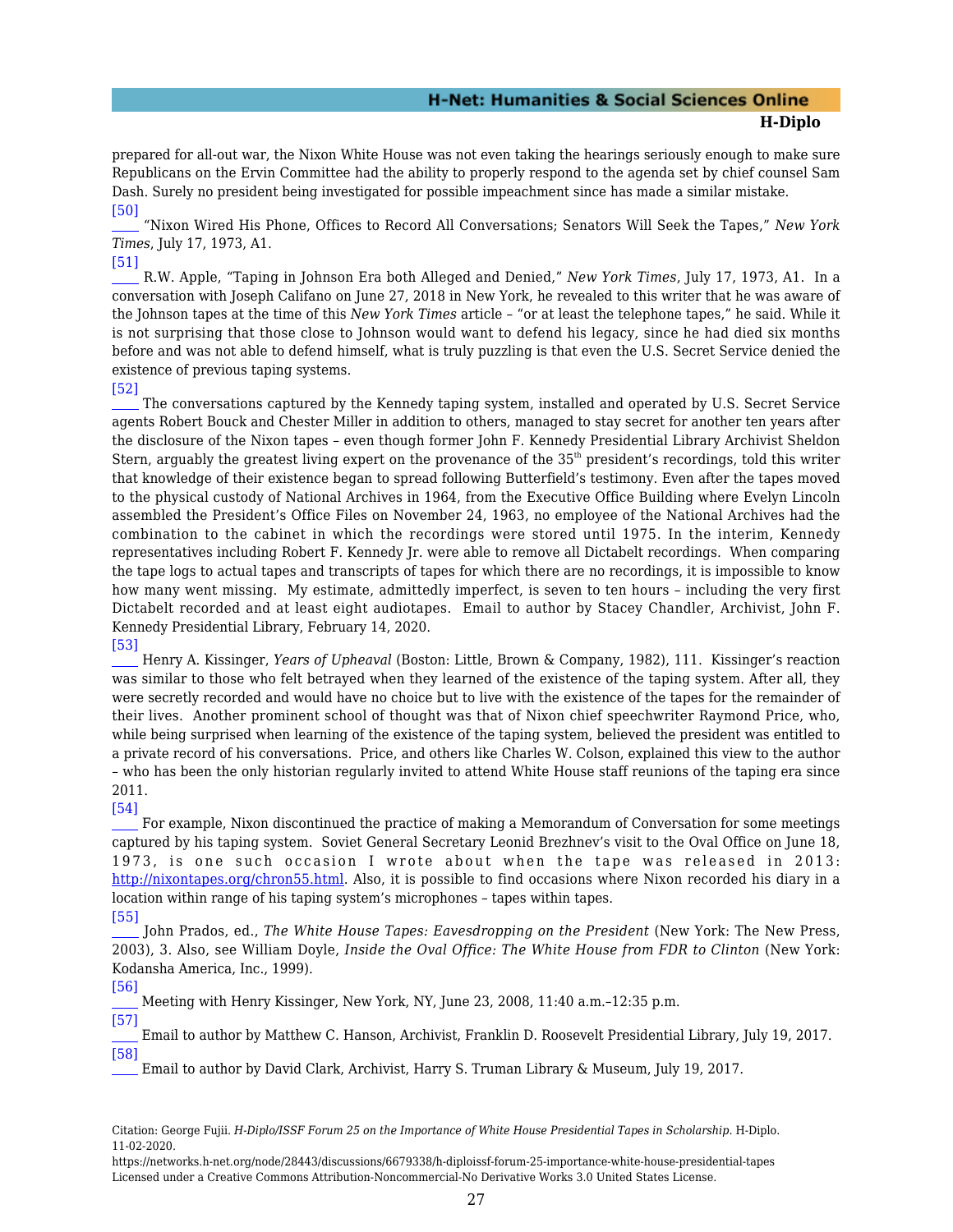prepared for all-out war, the Nixon White House was not even taking the hearings seriously enough to make sure Republicans on the Ervin Committee had the ability to properly respond to the agenda set by chief counsel Sam Dash. Surely no president being investigated for possible impeachment since has made a similar mistake. [\[50\]](#page-15-1)

<span id="page-28-0"></span> "Nixon Wired His Phone, Offices to Record All Conversations; Senators Will Seek the Tapes," *New York Times*, July 17, 1973, A1.

#### <span id="page-28-1"></span>[\[51\]](#page-15-2)

 R.W. Apple, "Taping in Johnson Era both Alleged and Denied," *New York Times*, July 17, 1973, A1. In a conversation with Joseph Califano on June 27, 2018 in New York, he revealed to this writer that he was aware of the Johnson tapes at the time of this *New York Times* article – "or at least the telephone tapes," he said. While it is not surprising that those close to Johnson would want to defend his legacy, since he had died six months before and was not able to defend himself, what is truly puzzling is that even the U.S. Secret Service denied the existence of previous taping systems.

#### <span id="page-28-2"></span>[\[52\]](#page-16-0)

 The conversations captured by the Kennedy taping system, installed and operated by U.S. Secret Service agents Robert Bouck and Chester Miller in addition to others, managed to stay secret for another ten years after the disclosure of the Nixon tapes – even though former John F. Kennedy Presidential Library Archivist Sheldon Stern, arguably the greatest living expert on the provenance of the 35<sup>th</sup> president's recordings, told this writer that knowledge of their existence began to spread following Butterfield's testimony. Even after the tapes moved to the physical custody of National Archives in 1964, from the Executive Office Building where Evelyn Lincoln assembled the President's Office Files on November 24, 1963, no employee of the National Archives had the combination to the cabinet in which the recordings were stored until 1975. In the interim, Kennedy representatives including Robert F. Kennedy Jr. were able to remove all Dictabelt recordings. When comparing the tape logs to actual tapes and transcripts of tapes for which there are no recordings, it is impossible to know how many went missing. My estimate, admittedly imperfect, is seven to ten hours – including the very first Dictabelt recorded and at least eight audiotapes. Email to author by Stacey Chandler, Archivist, John F. Kennedy Presidential Library, February 14, 2020. [\[53\]](#page-16-1)

#### <span id="page-28-3"></span> Henry A. Kissinger, *Years of Upheaval* (Boston: Little, Brown & Company, 1982), 111. Kissinger's reaction was similar to those who felt betrayed when they learned of the existence of the taping system. After all, they were secretly recorded and would have no choice but to live with the existence of the tapes for the remainder of their lives. Another prominent school of thought was that of Nixon chief speechwriter Raymond Price, who, while being surprised when learning of the existence of the taping system, believed the president was entitled to a private record of his conversations. Price, and others like Charles W. Colson, explained this view to the author – who has been the only historian regularly invited to attend White House staff reunions of the taping era since 2011.

<span id="page-28-4"></span>[\[54\]](#page-16-2) For example, Nixon discontinued the practice of making a Memorandum of Conversation for some meetings captured by his taping system. Soviet General Secretary Leonid Brezhnev's visit to the Oval Office on June 18, 1973, is one such occasion I wrote about when the tape was released in 2013: <http://nixontapes.org/chron55.html>. Also, it is possible to find occasions where Nixon recorded his diary in a location within range of his taping system's microphones – tapes within tapes.

<span id="page-28-5"></span>[\[55\]](#page-16-3) John Prados, ed., *The White House Tapes: Eavesdropping on the President* (New York: The New Press, 2003), 3. Also, see William Doyle, *Inside the Oval Office: The White House from FDR to Clinton* (New York: Kodansha America, Inc., 1999).

<span id="page-28-6"></span>[\[56\]](#page-16-4)

Meeting with Henry Kissinger, New York, NY, June 23, 2008, 11:40 a.m.–12:35 p.m.

<span id="page-28-8"></span><span id="page-28-7"></span>[\[57\]](#page-16-5) Email to author by Matthew C. Hanson, Archivist, Franklin D. Roosevelt Presidential Library, July 19, 2017. [\[58\]](#page-17-0)

Email to author by David Clark, Archivist, Harry S. Truman Library & Museum, July 19, 2017.

Citation: George Fujii. *H-Diplo/ISSF Forum 25 on the Importance of White House Presidential Tapes in Scholarship*. H-Diplo. 11-02-2020.

https://networks.h-net.org/node/28443/discussions/6679338/h-diploissf-forum-25-importance-white-house-presidential-tapes Licensed under a Creative Commons Attribution-Noncommercial-No Derivative Works 3.0 United States License.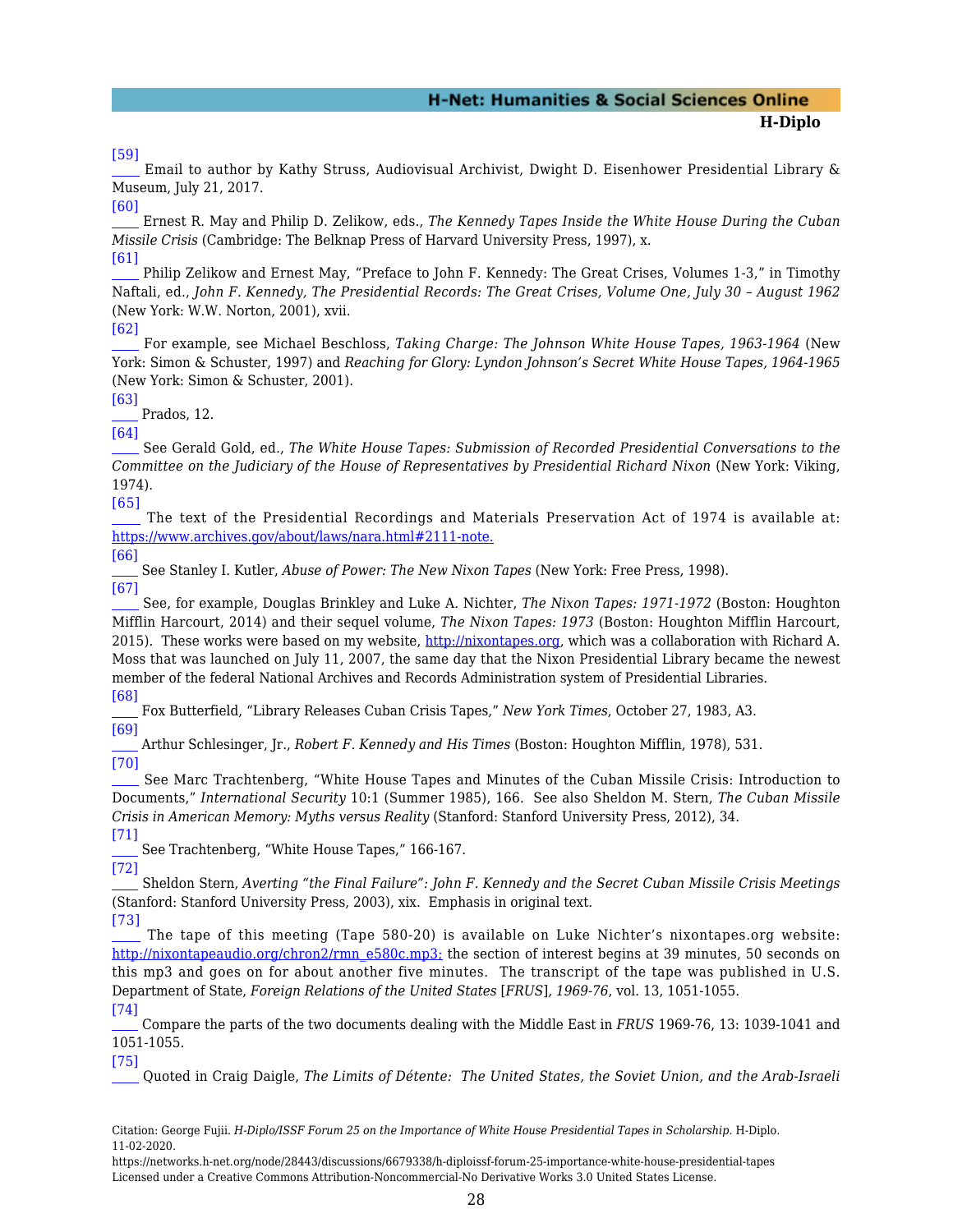#### <span id="page-29-0"></span>[\[59\]](#page-17-1)

 Email to author by Kathy Struss, Audiovisual Archivist, Dwight D. Eisenhower Presidential Library & Museum, July 21, 2017.

<span id="page-29-1"></span>[\[60\]](#page-17-2) Ernest R. May and Philip D. Zelikow, eds., *The Kennedy Tapes Inside the White House During the Cuban Missile Crisis* (Cambridge: The Belknap Press of Harvard University Press, 1997), x. [\[61\]](#page-17-3)

<span id="page-29-2"></span> Philip Zelikow and Ernest May, "Preface to John F. Kennedy: The Great Crises, Volumes 1-3," in Timothy Naftali, ed., *John F. Kennedy, The Presidential Records: The Great Crises, Volume One, July 30 – August 1962* (New York: W.W. Norton, 2001), xvii.

<span id="page-29-3"></span>[\[62\]](#page-18-0)

 For example, see Michael Beschloss, *Taking Charge: The Johnson White House Tapes, 1963-1964* (New York: Simon & Schuster, 1997) and *Reaching for Glory: Lyndon Johnson's Secret White House Tapes, 1964-1965* (New York: Simon & Schuster, 2001).

<span id="page-29-4"></span>[\[63\]](#page-18-1)

 Prados, 12. [\[64\]](#page-18-2)

<span id="page-29-5"></span> See Gerald Gold, ed., *The White House Tapes: Submission of Recorded Presidential Conversations to the Committee on the Judiciary of the House of Representatives by Presidential Richard Nixon (New York: Viking,* 1974).

<span id="page-29-6"></span>[\[65\]](#page-18-3) The text of the Presidential Recordings and Materials Preservation Act of 1974 is available at: [https://www.archives.gov/about/laws/nara.html#2111-note.](https://www.archives.gov/about/laws/nara.html#2111-note)

<span id="page-29-7"></span>[\[66\]](#page-18-4) See Stanley I. Kutler, *Abuse of Power: The New Nixon Tapes* (New York: Free Press, 1998). [\[67\]](#page-19-0)

<span id="page-29-8"></span> See, for example, Douglas Brinkley and Luke A. Nichter, *The Nixon Tapes: 1971-1972* (Boston: Houghton Mifflin Harcourt, 2014) and their sequel volume, *The Nixon Tapes: 1973* (Boston: Houghton Mifflin Harcourt, 2015). These works were based on my website, [http://nixontapes.org,](http://nixontapes.org) which was a collaboration with Richard A. Moss that was launched on July 11, 2007, the same day that the Nixon Presidential Library became the newest member of the federal National Archives and Records Administration system of Presidential Libraries. [\[68\]](#page-20-1)

<span id="page-29-9"></span> Fox Butterfield, "Library Releases Cuban Crisis Tapes," *New York Times*, October 27, 1983, A3. [\[69\]](#page-20-2)

<span id="page-29-10"></span> Arthur Schlesinger, Jr., *Robert F. Kennedy and His Times* (Boston: Houghton Mifflin, 1978), 531. [\[70\]](#page-20-3)

<span id="page-29-11"></span> See Marc Trachtenberg, "White House Tapes and Minutes of the Cuban Missile Crisis: Introduction to Documents," *International Security* 10:1 (Summer 1985), 166. See also Sheldon M. Stern, *The Cuban Missile Crisis in American Memory: Myths versus Reality* (Stanford: Stanford University Press, 2012), 34.

<span id="page-29-12"></span>[\[71\]](#page-20-4) See Trachtenberg, "White House Tapes," 166-167.

<span id="page-29-13"></span>[\[72\]](#page-20-5)

 Sheldon Stern, *Averting "the Final Failure": John F. Kennedy and the Secret Cuban Missile Crisis Meetings* (Stanford: Stanford University Press, 2003), xix. Emphasis in original text.

<span id="page-29-14"></span>[\[73\]](#page-21-0) The tape of this meeting (Tape 580-20) is available on Luke Nichter's nixontapes.org website: [http://nixontapeaudio.org/chron2/rmn\\_e580c.mp3;](http://nixontapeaudio.org/chron2/rmn_e580c.mp3;) the section of interest begins at 39 minutes, 50 seconds on this mp3 and goes on for about another five minutes. The transcript of the tape was published in U.S. Department of State, *Foreign Relations of the United States* [*FRUS*]*, 1969-76*, vol. 13, 1051-1055.

<span id="page-29-15"></span>[\[74\]](#page-21-1) Compare the parts of the two documents dealing with the Middle East in *FRUS* 1969-76, 13: 1039-1041 and 1051-1055.

<span id="page-29-16"></span>[\[75\]](#page-21-2)

Quoted in Craig Daigle, *The Limits of Détente: The United States, the Soviet Union, and the Arab-Israeli*

Citation: George Fujii. *H-Diplo/ISSF Forum 25 on the Importance of White House Presidential Tapes in Scholarship*. H-Diplo. 11-02-2020.

https://networks.h-net.org/node/28443/discussions/6679338/h-diploissf-forum-25-importance-white-house-presidential-tapes Licensed under a Creative Commons Attribution-Noncommercial-No Derivative Works 3.0 United States License.